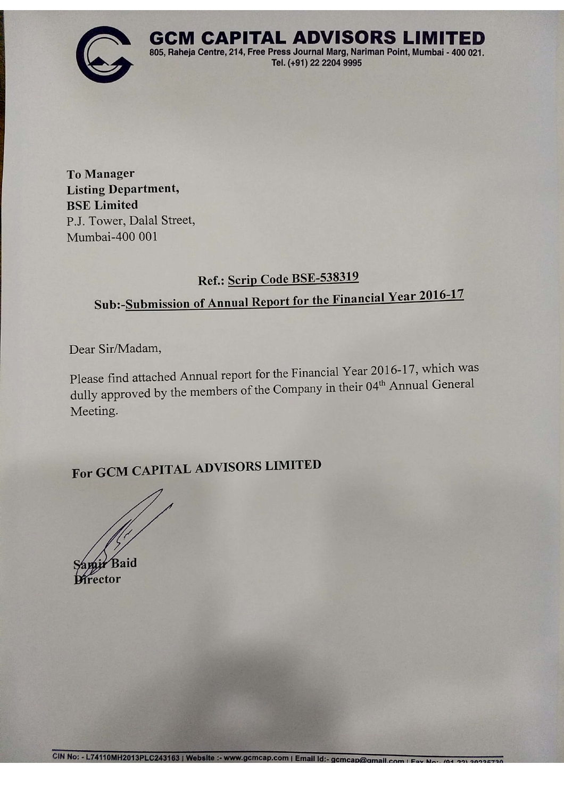

**GCM CAPITAL ADVISORS LIMITED** 805, Raheja Centre, 214, Free Press Journal Marg, Nariman Point, Mumbai - 400 021. Tel. (+91) 22 2204 9995

**To Manager Listing Department, BSE Limited** P.J. Tower, Dalal Street, Mumbai-400 001

## Ref.: Scrip Code BSE-538319

# Sub:-Submission of Annual Report for the Financial Year 2016-17

Dear Sir/Madam,

Please find attached Annual report for the Financial Year 2016-17, which was dully approved by the members of the Company in their 04th Annual General Meeting.

For GCM CAPITAL ADVISORS LIMITED

rector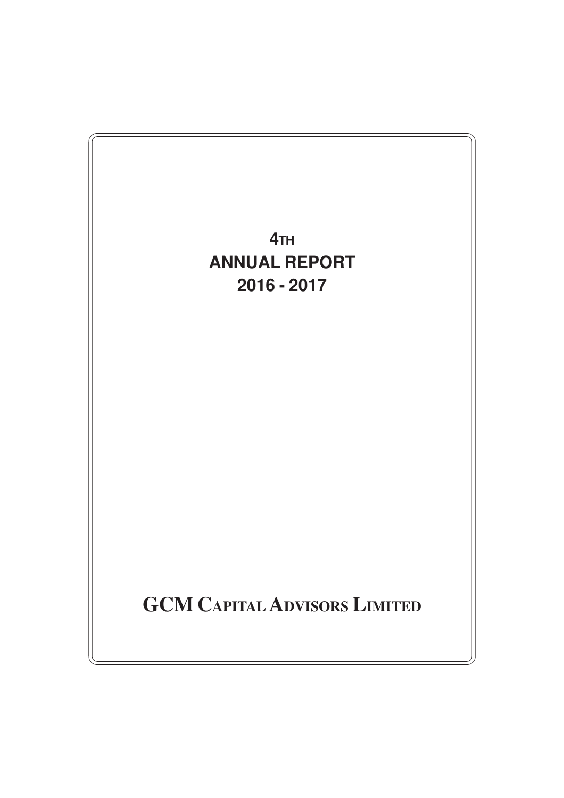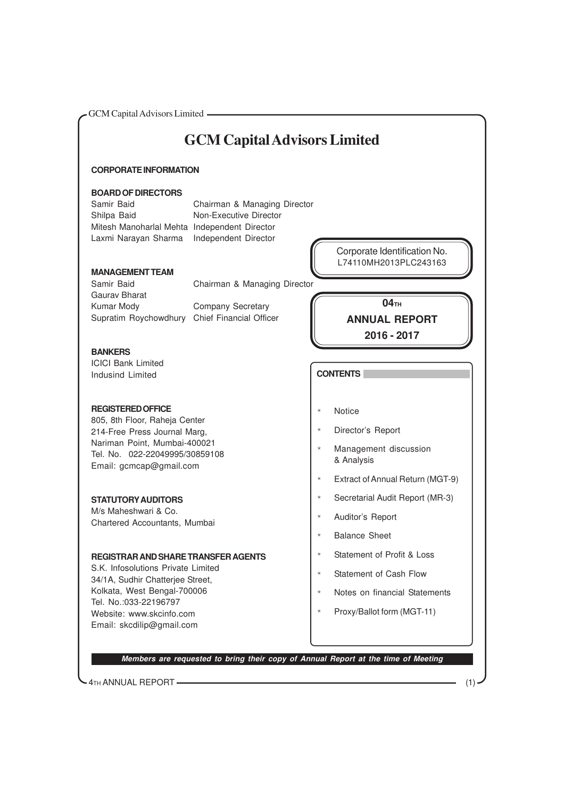GCM Capital Advisors Limited **CORPORATE INFORMATION BOARD OF DIRECTORS** Samir Baid Chairman & Managing Director Shilpa Baid Non-Executive Director Mitesh Manoharlal Mehta Independent Director Laxmi Narayan Sharma Independent Director **MANAGEMENT TEAM** Samir Baid Chairman & Managing Director Gaurav Bharat Kumar Mody Company Secretary Supratim Roychowdhury Chief Financial Officer **BANKERS** ICICI Bank Limited Indusind Limited **REGISTERED OFFICE** 805, 8th Floor, Raheja Center 214-Free Press Journal Marg, Nariman Point, Mumbai-400021 Tel. No. 022-22049995/30859108 Email: gcmcap@gmail.com **STATUTORY AUDITORS** M/s Maheshwari & Co. Chartered Accountants, Mumbai **REGISTRAR AND SHARE TRANSFER AGENTS** S.K. Infosolutions Private Limited 34/1A, Sudhir Chatterjee Street, Kolkata, West Bengal-700006 Tel. No.:033-22196797 Website: www.skcinfo.com Email: skcdilip@gmail.com **GCM Capital Advisors Limited Members are requested to bring their copy of Annual Report at the time of Meeting CONTENTS** \* Notice \* Director's Report \* Management discussion & Analysis **Extract of Annual Return (MGT-9)** \* Secretarial Audit Report (MR-3) \* Auditor's Report \* Balance Sheet \* Statement of Profit & Loss \* Statement of Cash Flow \* Notes on financial Statements \* Proxy/Ballot form (MGT-11) **04TH ANNUAL REPORT 2016 - 2017** Corporate Identification No. L74110MH2013PLC243163

4TH ANNUAL REPORT (1)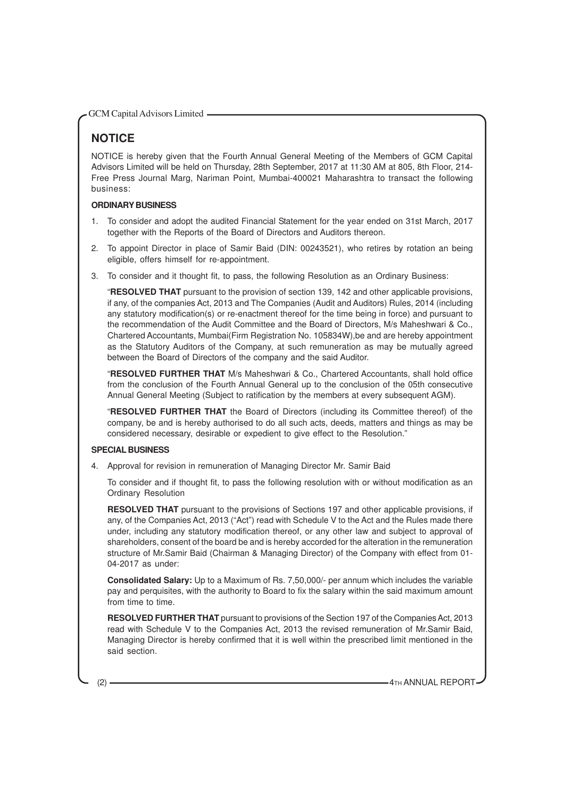## **NOTICE**

NOTICE is hereby given that the Fourth Annual General Meeting of the Members of GCM Capital Advisors Limited will be held on Thursday, 28th September, 2017 at 11:30 AM at 805, 8th Floor, 214- Free Press Journal Marg, Nariman Point, Mumbai-400021 Maharashtra to transact the following business:

#### **ORDINARY BUSINESS**

- 1. To consider and adopt the audited Financial Statement for the year ended on 31st March, 2017 together with the Reports of the Board of Directors and Auditors thereon.
- 2. To appoint Director in place of Samir Baid (DIN: 00243521), who retires by rotation an being eligible, offers himself for re-appointment.
- 3. To consider and it thought fit, to pass, the following Resolution as an Ordinary Business:

"**RESOLVED THAT** pursuant to the provision of section 139, 142 and other applicable provisions, if any, of the companies Act, 2013 and The Companies (Audit and Auditors) Rules, 2014 (including any statutory modification(s) or re-enactment thereof for the time being in force) and pursuant to the recommendation of the Audit Committee and the Board of Directors, M/s Maheshwari & Co., Chartered Accountants, Mumbai(Firm Registration No. 105834W),be and are hereby appointment as the Statutory Auditors of the Company, at such remuneration as may be mutually agreed between the Board of Directors of the company and the said Auditor.

"**RESOLVED FURTHER THAT** M/s Maheshwari & Co., Chartered Accountants, shall hold office from the conclusion of the Fourth Annual General up to the conclusion of the 05th consecutive Annual General Meeting (Subject to ratification by the members at every subsequent AGM).

"**RESOLVED FURTHER THAT** the Board of Directors (including its Committee thereof) of the company, be and is hereby authorised to do all such acts, deeds, matters and things as may be considered necessary, desirable or expedient to give effect to the Resolution."

#### **SPECIAL BUSINESS**

4. Approval for revision in remuneration of Managing Director Mr. Samir Baid

To consider and if thought fit, to pass the following resolution with or without modification as an Ordinary Resolution

**RESOLVED THAT** pursuant to the provisions of Sections 197 and other applicable provisions, if any, of the Companies Act, 2013 ("Act") read with Schedule V to the Act and the Rules made there under, including any statutory modification thereof, or any other law and subject to approval of shareholders, consent of the board be and is hereby accorded for the alteration in the remuneration structure of Mr.Samir Baid (Chairman & Managing Director) of the Company with effect from 01- 04-2017 as under:

**Consolidated Salary:** Up to a Maximum of Rs. 7,50,000/- per annum which includes the variable pay and perquisites, with the authority to Board to fix the salary within the said maximum amount from time to time.

**RESOLVED FURTHER THAT** pursuant to provisions of the Section 197 of the Companies Act, 2013 read with Schedule V to the Companies Act, 2013 the revised remuneration of Mr.Samir Baid, Managing Director is hereby confirmed that it is well within the prescribed limit mentioned in the said section.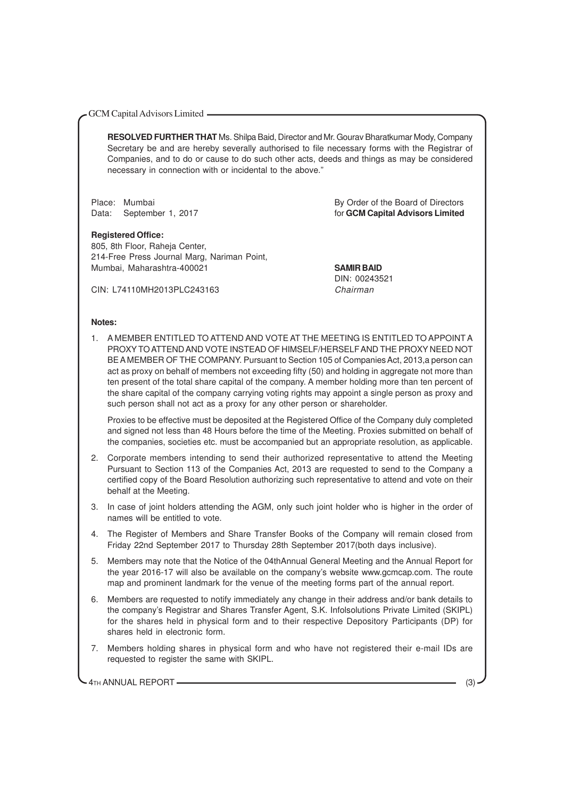**RESOLVED FURTHER THAT** Ms. Shilpa Baid, Director and Mr. Gourav Bharatkumar Mody, Company Secretary be and are hereby severally authorised to file necessary forms with the Registrar of Companies, and to do or cause to do such other acts, deeds and things as may be considered necessary in connection with or incidental to the above."

**Registered Office:**

805, 8th Floor, Raheja Center, 214-Free Press Journal Marg, Nariman Point, Mumbai, Maharashtra-400021 **SAMIR BAID**

Place: Mumbai By Order of the Board of Directors Data: September 1, 2017 **For all and Contract Contract Contract Contract Contract Contract Contract Contract Contract Contract Contract Contract Contract Contract Contract Contract Contract Contract Contract Contract Contr** 

DIN: 00243521

CIN: L74110MH2013PLC243163 Chairman

#### **Notes:**

1. A MEMBER ENTITLED TO ATTEND AND VOTE AT THE MEETING IS ENTITLED TO APPOINT A PROXY TO ATTEND AND VOTE INSTEAD OF HIMSELF/HERSELF AND THE PROXY NEED NOT BE A MEMBER OF THE COMPANY. Pursuant to Section 105 of Companies Act, 2013,a person can act as proxy on behalf of members not exceeding fifty (50) and holding in aggregate not more than ten present of the total share capital of the company. A member holding more than ten percent of the share capital of the company carrying voting rights may appoint a single person as proxy and such person shall not act as a proxy for any other person or shareholder.

Proxies to be effective must be deposited at the Registered Office of the Company duly completed and signed not less than 48 Hours before the time of the Meeting. Proxies submitted on behalf of the companies, societies etc. must be accompanied but an appropriate resolution, as applicable.

- 2. Corporate members intending to send their authorized representative to attend the Meeting Pursuant to Section 113 of the Companies Act, 2013 are requested to send to the Company a certified copy of the Board Resolution authorizing such representative to attend and vote on their behalf at the Meeting.
- 3. In case of joint holders attending the AGM, only such joint holder who is higher in the order of names will be entitled to vote.
- 4. The Register of Members and Share Transfer Books of the Company will remain closed from Friday 22nd September 2017 to Thursday 28th September 2017(both days inclusive).
- 5. Members may note that the Notice of the 04thAnnual General Meeting and the Annual Report for the year 2016-17 will also be available on the company's website www.gcmcap.com. The route map and prominent landmark for the venue of the meeting forms part of the annual report.
- 6. Members are requested to notify immediately any change in their address and/or bank details to the company's Registrar and Shares Transfer Agent, S.K. Infolsolutions Private Limited (SKIPL) for the shares held in physical form and to their respective Depository Participants (DP) for shares held in electronic form.
- 7. Members holding shares in physical form and who have not registered their e-mail IDs are requested to register the same with SKIPL.

4TH ANNUAL REPORT (3)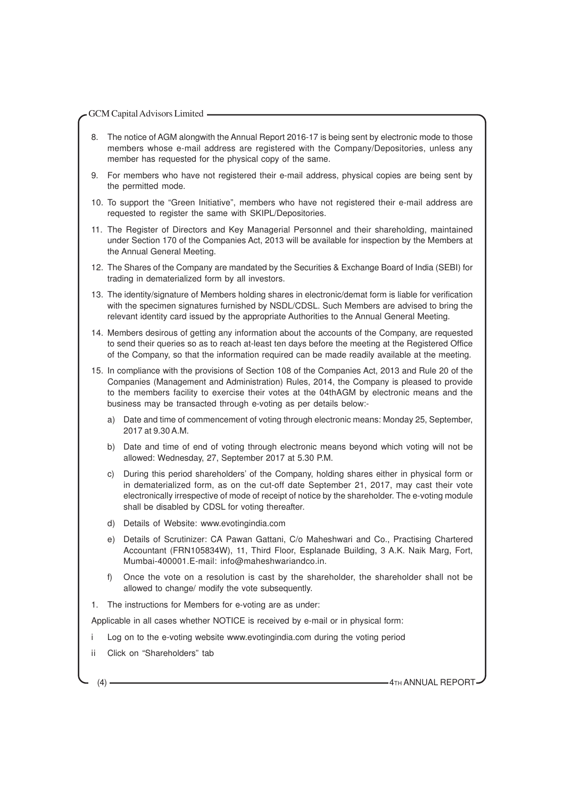- 8. The notice of AGM alongwith the Annual Report 2016-17 is being sent by electronic mode to those members whose e-mail address are registered with the Company/Depositories, unless any member has requested for the physical copy of the same.
- 9. For members who have not registered their e-mail address, physical copies are being sent by the permitted mode.
- 10. To support the "Green Initiative", members who have not registered their e-mail address are requested to register the same with SKIPL/Depositories.
- 11. The Register of Directors and Key Managerial Personnel and their shareholding, maintained under Section 170 of the Companies Act, 2013 will be available for inspection by the Members at the Annual General Meeting.
- 12. The Shares of the Company are mandated by the Securities & Exchange Board of India (SEBI) for trading in dematerialized form by all investors.
- 13. The identity/signature of Members holding shares in electronic/demat form is liable for verification with the specimen signatures furnished by NSDL/CDSL. Such Members are advised to bring the relevant identity card issued by the appropriate Authorities to the Annual General Meeting.
- 14. Members desirous of getting any information about the accounts of the Company, are requested to send their queries so as to reach at-least ten days before the meeting at the Registered Office of the Company, so that the information required can be made readily available at the meeting.
- 15. In compliance with the provisions of Section 108 of the Companies Act, 2013 and Rule 20 of the Companies (Management and Administration) Rules, 2014, the Company is pleased to provide to the members facility to exercise their votes at the 04thAGM by electronic means and the business may be transacted through e-voting as per details below:
	- a) Date and time of commencement of voting through electronic means: Monday 25, September, 2017 at 9.30 A.M.
	- b) Date and time of end of voting through electronic means beyond which voting will not be allowed: Wednesday, 27, September 2017 at 5.30 P.M.
	- c) During this period shareholders' of the Company, holding shares either in physical form or in dematerialized form, as on the cut-off date September 21, 2017, may cast their vote electronically irrespective of mode of receipt of notice by the shareholder. The e-voting module shall be disabled by CDSL for voting thereafter.
	- d) Details of Website: www.evotingindia.com
	- e) Details of Scrutinizer: CA Pawan Gattani, C/o Maheshwari and Co., Practising Chartered Accountant (FRN105834W), 11, Third Floor, Esplanade Building, 3 A.K. Naik Marg, Fort, Mumbai-400001.E-mail: info@maheshwariandco.in.
	- f) Once the vote on a resolution is cast by the shareholder, the shareholder shall not be allowed to change/ modify the vote subsequently.
- 1. The instructions for Members for e-voting are as under:

Applicable in all cases whether NOTICE is received by e-mail or in physical form:

- Log on to the e-voting website www.evotingindia.com during the voting period
- ii Click on "Shareholders" tab

(4) **4TH ANNUAL REPORT**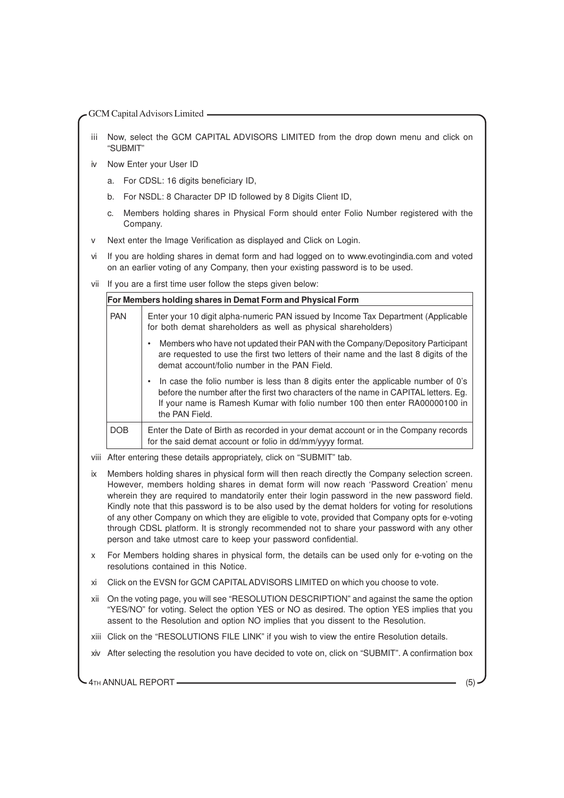- iii Now, select the GCM CAPITAL ADVISORS LIMITED from the drop down menu and click on "SUBMIT"
- iv Now Enter your User ID
	- a. For CDSL: 16 digits beneficiary ID,
	- b. For NSDL: 8 Character DP ID followed by 8 Digits Client ID,
	- c. Members holding shares in Physical Form should enter Folio Number registered with the Company.
- v Next enter the Image Verification as displayed and Click on Login.
- vi If you are holding shares in demat form and had logged on to www.evotingindia.com and voted on an earlier voting of any Company, then your existing password is to be used.
- vii If you are a first time user follow the steps given below:

**For Members holding shares in Demat Form and Physical Form** PAN Enter your 10 digit alpha-numeric PAN issued by Income Tax Department (Applicable for both demat shareholders as well as physical shareholders) • Members who have not updated their PAN with the Company/Depository Participant are requested to use the first two letters of their name and the last 8 digits of the demat account/folio number in the PAN Field. • In case the folio number is less than 8 digits enter the applicable number of 0's before the number after the first two characters of the name in CAPITAL letters. Eg. If your name is Ramesh Kumar with folio number 100 then enter RA00000100 in the PAN Field. DOB | Enter the Date of Birth as recorded in your demat account or in the Company records for the said demat account or folio in dd/mm/yyyy format.

- viii After entering these details appropriately, click on "SUBMIT" tab.
- ix Members holding shares in physical form will then reach directly the Company selection screen. However, members holding shares in demat form will now reach 'Password Creation' menu wherein they are required to mandatorily enter their login password in the new password field. Kindly note that this password is to be also used by the demat holders for voting for resolutions of any other Company on which they are eligible to vote, provided that Company opts for e-voting through CDSL platform. It is strongly recommended not to share your password with any other person and take utmost care to keep your password confidential.
- For Members holding shares in physical form, the details can be used only for e-voting on the resolutions contained in this Notice.
- xi Click on the EVSN for GCM CAPITALADVISORS LIMITED on which you choose to vote.
- xii On the voting page, you will see "RESOLUTION DESCRIPTION" and against the same the option "YES/NO" for voting. Select the option YES or NO as desired. The option YES implies that you assent to the Resolution and option NO implies that you dissent to the Resolution.
- xiii Click on the "RESOLUTIONS FILE LINK" if you wish to view the entire Resolution details.
- xiv After selecting the resolution you have decided to vote on, click on "SUBMIT". A confirmation box

4TH ANNUAL REPORT (5)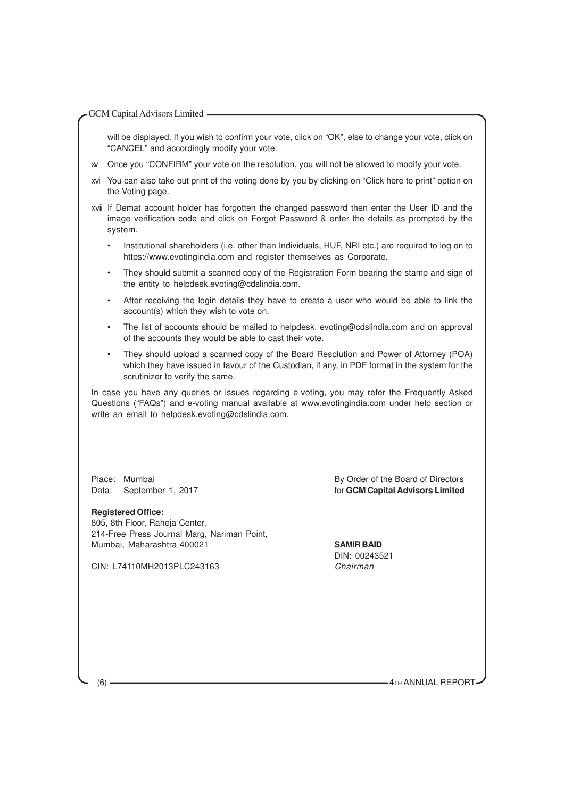will be displayed. If you wish to confirm your vote, click on "OK", else to change your vote, click on "CANCEL" and accordingly modify your vote.

- xv Once you "CONFIRM" your vote on the resolution, you will not be allowed to modify your vote.
- xvi You can also take out print of the voting done by you by clicking on "Click here to print" option on the Voting page.
- xvii If Demat account holder has forgotten the changed password then enter the User ID and the image verification code and click on Forgot Password & enter the details as prompted by the system.
	- Institutional shareholders (i.e. other than Individuals, HUF, NRI etc.) are required to log on to https://www.evotingindia.com and register themselves as Corporate.
	- They should submit a scanned copy of the Registration Form bearing the stamp and sign of the entity to helpdesk.evoting@cdslindia.com.
	- After receiving the login details they have to create a user who would be able to link the account(s) which they wish to vote on.
	- The list of accounts should be mailed to helpdesk. evoting@cdslindia.com and on approval of the accounts they would be able to cast their vote.
	- They should upload a scanned copy of the Board Resolution and Power of Attorney (POA) which they have issued in favour of the Custodian, if any, in PDF format in the system for the scrutinizer to verify the same.

In case you have any queries or issues regarding e-voting, you may refer the Frequently Asked Questions ("FAQs") and e-voting manual available at www.evotingindia.com under help section or write an email to helpdesk.evoting@cdslindia.com.

#### **Registered Office:**

805, 8th Floor, Raheja Center, 214-Free Press Journal Marg, Nariman Point, Mumbai, Maharashtra-400021 **SAMIR BAID**

CIN: L74110MH2013PLC243163 Chairman

Place: Mumbai **By Order of the Board of Directors** Data: September 1, 2017 **and Capital Advisors Limited** for **GCM Capital Advisors Limited** 

DIN: 00243521

(6) **4TH ANNUAL REPORT**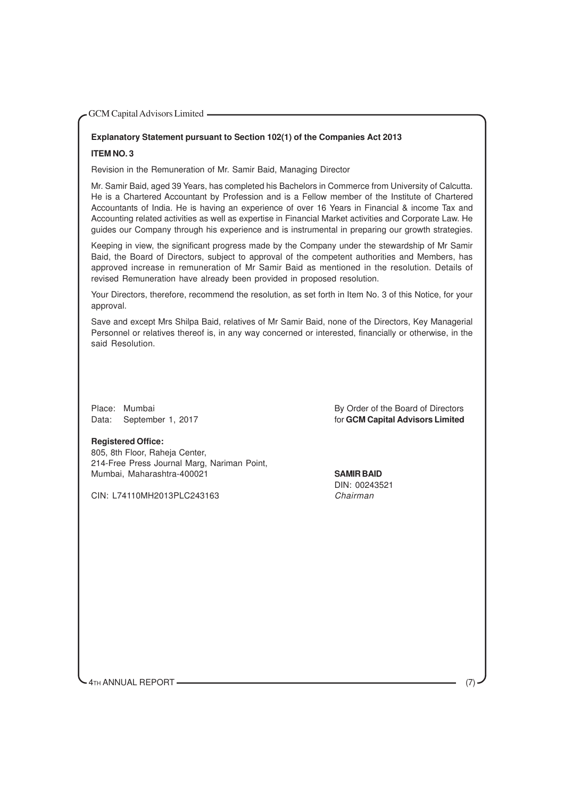## **Explanatory Statement pursuant to Section 102(1) of the Companies Act 2013**

#### **ITEM NO. 3**

Revision in the Remuneration of Mr. Samir Baid, Managing Director

Mr. Samir Baid, aged 39 Years, has completed his Bachelors in Commerce from University of Calcutta. He is a Chartered Accountant by Profession and is a Fellow member of the Institute of Chartered Accountants of India. He is having an experience of over 16 Years in Financial & income Tax and Accounting related activities as well as expertise in Financial Market activities and Corporate Law. He guides our Company through his experience and is instrumental in preparing our growth strategies.

Keeping in view, the significant progress made by the Company under the stewardship of Mr Samir Baid, the Board of Directors, subject to approval of the competent authorities and Members, has approved increase in remuneration of Mr Samir Baid as mentioned in the resolution. Details of revised Remuneration have already been provided in proposed resolution.

Your Directors, therefore, recommend the resolution, as set forth in Item No. 3 of this Notice, for your approval.

Save and except Mrs Shilpa Baid, relatives of Mr Samir Baid, none of the Directors, Key Managerial Personnel or relatives thereof is, in any way concerned or interested, financially or otherwise, in the said Resolution.

Place: Mumbai **By Order of the Board of Directors** Data: September 1, 2017 and the state of the separation of **GCM Capital Advisors Limited** 

#### **Registered Office:**

805, 8th Floor, Raheja Center, 214-Free Press Journal Marg, Nariman Point, Mumbai, Maharashtra-400021 **SAMIR BAID**

CIN: L74110MH2013PLC243163 Chairman

DIN: 00243521

4TH ANNUAL REPORT (7)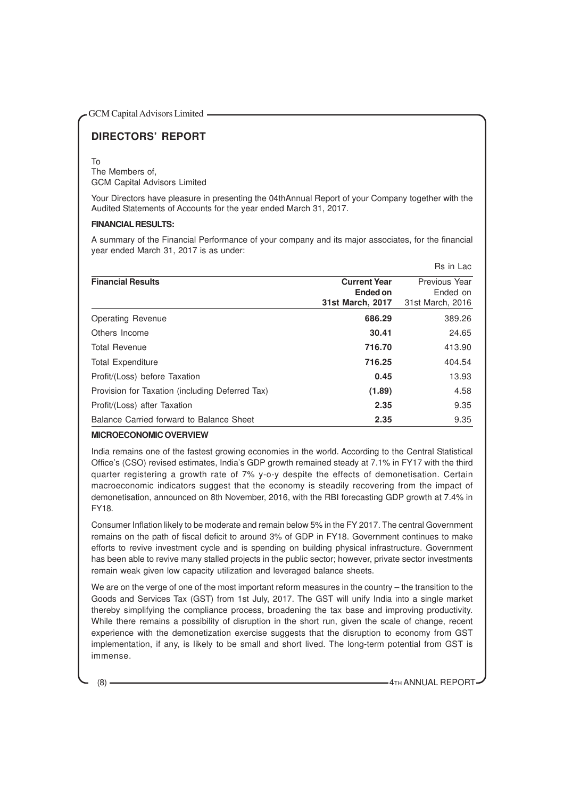## **DIRECTORS' REPORT**

#### To

The Members of, GCM Capital Advisors Limited

Your Directors have pleasure in presenting the 04thAnnual Report of your Company together with the Audited Statements of Accounts for the year ended March 31, 2017.

#### **FINANCIAL RESULTS:**

A summary of the Financial Performance of your company and its major associates, for the financial year ended March 31, 2017 is as under:

|                                                 |                     | ns III Lac       |
|-------------------------------------------------|---------------------|------------------|
| <b>Financial Results</b>                        | <b>Current Year</b> | Previous Year    |
|                                                 | Ended on            | Ended on         |
|                                                 | 31st March, 2017    | 31st March, 2016 |
| Operating Revenue                               | 686.29              | 389.26           |
| Others Income                                   | 30.41               | 24.65            |
| <b>Total Revenue</b>                            | 716.70              | 413.90           |
| <b>Total Expenditure</b>                        | 716.25              | 404.54           |
| Profit/(Loss) before Taxation                   | 0.45                | 13.93            |
| Provision for Taxation (including Deferred Tax) | (1.89)              | 4.58             |
| Profit/(Loss) after Taxation                    | 2.35                | 9.35             |
| Balance Carried forward to Balance Sheet        | 2.35                | 9.35             |

#### **MICROECONOMIC OVERVIEW**

India remains one of the fastest growing economies in the world. According to the Central Statistical Office's (CSO) revised estimates, India's GDP growth remained steady at 7.1% in FY17 with the third quarter registering a growth rate of 7% y-o-y despite the effects of demonetisation. Certain macroeconomic indicators suggest that the economy is steadily recovering from the impact of demonetisation, announced on 8th November, 2016, with the RBI forecasting GDP growth at 7.4% in FY18.

Consumer Inflation likely to be moderate and remain below 5% in the FY 2017. The central Government remains on the path of fiscal deficit to around 3% of GDP in FY18. Government continues to make efforts to revive investment cycle and is spending on building physical infrastructure. Government has been able to revive many stalled projects in the public sector; however, private sector investments remain weak given low capacity utilization and leveraged balance sheets.

We are on the verge of one of the most important reform measures in the country – the transition to the Goods and Services Tax (GST) from 1st July, 2017. The GST will unify India into a single market thereby simplifying the compliance process, broadening the tax base and improving productivity. While there remains a possibility of disruption in the short run, given the scale of change, recent experience with the demonetization exercise suggests that the disruption to economy from GST implementation, if any, is likely to be small and short lived. The long-term potential from GST is immense.

(8) **4TH ANNUAL REPORT** 

Rs in Lac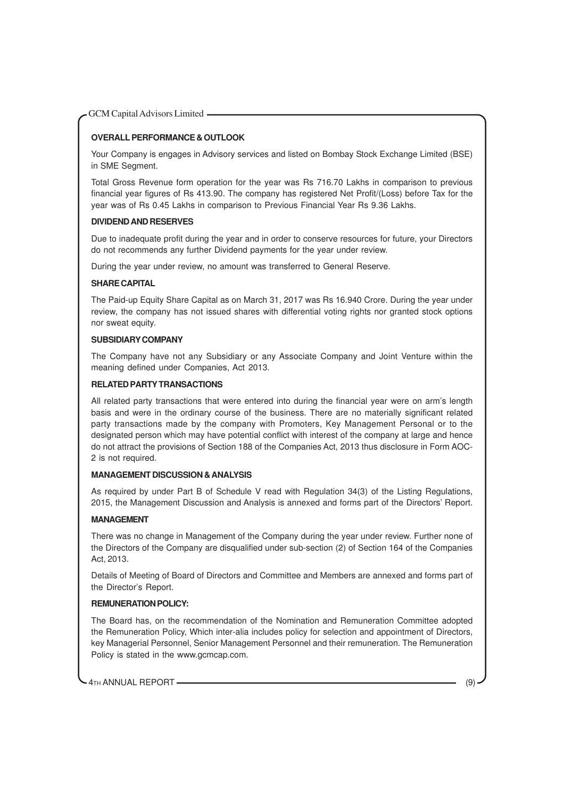#### **OVERALL PERFORMANCE & OUTLOOK**

Your Company is engages in Advisory services and listed on Bombay Stock Exchange Limited (BSE) in SME Segment.

Total Gross Revenue form operation for the year was Rs 716.70 Lakhs in comparison to previous financial year figures of Rs 413.90. The company has registered Net Profit/(Loss) before Tax for the year was of Rs 0.45 Lakhs in comparison to Previous Financial Year Rs 9.36 Lakhs.

#### **DIVIDEND AND RESERVES**

Due to inadequate profit during the year and in order to conserve resources for future, your Directors do not recommends any further Dividend payments for the year under review.

During the year under review, no amount was transferred to General Reserve.

#### **SHARE CAPITAL**

The Paid-up Equity Share Capital as on March 31, 2017 was Rs 16.940 Crore. During the year under review, the company has not issued shares with differential voting rights nor granted stock options nor sweat equity.

#### **SUBSIDIARY COMPANY**

The Company have not any Subsidiary or any Associate Company and Joint Venture within the meaning defined under Companies, Act 2013.

#### **RELATED PARTY TRANSACTIONS**

All related party transactions that were entered into during the financial year were on arm's length basis and were in the ordinary course of the business. There are no materially significant related party transactions made by the company with Promoters, Key Management Personal or to the designated person which may have potential conflict with interest of the company at large and hence do not attract the provisions of Section 188 of the Companies Act, 2013 thus disclosure in Form AOC-2 is not required.

#### **MANAGEMENT DISCUSSION & ANALYSIS**

As required by under Part B of Schedule V read with Regulation 34(3) of the Listing Regulations, 2015, the Management Discussion and Analysis is annexed and forms part of the Directors' Report.

#### **MANAGEMENT**

There was no change in Management of the Company during the year under review. Further none of the Directors of the Company are disqualified under sub-section (2) of Section 164 of the Companies Act, 2013.

Details of Meeting of Board of Directors and Committee and Members are annexed and forms part of the Director's Report.

#### **REMUNERATION POLICY:**

The Board has, on the recommendation of the Nomination and Remuneration Committee adopted the Remuneration Policy, Which inter-alia includes policy for selection and appointment of Directors, key Managerial Personnel, Senior Management Personnel and their remuneration. The Remuneration Policy is stated in the www.gcmcap.com.

4TH ANNUAL REPORT (9)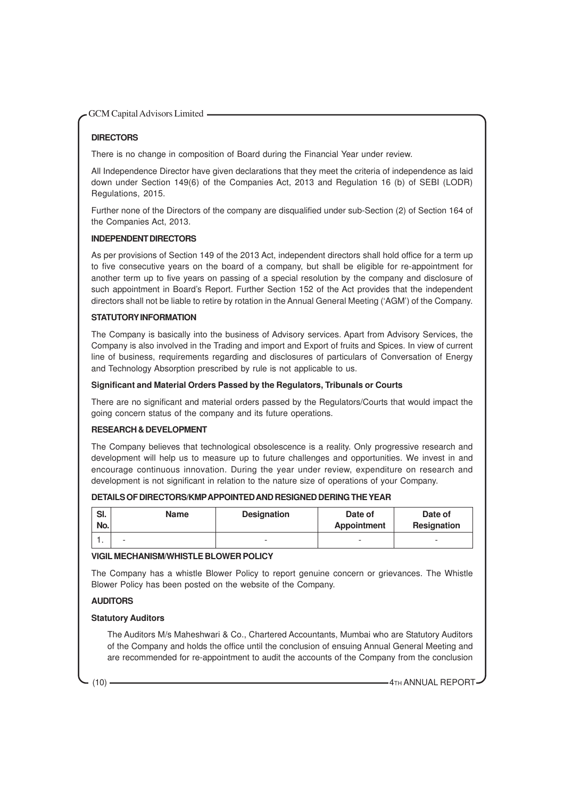#### **DIRECTORS**

There is no change in composition of Board during the Financial Year under review.

All Independence Director have given declarations that they meet the criteria of independence as laid down under Section 149(6) of the Companies Act, 2013 and Regulation 16 (b) of SEBI (LODR) Regulations, 2015.

Further none of the Directors of the company are disqualified under sub-Section (2) of Section 164 of the Companies Act, 2013.

#### **INDEPENDENT DIRECTORS**

As per provisions of Section 149 of the 2013 Act, independent directors shall hold office for a term up to five consecutive years on the board of a company, but shall be eligible for re-appointment for another term up to five years on passing of a special resolution by the company and disclosure of such appointment in Board's Report. Further Section 152 of the Act provides that the independent directors shall not be liable to retire by rotation in the Annual General Meeting ('AGM') of the Company.

#### **STATUTORY INFORMATION**

The Company is basically into the business of Advisory services. Apart from Advisory Services, the Company is also involved in the Trading and import and Export of fruits and Spices. In view of current line of business, requirements regarding and disclosures of particulars of Conversation of Energy and Technology Absorption prescribed by rule is not applicable to us.

#### **Significant and Material Orders Passed by the Regulators, Tribunals or Courts**

There are no significant and material orders passed by the Regulators/Courts that would impact the going concern status of the company and its future operations.

#### **RESEARCH & DEVELOPMENT**

The Company believes that technological obsolescence is a reality. Only progressive research and development will help us to measure up to future challenges and opportunities. We invest in and encourage continuous innovation. During the year under review, expenditure on research and development is not significant in relation to the nature size of operations of your Company.

#### **DETAILS OF DIRECTORS/KMPAPPOINTED AND RESIGNED DERING THE YEAR**

| SI.<br>No. | <b>Name</b> | <b>Designation</b>       | Date of<br>Appointment   | Date of<br><b>Resignation</b> |
|------------|-------------|--------------------------|--------------------------|-------------------------------|
| . .        | -           | $\overline{\phantom{a}}$ | $\overline{\phantom{a}}$ | $\overline{\phantom{0}}$      |

#### **VIGIL MECHANISM/WHISTLE BLOWER POLICY**

The Company has a whistle Blower Policy to report genuine concern or grievances. The Whistle Blower Policy has been posted on the website of the Company.

#### **AUDITORS**

#### **Statutory Auditors**

The Auditors M/s Maheshwari & Co., Chartered Accountants, Mumbai who are Statutory Auditors of the Company and holds the office until the conclusion of ensuing Annual General Meeting and are recommended for re-appointment to audit the accounts of the Company from the conclusion

(10)  $\longrightarrow$  4TH ANNUAL REPORT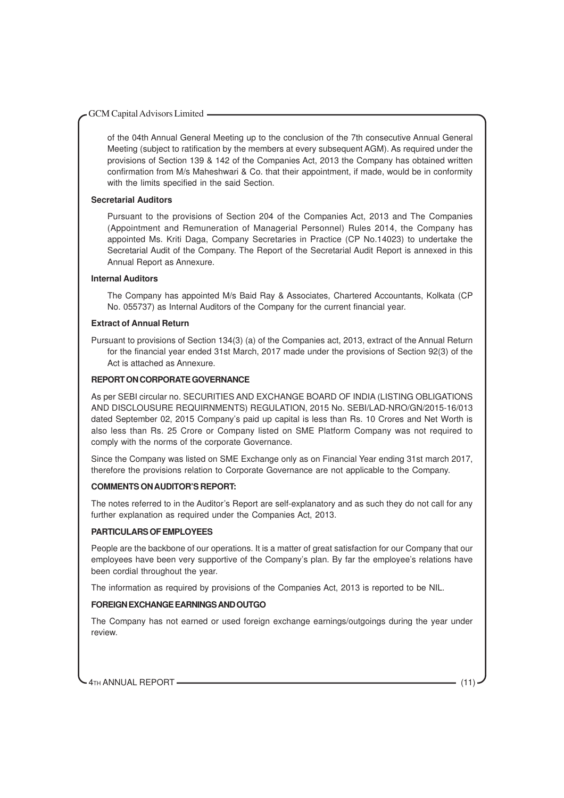of the 04th Annual General Meeting up to the conclusion of the 7th consecutive Annual General Meeting (subject to ratification by the members at every subsequent AGM). As required under the provisions of Section 139 & 142 of the Companies Act, 2013 the Company has obtained written confirmation from M/s Maheshwari & Co. that their appointment, if made, would be in conformity with the limits specified in the said Section.

#### **Secretarial Auditors**

Pursuant to the provisions of Section 204 of the Companies Act, 2013 and The Companies (Appointment and Remuneration of Managerial Personnel) Rules 2014, the Company has appointed Ms. Kriti Daga, Company Secretaries in Practice (CP No.14023) to undertake the Secretarial Audit of the Company. The Report of the Secretarial Audit Report is annexed in this Annual Report as Annexure.

#### **Internal Auditors**

The Company has appointed M/s Baid Ray & Associates, Chartered Accountants, Kolkata (CP No. 055737) as Internal Auditors of the Company for the current financial year.

#### **Extract of Annual Return**

Pursuant to provisions of Section 134(3) (a) of the Companies act, 2013, extract of the Annual Return for the financial year ended 31st March, 2017 made under the provisions of Section 92(3) of the Act is attached as Annexure.

#### **REPORT ON CORPORATE GOVERNANCE**

As per SEBI circular no. SECURITIES AND EXCHANGE BOARD OF INDIA (LISTING OBLIGATIONS AND DISCLOUSURE REQUIRNMENTS) REGULATION, 2015 No. SEBI/LAD-NRO/GN/2015-16/013 dated September 02, 2015 Company's paid up capital is less than Rs. 10 Crores and Net Worth is also less than Rs. 25 Crore or Company listed on SME Platform Company was not required to comply with the norms of the corporate Governance.

Since the Company was listed on SME Exchange only as on Financial Year ending 31st march 2017, therefore the provisions relation to Corporate Governance are not applicable to the Company.

#### **COMMENTS ON AUDITOR'S REPORT:**

The notes referred to in the Auditor's Report are self-explanatory and as such they do not call for any further explanation as required under the Companies Act, 2013.

#### **PARTICULARS OF EMPLOYEES**

People are the backbone of our operations. It is a matter of great satisfaction for our Company that our employees have been very supportive of the Company's plan. By far the employee's relations have been cordial throughout the year.

The information as required by provisions of the Companies Act, 2013 is reported to be NIL.

#### **FOREIGN EXCHANGE EARNINGS AND OUTGO**

The Company has not earned or used foreign exchange earnings/outgoings during the year under review.

4TH ANNUAL REPORT (11) (11)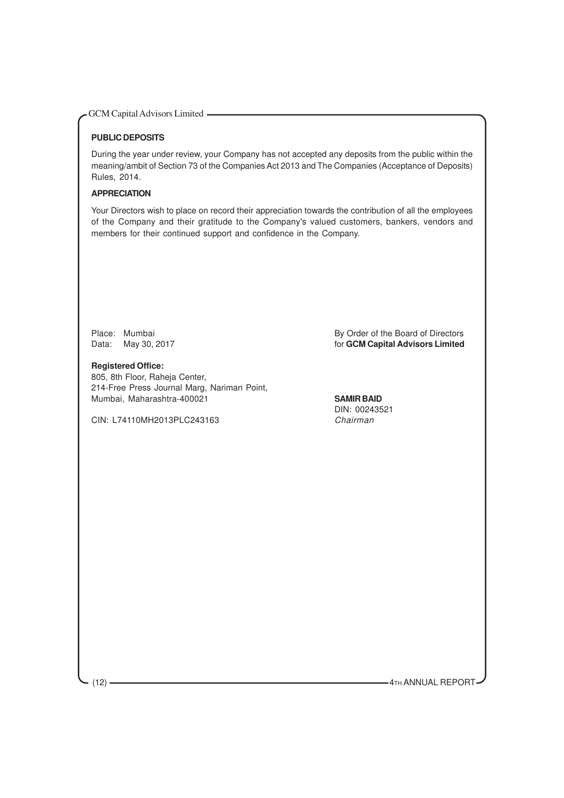#### **PUBLIC DEPOSITS**

During the year under review, your Company has not accepted any deposits from the public within the meaning/ambit of Section 73 of the Companies Act 2013 and The Companies (Acceptance of Deposits) Rules, 2014.

#### **APPRECIATION**

Your Directors wish to place on record their appreciation towards the contribution of all the employees of the Company and their gratitude to the Company's valued customers, bankers, vendors and members for their continued support and confidence in the Company.

**Registered Office:** 805, 8th Floor, Raheja Center, 214-Free Press Journal Marg, Nariman Point, Mumbai, Maharashtra-400021 **SAMIR BAID**

CIN: L74110MH2013PLC243163 Chairman

Place: Mumbai By Order of the Board of Directors<br>
Data: May 30, 2017 **By Order of the Board of Directors** for **GCM Capital Advisors Limited** 

DIN: 00243521

(12) **CONTRACTED ACCORDING TO A THE ANNUAL REPORT**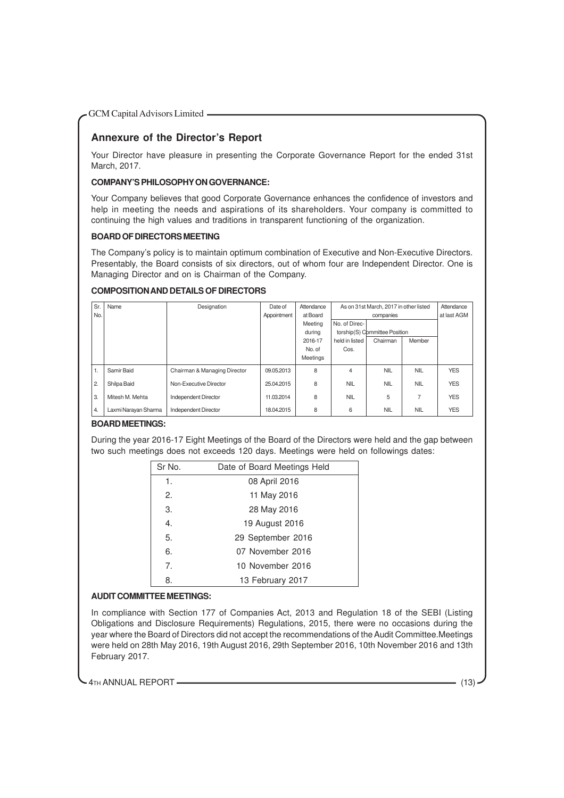### **Annexure of the Director's Report**

Your Director have pleasure in presenting the Corporate Governance Report for the ended 31st March, 2017.

#### **COMPANY'S PHILOSOPHY ON GOVERNANCE:**

Your Company believes that good Corporate Governance enhances the confidence of investors and help in meeting the needs and aspirations of its shareholders. Your company is committed to continuing the high values and traditions in transparent functioning of the organization.

#### **BOARD OF DIRECTORS MEETING**

The Company's policy is to maintain optimum combination of Executive and Non-Executive Directors. Presentably, the Board consists of six directors, out of whom four are Independent Director. One is Managing Director and on is Chairman of the Company.

#### **COMPOSITION AND DETAILS OF DIRECTORS**

| Sr.            | Name                 | Designation                  | Date of     | Attendance | As on 31st March, 2017 in other listed |                               |                | Attendance  |
|----------------|----------------------|------------------------------|-------------|------------|----------------------------------------|-------------------------------|----------------|-------------|
| No.            |                      |                              | Appointment | at Board   | companies                              |                               |                | at last AGM |
|                |                      |                              |             | Meeting    | No. of Direc-                          |                               |                |             |
|                |                      |                              |             | during     |                                        | torship(S) Committee Position |                |             |
|                |                      |                              |             | 2016-17    | held in listed                         | Chairman                      | Member         |             |
|                |                      |                              |             | No. of     | Cos.                                   |                               |                |             |
|                |                      |                              |             | Meetings   |                                        |                               |                |             |
| 1.             | Samir Baid           | Chairman & Managing Director | 09.05.2013  | 8          | 4                                      | <b>NIL</b>                    | <b>NIL</b>     | <b>YES</b>  |
| $\overline{2}$ | Shilpa Baid          | Non-Executive Director       | 25.04.2015  | 8          | <b>NIL</b>                             | <b>NIL</b>                    | <b>NIL</b>     | <b>YES</b>  |
| 3.             | Mitesh M. Mehta      | Independent Director         | 11.03.2014  | 8          | <b>NIL</b>                             | 5                             | $\overline{7}$ | <b>YES</b>  |
| 4.             | Laxmi Narayan Sharma | Independent Director         | 18.04.2015  | 8          | 6                                      | <b>NIL</b>                    | <b>NIL</b>     | <b>YES</b>  |

#### **BOARD MEETINGS:**

During the year 2016-17 Eight Meetings of the Board of the Directors were held and the gap between two such meetings does not exceeds 120 days. Meetings were held on followings dates:

| Sr No. | Date of Board Meetings Held |
|--------|-----------------------------|
| 1.     | 08 April 2016               |
| 2.     | 11 May 2016                 |
| 3.     | 28 May 2016                 |
| 4.     | 19 August 2016              |
| 5.     | 29 September 2016           |
| 6.     | 07 November 2016            |
| 7.     | 10 November 2016            |
| 8.     | 13 February 2017            |

#### **AUDIT COMMITTEE MEETINGS:**

In compliance with Section 177 of Companies Act, 2013 and Regulation 18 of the SEBI (Listing Obligations and Disclosure Requirements) Regulations, 2015, there were no occasions during the year where the Board of Directors did not accept the recommendations of the Audit Committee.Meetings were held on 28th May 2016, 19th August 2016, 29th September 2016, 10th November 2016 and 13th February 2017.

4TH ANNUAL REPORT (13)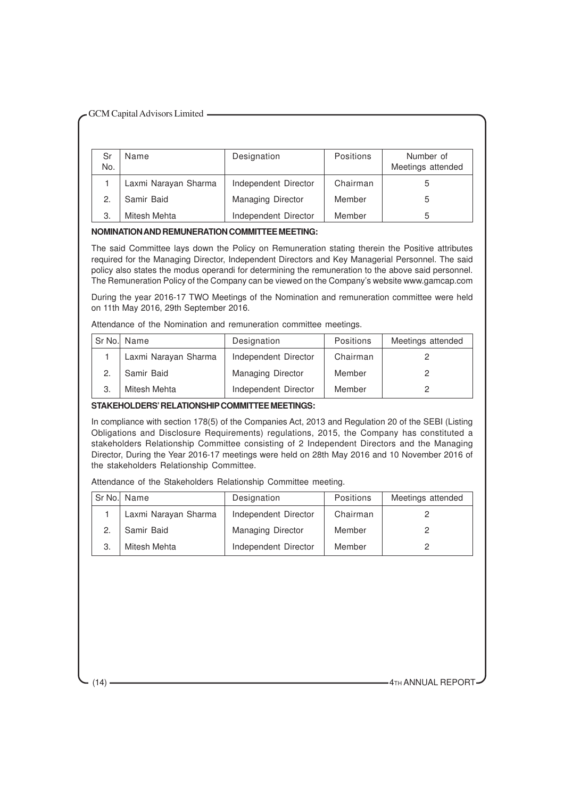| Sr<br>No. | Name                 | Designation              | Positions | Number of<br>Meetings attended |
|-----------|----------------------|--------------------------|-----------|--------------------------------|
|           | Laxmi Narayan Sharma | Independent Director     | Chairman  | 5                              |
| 2.        | Samir Baid           | <b>Managing Director</b> | Member    | 5                              |
| З.        | Mitesh Mehta         | Independent Director     | Member    | 5                              |

#### **NOMINATION AND REMUNERATION COMMITTEE MEETING:**

The said Committee lays down the Policy on Remuneration stating therein the Positive attributes required for the Managing Director, Independent Directors and Key Managerial Personnel. The said policy also states the modus operandi for determining the remuneration to the above said personnel. The Remuneration Policy of the Company can be viewed on the Company's website www.gamcap.com

During the year 2016-17 TWO Meetings of the Nomination and remuneration committee were held on 11th May 2016, 29th September 2016.

Attendance of the Nomination and remuneration committee meetings.

| Sr No. Name          | Designation          | Positions | Meetings attended |
|----------------------|----------------------|-----------|-------------------|
| Laxmi Narayan Sharma | Independent Director | Chairman  |                   |
| Samir Baid           | Managing Director    | Member    |                   |
| Mitesh Mehta         | Independent Director | Member    |                   |

#### **STAKEHOLDERS' RELATIONSHIP COMMITTEE MEETINGS:**

In compliance with section 178(5) of the Companies Act, 2013 and Regulation 20 of the SEBI (Listing Obligations and Disclosure Requirements) regulations, 2015, the Company has constituted a stakeholders Relationship Committee consisting of 2 Independent Directors and the Managing Director, During the Year 2016-17 meetings were held on 28th May 2016 and 10 November 2016 of the stakeholders Relationship Committee.

Attendance of the Stakeholders Relationship Committee meeting.

| Sr No. Name          | Designation              | Positions | Meetings attended |
|----------------------|--------------------------|-----------|-------------------|
| Laxmi Narayan Sharma | Independent Director     | Chairman  |                   |
| Samir Baid           | <b>Managing Director</b> | Member    |                   |
| Mitesh Mehta         | Independent Director     | Member    |                   |

 $(14)$   $\longrightarrow$   $4$ TH ANNUAL REPORT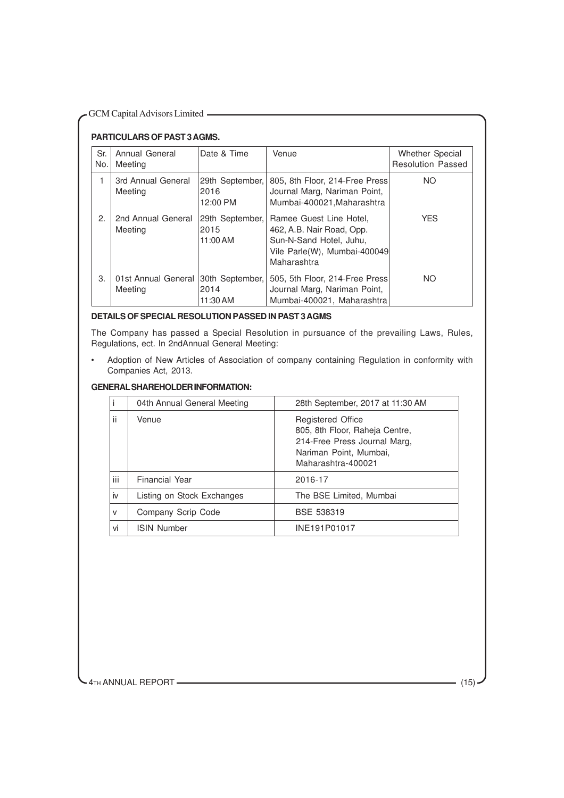### **PARTICULARS OF PAST 3 AGMS.**

| Sr.<br>No. | Annual General<br>Meeting      | Date & Time                         | Venue                                                                                                                          | Whether Special<br><b>Resolution Passed</b> |  |
|------------|--------------------------------|-------------------------------------|--------------------------------------------------------------------------------------------------------------------------------|---------------------------------------------|--|
| 1          | 3rd Annual General<br>Meeting  | 29th September,<br>2016<br>12:00 PM | 805, 8th Floor, 214-Free Press<br>Journal Marg, Nariman Point,<br>Mumbai-400021, Maharashtra                                   | NO.                                         |  |
| 2.         | 2nd Annual General<br>Meeting  | 29th September,<br>2015<br>11:00 AM | Ramee Guest Line Hotel,<br>462, A.B. Nair Road, Opp.<br>Sun-N-Sand Hotel, Juhu,<br>Vile Parle(W), Mumbai-400049<br>Maharashtra | <b>YES</b>                                  |  |
| 3.         | 01st Annual General<br>Meeting | 30th September,<br>2014<br>11:30 AM | 505, 5th Floor, 214-Free Press<br>Journal Marg, Nariman Point,<br>Mumbai-400021, Maharashtra                                   | <b>NO</b>                                   |  |

#### **DETAILS OF SPECIAL RESOLUTION PASSED IN PAST 3 AGMS**

The Company has passed a Special Resolution in pursuance of the prevailing Laws, Rules, Regulations, ect. In 2ndAnnual General Meeting:

• Adoption of New Articles of Association of company containing Regulation in conformity with Companies Act, 2013.

#### **GENERAL SHAREHOLDER INFORMATION:**

|     | 04th Annual General Meeting | 28th September, 2017 at 11:30 AM                                                                                                           |  |
|-----|-----------------------------|--------------------------------------------------------------------------------------------------------------------------------------------|--|
| ii  | Venue                       | <b>Registered Office</b><br>805, 8th Floor, Raheja Centre,<br>214-Free Press Journal Marg,<br>Nariman Point, Mumbai,<br>Maharashtra-400021 |  |
| iii | <b>Financial Year</b>       | 2016-17                                                                                                                                    |  |
| iv  | Listing on Stock Exchanges  | The BSE Limited, Mumbai                                                                                                                    |  |
| v   | Company Scrip Code          | BSE 538319                                                                                                                                 |  |
| vi  | <b>ISIN Number</b>          | INE191P01017                                                                                                                               |  |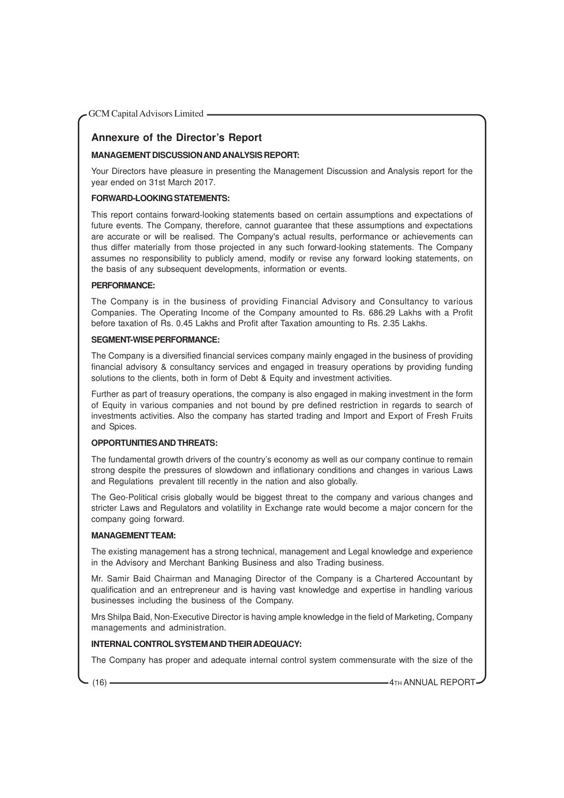### **Annexure of the Director's Report**

#### **MANAGEMENT DISCUSSION AND ANALYSIS REPORT:**

Your Directors have pleasure in presenting the Management Discussion and Analysis report for the year ended on 31st March 2017.

#### **FORWARD-LOOKING STATEMENTS:**

This report contains forward-looking statements based on certain assumptions and expectations of future events. The Company, therefore, cannot guarantee that these assumptions and expectations are accurate or will be realised. The Company's actual results, performance or achievements can thus differ materially from those projected in any such forward-looking statements. The Company assumes no responsibility to publicly amend, modify or revise any forward looking statements, on the basis of any subsequent developments, information or events.

#### **PERFORMANCE:**

The Company is in the business of providing Financial Advisory and Consultancy to various Companies. The Operating Income of the Company amounted to Rs. 686.29 Lakhs with a Profit before taxation of Rs. 0.45 Lakhs and Profit after Taxation amounting to Rs. 2.35 Lakhs.

#### **SEGMENT-WISE PERFORMANCE:**

The Company is a diversified financial services company mainly engaged in the business of providing financial advisory & consultancy services and engaged in treasury operations by providing funding solutions to the clients, both in form of Debt & Equity and investment activities.

Further as part of treasury operations, the company is also engaged in making investment in the form of Equity in various companies and not bound by pre defined restriction in regards to search of investments activities. Also the company has started trading and Import and Export of Fresh Fruits and Spices.

#### **OPPORTUNITIES AND THREATS:**

The fundamental growth drivers of the country's economy as well as our company continue to remain strong despite the pressures of slowdown and inflationary conditions and changes in various Laws and Regulations prevalent till recently in the nation and also globally.

The Geo-Political crisis globally would be biggest threat to the company and various changes and stricter Laws and Regulators and volatility in Exchange rate would become a major concern for the company going forward.

#### **MANAGEMENT TEAM:**

The existing management has a strong technical, management and Legal knowledge and experience in the Advisory and Merchant Banking Business and also Trading business.

Mr. Samir Baid Chairman and Managing Director of the Company is a Chartered Accountant by qualification and an entrepreneur and is having vast knowledge and expertise in handling various businesses including the business of the Company.

Mrs Shilpa Baid, Non-Executive Director is having ample knowledge in the field of Marketing, Company managements and administration.

#### **INTERNAL CONTROL SYSTEM AND THEIR ADEQUACY:**

The Company has proper and adequate internal control system commensurate with the size of the

(16) **4TH ANNUAL REPORT**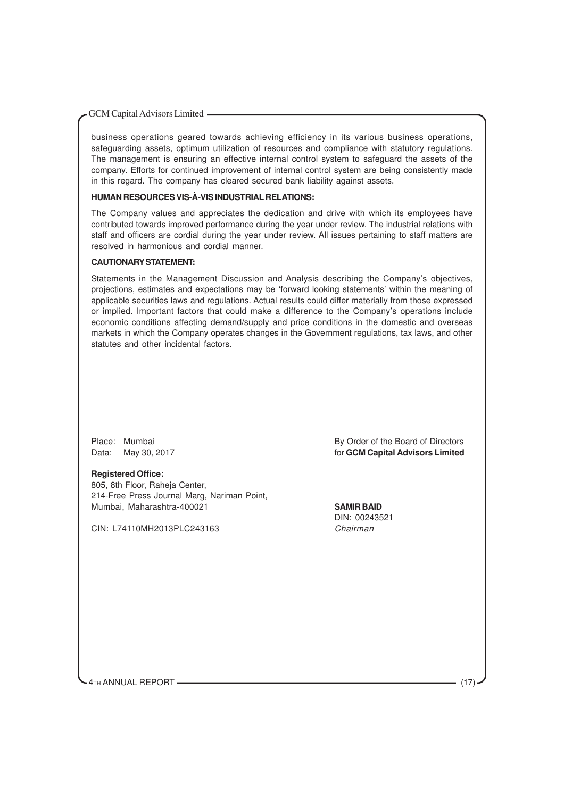business operations geared towards achieving efficiency in its various business operations, safeguarding assets, optimum utilization of resources and compliance with statutory regulations. The management is ensuring an effective internal control system to safeguard the assets of the company. Efforts for continued improvement of internal control system are being consistently made in this regard. The company has cleared secured bank liability against assets.

#### **HUMAN RESOURCES VIS-À-VIS INDUSTRIAL RELATIONS:**

The Company values and appreciates the dedication and drive with which its employees have contributed towards improved performance during the year under review. The industrial relations with staff and officers are cordial during the year under review. All issues pertaining to staff matters are resolved in harmonious and cordial manner.

#### **CAUTIONARY STATEMENT:**

Statements in the Management Discussion and Analysis describing the Company's objectives, projections, estimates and expectations may be 'forward looking statements' within the meaning of applicable securities laws and regulations. Actual results could differ materially from those expressed or implied. Important factors that could make a difference to the Company's operations include economic conditions affecting demand/supply and price conditions in the domestic and overseas markets in which the Company operates changes in the Government regulations, tax laws, and other statutes and other incidental factors.

#### **Registered Office:**

805, 8th Floor, Raheja Center, 214-Free Press Journal Marg, Nariman Point, Mumbai, Maharashtra-400021 **SAMIR BAID**

CIN: L74110MH2013PLC243163 Chairman

Place: Mumbai **By Order of the Board of Directors** Data: May 30, 2017 *Data: May 30, 2017 COM Capital Advisors Limited* 

DIN: 00243521

4TH ANNUAL REPORT -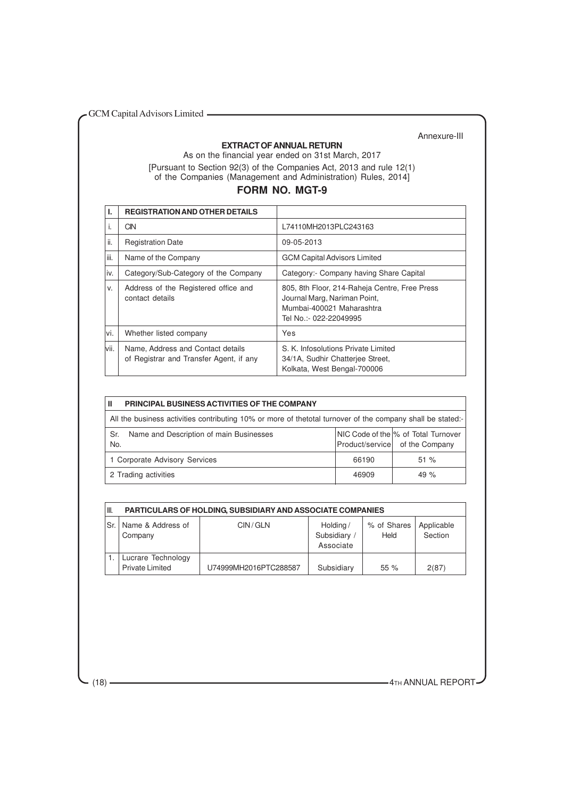#### **EXTRACT OF ANNUAL RETURN**

Annexure-III

As on the financial year ended on 31st March, 2017 [Pursuant to Section 92(3) of the Companies Act, 2013 and rule 12(1) of the Companies (Management and Administration) Rules, 2014]

### **FORM NO. MGT-9**

|       | <b>REGISTRATION AND OTHER DETAILS</b>                                        |                                                                                                                                      |
|-------|------------------------------------------------------------------------------|--------------------------------------------------------------------------------------------------------------------------------------|
| I.    | CIN                                                                          | L74110MH2013PLC243163                                                                                                                |
| ii.   | <b>Registration Date</b>                                                     | 09-05-2013                                                                                                                           |
| iii.  | Name of the Company                                                          | <b>GCM Capital Advisors Limited</b>                                                                                                  |
| iv.   | Category/Sub-Category of the Company                                         | Category:- Company having Share Capital                                                                                              |
| V.    | Address of the Registered office and<br>contact details                      | 805, 8th Floor, 214-Raheja Centre, Free Press<br>Journal Marg, Nariman Point,<br>Mumbai-400021 Maharashtra<br>Tel No.:- 022-22049995 |
| vi.   | Whether listed company                                                       | Yes                                                                                                                                  |
| lvii. | Name, Address and Contact details<br>of Registrar and Transfer Agent, if any | S. K. Infosolutions Private Limited<br>34/1A, Sudhir Chatterjee Street,<br>Kolkata, West Bengal-700006                               |

| PRINCIPAL BUSINESS ACTIVITIES OF THE COMPANY<br>Ш                                                          |       |                                                                       |  |  |
|------------------------------------------------------------------------------------------------------------|-------|-----------------------------------------------------------------------|--|--|
| All the business activities contributing 10% or more of thetotal turnover of the company shall be stated:- |       |                                                                       |  |  |
| Name and Description of main Businesses<br>Sr.<br>No.                                                      |       | NIC Code of the % of Total Turnover<br>Product/service of the Company |  |  |
| 1 Corporate Advisory Services                                                                              | 66190 | 51%                                                                   |  |  |
| 2 Trading activities                                                                                       | 46909 | 49 $%$                                                                |  |  |

| III. | <b>PARTICULARS OF HOLDING, SUBSIDIARY AND ASSOCIATE COMPANIES</b> |                       |                                       |                     |                       |  |  |  |
|------|-------------------------------------------------------------------|-----------------------|---------------------------------------|---------------------|-----------------------|--|--|--|
| Sr   | Name & Address of<br>Company                                      | CIN/GLN               | Holding/<br>Subsidiary /<br>Associate | % of Shares<br>Held | Applicable<br>Section |  |  |  |
|      | Lucrare Technology<br><b>Private Limited</b>                      | U74999MH2016PTC288587 | Subsidiary                            | 55%                 | 2(87)                 |  |  |  |

(18) **4TH ANNUAL REPORT**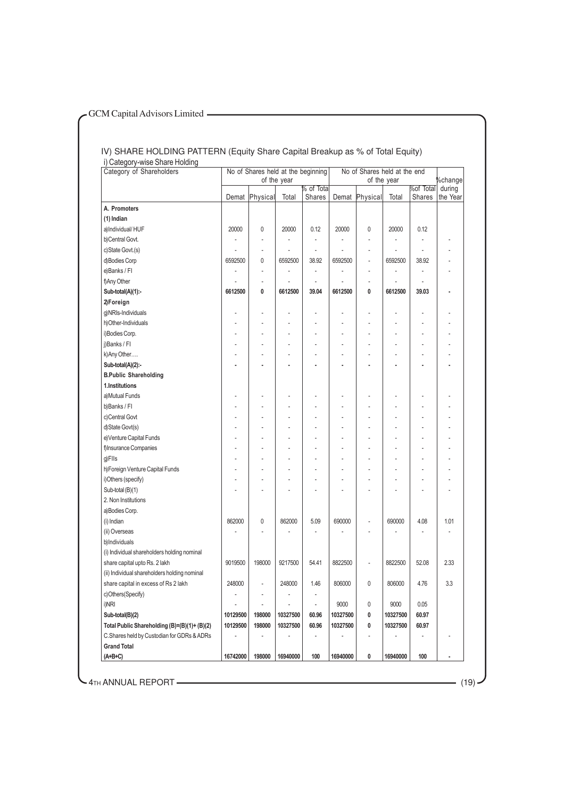#### IV) SHARE HOLDING PATTERN (Equity Share Capital Breakup as % of Total Equity) i) Category-wise Share Holding

| Category of Shareholders                     | No of Shares held at the beginning |             |          | No of Shares held at the end |          |          |          |                     |                    |
|----------------------------------------------|------------------------------------|-------------|----------|------------------------------|----------|----------|----------|---------------------|--------------------|
|                                              |                                    | of the year |          | of the year                  |          |          | %change  |                     |                    |
|                                              | Demat                              | Physical    | Total    | % of Tota<br>Shares          | Demat    | Physical | Total    | %of Total<br>Shares | during<br>the Year |
| A. Promoters                                 |                                    |             |          |                              |          |          |          |                     |                    |
| (1) Indian                                   |                                    |             |          |                              |          |          |          |                     |                    |
| a)Individual/HUF                             | 20000                              | 0           | 20000    | 0.12                         | 20000    | 0        | 20000    | 0.12                |                    |
| b)Central Govt.                              |                                    |             |          |                              |          |          |          |                     |                    |
| c)State Govt.(s)                             |                                    | ÷.          |          | ÷.                           |          | ÷        |          | ÷.                  |                    |
| d)Bodies Corp                                | 6592500                            | 0           | 6592500  | 38.92                        | 6592500  |          | 6592500  | 38.92               |                    |
| e)Banks / Fl                                 |                                    |             |          |                              |          |          |          |                     |                    |
| f)Any Other                                  |                                    | ÷.          |          |                              |          | ÷.       |          |                     |                    |
| Sub-total(A)(1):-                            | 6612500                            | 0           | 6612500  | 39.04                        | 6612500  | 0        | 6612500  | 39.03               |                    |
| 2)Foreign                                    |                                    |             |          |                              |          |          |          |                     |                    |
| g)NRIs-Individuals                           |                                    |             |          |                              |          |          |          |                     |                    |
| h)Other-Individuals                          |                                    |             |          |                              |          |          |          |                     |                    |
| i)Bodies Corp.                               |                                    |             |          |                              |          |          |          |                     |                    |
| j)Banks / Fl                                 |                                    |             |          |                              | ÷        |          | ٠        |                     |                    |
| k) Any Other                                 |                                    |             |          |                              |          |          |          |                     |                    |
| Sub-total(A)(2):-                            |                                    |             |          |                              |          |          |          |                     |                    |
| <b>B.Public Shareholding</b>                 |                                    |             |          |                              |          |          |          |                     |                    |
| 1.Institutions                               |                                    |             |          |                              |          |          |          |                     |                    |
| a)Mutual Funds                               |                                    |             |          |                              |          |          |          |                     |                    |
| b)Banks / Fl                                 |                                    |             |          |                              |          |          |          |                     |                    |
| c)Central Govt                               |                                    |             |          |                              |          |          |          |                     |                    |
| d)State Govt(s)                              |                                    |             |          |                              |          |          |          |                     |                    |
| e) Venture Capital Funds                     |                                    |             |          |                              |          |          |          |                     |                    |
| f)Insurance Companies                        |                                    |             |          |                              |          |          |          |                     |                    |
| g)FlIs                                       |                                    |             |          |                              |          |          |          |                     |                    |
| h) Foreign Venture Capital Funds             |                                    |             |          |                              |          |          |          |                     |                    |
| i)Others (specify)                           |                                    |             |          |                              |          |          |          |                     |                    |
| Sub-total (B)(1)                             |                                    |             |          |                              |          |          |          |                     |                    |
| 2. Non Institutions                          |                                    |             |          |                              |          |          |          |                     |                    |
| a)Bodies Corp.                               |                                    |             |          |                              |          |          |          |                     |                    |
| (i) Indian                                   | 862000                             | 0           | 862000   | 5.09                         | 690000   | ä,       | 690000   | 4.08                | 1.01               |
| (ii) Overseas                                |                                    |             |          |                              |          | ä,       |          |                     | ٠                  |
| b)Individuals                                |                                    |             |          |                              |          |          |          |                     |                    |
| (i) Individual shareholders holding nominal  |                                    |             |          |                              |          |          |          |                     |                    |
| share capital upto Rs. 2 lakh                | 9019500                            | 198000      | 9217500  | 54.41                        | 8822500  | L,       | 8822500  | 52.08               | 2.33               |
| (ii) Individual shareholders holding nominal |                                    |             |          |                              |          |          |          |                     |                    |
| share capital in excess of Rs 2 lakh         | 248000                             |             | 248000   | 1.46                         | 806000   | 0        | 806000   | 4.76                | 3.3                |
| c)Others(Specify)                            |                                    |             | ÷,       | $\qquad \qquad \blacksquare$ |          |          |          |                     |                    |
| i)NRI                                        |                                    |             |          | Ĭ.                           | 9000     | 0        | 9000     | 0.05                |                    |
| Sub-total(B)(2)                              | 10129500                           | 198000      | 10327500 | 60.96                        | 10327500 | 0        | 10327500 | 60.97               |                    |
| Total Public Shareholding (B)=(B)(1)+ (B)(2) | 10129500                           | 198000      | 10327500 | 60.96                        | 10327500 | 0        | 10327500 | 60.97               |                    |
| C.Shares held by Custodian for GDRs & ADRs   |                                    |             |          |                              |          | ÷,       |          |                     |                    |
| <b>Grand Total</b>                           |                                    |             |          |                              |          |          |          |                     |                    |
| $(A+B+C)$                                    | 16742000                           | 198000      | 16940000 | 100                          | 16940000 | 0        | 16940000 | 100                 | $\overline{a}$     |

**4TH ANNUAL REPORT** (19)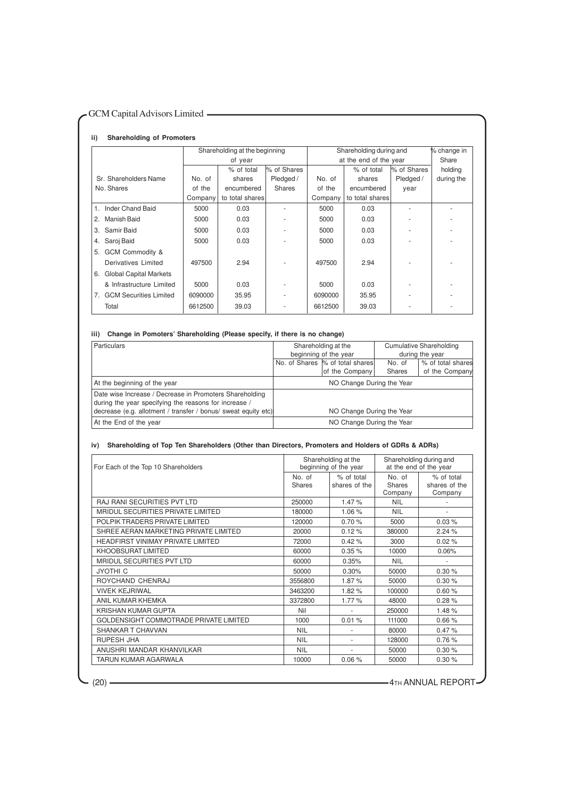#### **ii) Shareholding of Promoters**

|                                                 | Shareholding at the beginning |                 |               | Shareholding during and |                        |             | % change in |
|-------------------------------------------------|-------------------------------|-----------------|---------------|-------------------------|------------------------|-------------|-------------|
|                                                 |                               | of year         |               |                         | at the end of the year |             |             |
|                                                 |                               | % of total      | % of Shares   |                         | % of total             | % of Shares | holding     |
| Sr. Shareholders Name                           | No. of                        | shares          | Pledged /     | No. of                  | shares                 | Pledged /   | during the  |
| No. Shares                                      | of the                        | encumbered      | <b>Shares</b> | of the                  | encumbered             | year        |             |
|                                                 | Company                       | to total shares |               | Company                 | to total shares        |             |             |
| 1. Inder Chand Baid                             | 5000                          | 0.03            |               | 5000                    | 0.03                   |             |             |
| Manish Baid<br>2.                               | 5000                          | 0.03            |               | 5000                    | 0.03                   |             |             |
| Samir Baid<br>3.                                | 5000                          | 0.03            |               | 5000                    | 0.03                   |             |             |
| Saroj Baid<br>4.                                | 5000                          | 0.03            |               | 5000                    | 0.03                   |             |             |
| GCM Commodity &<br>5.                           |                               |                 |               |                         |                        |             |             |
| Derivatives Limited                             | 497500                        | 2.94            |               | 497500                  | 2.94                   |             |             |
| <b>Global Capital Markets</b><br>6.             |                               |                 |               |                         |                        |             |             |
| & Infrastructure Limited                        | 5000                          | 0.03            |               | 5000                    | 0.03                   |             |             |
| <b>GCM Securities Limited</b><br>7 <sub>1</sub> | 6090000                       | 35.95           |               | 6090000                 | 35.95                  |             |             |
| Total                                           | 6612500                       | 39.03           |               | 6612500                 | 39.03                  |             |             |

#### **iii) Change in Pomoters' Shareholding (Please specify, if there is no change)**

| <b>Particulars</b>                                                                                               | Shareholding at the              |        | <b>Cumulative Shareholding</b> |
|------------------------------------------------------------------------------------------------------------------|----------------------------------|--------|--------------------------------|
|                                                                                                                  | beginning of the year            |        | during the year                |
|                                                                                                                  | No. of Shares  % of total shares | No. of | % of total shares              |
|                                                                                                                  | of the Company                   | Shares | of the Company                 |
| At the beginning of the year                                                                                     | NO Change During the Year        |        |                                |
| Date wise Increase / Decrease in Promoters Shareholding<br>during the year specifying the reasons for increase / |                                  |        |                                |
| decrease (e.g. allotment / transfer / bonus/ sweat equity etc)                                                   | NO Change During the Year        |        |                                |
| At the End of the year                                                                                           | NO Change During the Year        |        |                                |

#### **iv) Shareholding of Top Ten Shareholders (Other than Directors, Promoters and Holders of GDRs & ADRs)**

| For Each of the Top 10 Shareholders      |                  | Shareholding at the<br>beginning of the year | Shareholding during and<br>at the end of the year |                                        |
|------------------------------------------|------------------|----------------------------------------------|---------------------------------------------------|----------------------------------------|
|                                          | No. of<br>Shares | % of total<br>shares of the                  | No. of<br><b>Shares</b><br>Company                | % of total<br>shares of the<br>Company |
| <b>RAJ RANI SECURITIES PVT LTD</b>       | 250000           | 1.47%                                        | <b>NIL</b>                                        |                                        |
| MRIDUL SECURITIES PRIVATE LIMITED        | 180000           | 1.06%                                        | <b>NIL</b>                                        | ٠                                      |
| POLPIK TRADERS PRIVATE LIMITED           | 120000           | 0.70%                                        | 5000                                              | 0.03%                                  |
| SHREE AERAN MARKETING PRIVATE LIMITED    | 20000            | 0.12%                                        | 380000                                            | 2.24%                                  |
| <b>HEADFIRST VINIMAY PRIVATE LIMITED</b> | 72000            | 0.42%                                        | 3000                                              | 0.02%                                  |
| KHOOBSURAT LIMITED                       | 60000            | 0.35%                                        | 10000                                             | 0.06%                                  |
| MRIDUL SECURITIES PVT LTD                | 60000            | 0.35%                                        | <b>NIL</b>                                        | $\sim$                                 |
| <b>JYOTHI C</b>                          | 50000            | 0.30%                                        | 50000                                             | 0.30%                                  |
| ROYCHAND CHENRAJ                         | 3556800          | 1.87%                                        | 50000                                             | 0.30%                                  |
| <b>VIVEK KEJRIWAL</b>                    | 3463200          | 1.82%                                        | 100000                                            | 0.60%                                  |
| ANIL KUMAR KHEMKA                        | 3372800          | 1.77 %                                       | 48000                                             | 0.28%                                  |
| KRISHAN KUMAR GUPTA                      | Nil              |                                              | 250000                                            | 1.48%                                  |
| GOLDENSIGHT COMMOTRADE PRIVATE LIMITED   | 1000             | 0.01%                                        | 111000                                            | 0.66%                                  |
| SHANKAR T CHAVVAN                        | <b>NIL</b>       | $\sim$                                       | 80000                                             | 0.47%                                  |
| <b>RUPESH JHA</b>                        | <b>NIL</b>       |                                              | 128000                                            | 0.76%                                  |
| ANUSHRI MANDAR KHANVILKAR                | <b>NIL</b>       | $\sim$                                       | 50000                                             | 0.30%                                  |
| TARUN KUMAR AGARWALA                     | 10000            | 0.06%                                        | 50000                                             | 0.30%                                  |

(20) **4TH ANNUAL REPORT**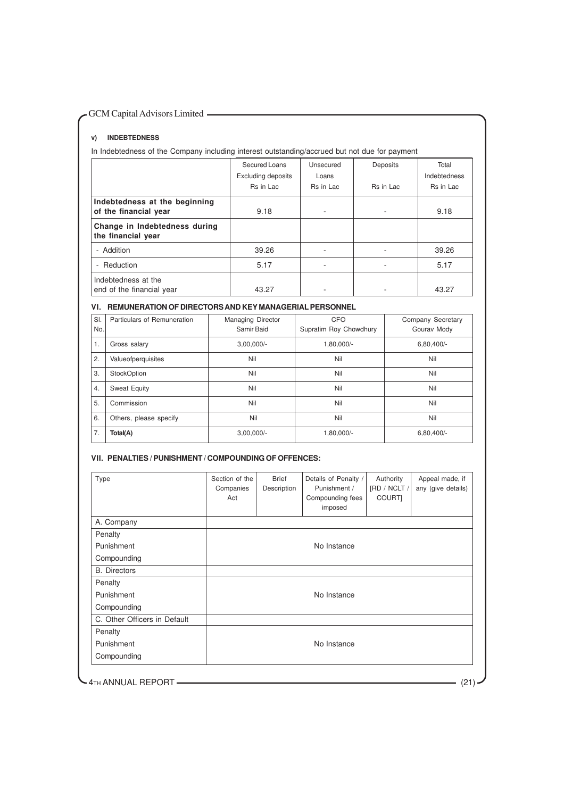#### **v) INDEBTEDNESS**

In Indebtedness of the Company including interest outstanding/accrued but not due for payment

|                                                        | Secured Loans<br><b>Excluding deposits</b><br>Rs in Lac | Unsecured<br>Loans<br>Rs in Lac | Deposits<br>Rs in Lac | Total<br>Indebtedness<br>Rs in Lac |
|--------------------------------------------------------|---------------------------------------------------------|---------------------------------|-----------------------|------------------------------------|
| Indebtedness at the beginning<br>of the financial year | 9.18                                                    | ۰.                              | ۰                     | 9.18                               |
| Change in Indebtedness during<br>the financial year    |                                                         |                                 |                       |                                    |
| - Addition                                             | 39.26                                                   |                                 | ۰                     | 39.26                              |
| - Reduction                                            | 5.17                                                    |                                 | ٠                     | 5.17                               |
| Indebtedness at the<br>end of the financial year       | 43.27                                                   |                                 |                       | 43.27                              |

#### **VI. REMUNERATION OF DIRECTORS AND KEY MANAGERIAL PERSONNEL**

| SI.<br>No. | Particulars of Remuneration | <b>Managing Director</b><br>Samir Baid | <b>CFO</b><br>Supratim Roy Chowdhury | Company Secretary<br>Gourav Mody |
|------------|-----------------------------|----------------------------------------|--------------------------------------|----------------------------------|
| 1.         | Gross salary                | $3,00,000/-$                           | 1,80,000/-                           | $6,80,400/-$                     |
| 2.         | Valueofperquisites          | Nil                                    | Nil                                  | Nil                              |
| 3.         | StockOption                 | Nil                                    | Nil                                  | Nil                              |
| 4.         | <b>Sweat Equity</b>         | Nil                                    | Nil                                  | Nil                              |
| 5.         | Commission                  | Nil                                    | Nil                                  | Nil                              |
| 6.         | Others, please specify      | Nil                                    | Nil                                  | Nil                              |
| 7.         | Total(A)                    | $3,00,000/-$                           | 1,80,000/-                           | $6,80,400/-$                     |

#### **VII. PENALTIES / PUNISHMENT / COMPOUNDING OF OFFENCES:**

| Type                         | Section of the<br>Companies<br>Act | <b>Brief</b><br>Description | Details of Penalty /<br>Punishment /<br>Compounding fees<br>imposed | Authority<br>[RD / NCLT /<br>COURT] | Appeal made, if<br>any (give details) |
|------------------------------|------------------------------------|-----------------------------|---------------------------------------------------------------------|-------------------------------------|---------------------------------------|
| A. Company                   |                                    |                             |                                                                     |                                     |                                       |
| Penalty                      |                                    |                             |                                                                     |                                     |                                       |
| Punishment                   |                                    |                             | No Instance                                                         |                                     |                                       |
| Compounding                  |                                    |                             |                                                                     |                                     |                                       |
| <b>B.</b> Directors          |                                    |                             |                                                                     |                                     |                                       |
| Penalty                      |                                    |                             |                                                                     |                                     |                                       |
| Punishment                   |                                    |                             | No Instance                                                         |                                     |                                       |
| Compounding                  |                                    |                             |                                                                     |                                     |                                       |
| C. Other Officers in Default |                                    |                             |                                                                     |                                     |                                       |
| Penalty                      |                                    |                             |                                                                     |                                     |                                       |
| Punishment                   |                                    |                             | No Instance                                                         |                                     |                                       |
| Compounding                  |                                    |                             |                                                                     |                                     |                                       |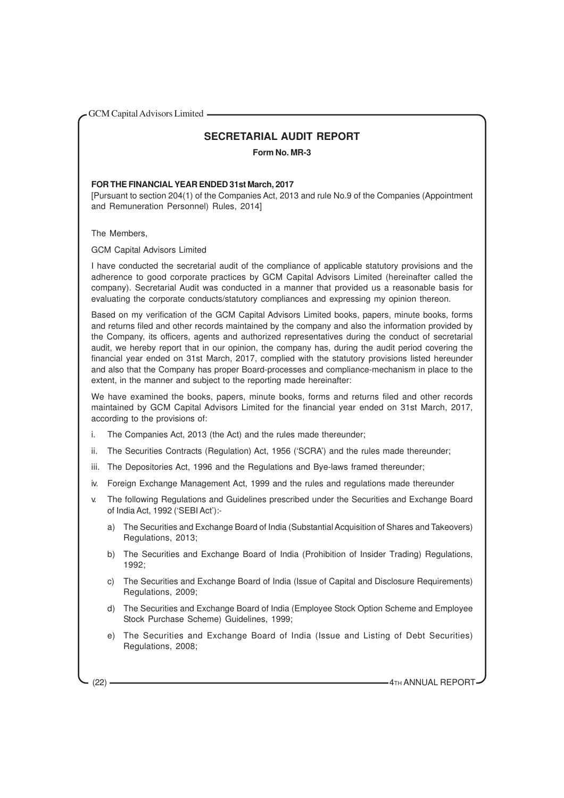#### **SECRETARIAL AUDIT REPORT**

**Form No. MR-3**

#### **FOR THE FINANCIAL YEAR ENDED 31st March, 2017**

[Pursuant to section 204(1) of the Companies Act, 2013 and rule No.9 of the Companies (Appointment and Remuneration Personnel) Rules, 2014]

The Members,

GCM Capital Advisors Limited

I have conducted the secretarial audit of the compliance of applicable statutory provisions and the adherence to good corporate practices by GCM Capital Advisors Limited (hereinafter called the company). Secretarial Audit was conducted in a manner that provided us a reasonable basis for evaluating the corporate conducts/statutory compliances and expressing my opinion thereon.

Based on my verification of the GCM Capital Advisors Limited books, papers, minute books, forms and returns filed and other records maintained by the company and also the information provided by the Company, its officers, agents and authorized representatives during the conduct of secretarial audit, we hereby report that in our opinion, the company has, during the audit period covering the financial year ended on 31st March, 2017, complied with the statutory provisions listed hereunder and also that the Company has proper Board-processes and compliance-mechanism in place to the extent, in the manner and subject to the reporting made hereinafter:

We have examined the books, papers, minute books, forms and returns filed and other records maintained by GCM Capital Advisors Limited for the financial year ended on 31st March, 2017, according to the provisions of:

- i. The Companies Act, 2013 (the Act) and the rules made thereunder;
- ii. The Securities Contracts (Regulation) Act, 1956 ('SCRA') and the rules made thereunder;
- iii. The Depositories Act, 1996 and the Regulations and Bye-laws framed thereunder;
- iv. Foreign Exchange Management Act, 1999 and the rules and regulations made thereunder
- v. The following Regulations and Guidelines prescribed under the Securities and Exchange Board of India Act, 1992 ('SEBI Act'):
	- a) The Securities and Exchange Board of India (Substantial Acquisition of Shares and Takeovers) Regulations, 2013;
	- b) The Securities and Exchange Board of India (Prohibition of Insider Trading) Regulations, 1992;
	- c) The Securities and Exchange Board of India (Issue of Capital and Disclosure Requirements) Regulations, 2009;
	- d) The Securities and Exchange Board of India (Employee Stock Option Scheme and Employee Stock Purchase Scheme) Guidelines, 1999;
	- e) The Securities and Exchange Board of India (Issue and Listing of Debt Securities) Regulations, 2008;

(22) **4TH ANNUAL REPORT**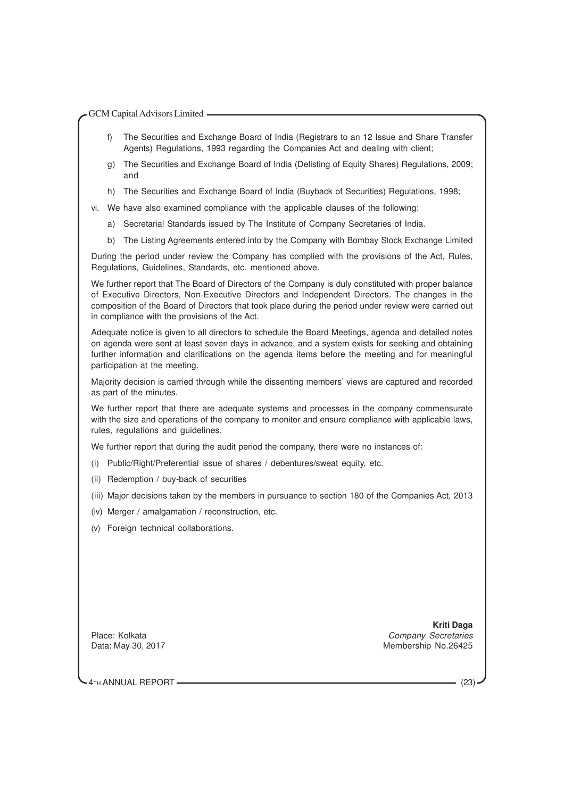- f) The Securities and Exchange Board of India (Registrars to an 12 Issue and Share Transfer Agents) Regulations, 1993 regarding the Companies Act and dealing with client;
- g) The Securities and Exchange Board of India (Delisting of Equity Shares) Regulations, 2009; and
- h) The Securities and Exchange Board of India (Buyback of Securities) Regulations, 1998;
- vi. We have also examined compliance with the applicable clauses of the following:
	- a) Secretarial Standards issued by The Institute of Company Secretaries of India.
	- b) The Listing Agreements entered into by the Company with Bombay Stock Exchange Limited

During the period under review the Company has complied with the provisions of the Act, Rules, Regulations, Guidelines, Standards, etc. mentioned above.

We further report that The Board of Directors of the Company is duly constituted with proper balance of Executive Directors, Non-Executive Directors and Independent Directors. The changes in the composition of the Board of Directors that took place during the period under review were carried out in compliance with the provisions of the Act.

Adequate notice is given to all directors to schedule the Board Meetings, agenda and detailed notes on agenda were sent at least seven days in advance, and a system exists for seeking and obtaining further information and clarifications on the agenda items before the meeting and for meaningful participation at the meeting.

Majority decision is carried through while the dissenting members' views are captured and recorded as part of the minutes.

We further report that there are adequate systems and processes in the company commensurate with the size and operations of the company to monitor and ensure compliance with applicable laws, rules, regulations and guidelines.

We further report that during the audit period the company, there were no instances of:

- (i) Public/Right/Preferential issue of shares / debentures/sweat equity, etc.
- (ii) Redemption / buy-back of securities
- (iii) Major decisions taken by the members in pursuance to section 180 of the Companies Act, 2013
- (iv) Merger / amalgamation / reconstruction, etc.
- (v) Foreign technical collaborations.

 **Kriti Daga** Place: Kolkata Company Secretaries Company Secretaries Data: May 30, 2017 Membership No.26425

4TH ANNUAL REPORT (23)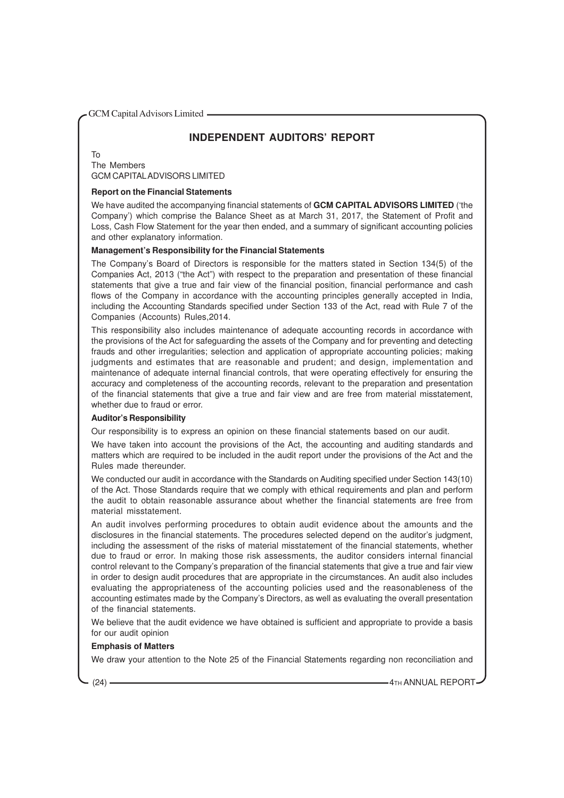### **INDEPENDENT AUDITORS' REPORT**

To The Members GCM CAPITALADVISORS LIMITED

#### **Report on the Financial Statements**

We have audited the accompanying financial statements of **GCM CAPITAL ADVISORS LIMITED** ('the Company') which comprise the Balance Sheet as at March 31, 2017, the Statement of Profit and Loss, Cash Flow Statement for the year then ended, and a summary of significant accounting policies and other explanatory information.

#### **Management's Responsibility for the Financial Statements**

The Company's Board of Directors is responsible for the matters stated in Section 134(5) of the Companies Act, 2013 ("the Act") with respect to the preparation and presentation of these financial statements that give a true and fair view of the financial position, financial performance and cash flows of the Company in accordance with the accounting principles generally accepted in India, including the Accounting Standards specified under Section 133 of the Act, read with Rule 7 of the Companies (Accounts) Rules,2014.

This responsibility also includes maintenance of adequate accounting records in accordance with the provisions of the Act for safeguarding the assets of the Company and for preventing and detecting frauds and other irregularities; selection and application of appropriate accounting policies; making judgments and estimates that are reasonable and prudent; and design, implementation and maintenance of adequate internal financial controls, that were operating effectively for ensuring the accuracy and completeness of the accounting records, relevant to the preparation and presentation of the financial statements that give a true and fair view and are free from material misstatement, whether due to fraud or error.

#### **Auditor's Responsibility**

Our responsibility is to express an opinion on these financial statements based on our audit.

We have taken into account the provisions of the Act, the accounting and auditing standards and matters which are required to be included in the audit report under the provisions of the Act and the Rules made thereunder.

We conducted our audit in accordance with the Standards on Auditing specified under Section 143(10) of the Act. Those Standards require that we comply with ethical requirements and plan and perform the audit to obtain reasonable assurance about whether the financial statements are free from material misstatement.

An audit involves performing procedures to obtain audit evidence about the amounts and the disclosures in the financial statements. The procedures selected depend on the auditor's judgment, including the assessment of the risks of material misstatement of the financial statements, whether due to fraud or error. In making those risk assessments, the auditor considers internal financial control relevant to the Company's preparation of the financial statements that give a true and fair view in order to design audit procedures that are appropriate in the circumstances. An audit also includes evaluating the appropriateness of the accounting policies used and the reasonableness of the accounting estimates made by the Company's Directors, as well as evaluating the overall presentation of the financial statements.

We believe that the audit evidence we have obtained is sufficient and appropriate to provide a basis for our audit opinion

#### **Emphasis of Matters**

We draw your attention to the Note 25 of the Financial Statements regarding non reconciliation and

(24) **4TH ANNUAL REPORT**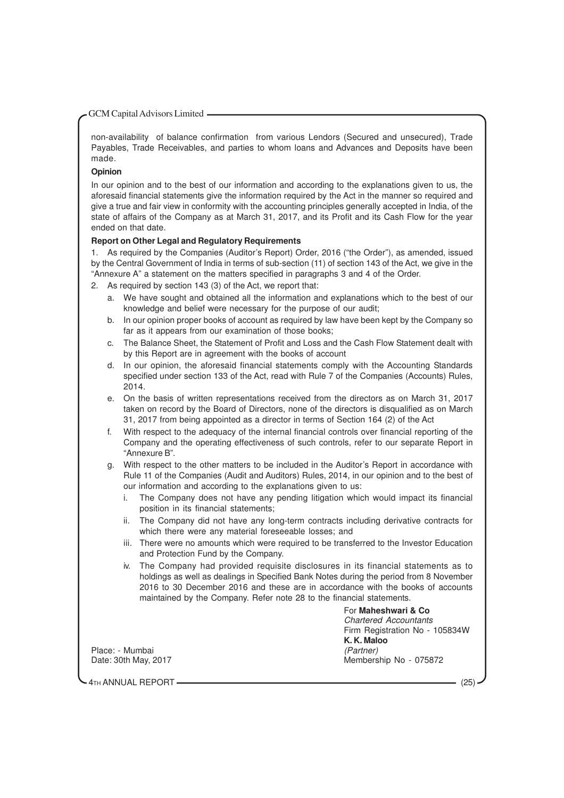non-availability of balance confirmation from various Lendors (Secured and unsecured), Trade Payables, Trade Receivables, and parties to whom loans and Advances and Deposits have been made.

#### **Opinion**

In our opinion and to the best of our information and according to the explanations given to us, the aforesaid financial statements give the information required by the Act in the manner so required and give a true and fair view in conformity with the accounting principles generally accepted in India, of the state of affairs of the Company as at March 31, 2017, and its Profit and its Cash Flow for the year ended on that date.

#### **Report on Other Legal and Regulatory Requirements**

1. As required by the Companies (Auditor's Report) Order, 2016 ("the Order"), as amended, issued by the Central Government of India in terms of sub-section (11) of section 143 of the Act, we give in the "Annexure A" a statement on the matters specified in paragraphs 3 and 4 of the Order.

- 2. As required by section 143 (3) of the Act, we report that:
	- a. We have sought and obtained all the information and explanations which to the best of our knowledge and belief were necessary for the purpose of our audit;
	- b. In our opinion proper books of account as required by law have been kept by the Company so far as it appears from our examination of those books;
	- c. The Balance Sheet, the Statement of Profit and Loss and the Cash Flow Statement dealt with by this Report are in agreement with the books of account
	- d. In our opinion, the aforesaid financial statements comply with the Accounting Standards specified under section 133 of the Act, read with Rule 7 of the Companies (Accounts) Rules, 2014.
	- e. On the basis of written representations received from the directors as on March 31, 2017 taken on record by the Board of Directors, none of the directors is disqualified as on March 31, 2017 from being appointed as a director in terms of Section 164 (2) of the Act
	- f. With respect to the adequacy of the internal financial controls over financial reporting of the Company and the operating effectiveness of such controls, refer to our separate Report in "Annexure B".
	- g. With respect to the other matters to be included in the Auditor's Report in accordance with Rule 11 of the Companies (Audit and Auditors) Rules, 2014, in our opinion and to the best of our information and according to the explanations given to us:
		- i. The Company does not have any pending litigation which would impact its financial position in its financial statements;
		- ii. The Company did not have any long-term contracts including derivative contracts for which there were any material foreseeable losses; and
		- iii. There were no amounts which were required to be transferred to the Investor Education and Protection Fund by the Company.
		- iv. The Company had provided requisite disclosures in its financial statements as to holdings as well as dealings in Specified Bank Notes during the period from 8 November 2016 to 30 December 2016 and these are in accordance with the books of accounts maintained by the Company. Refer note 28 to the financial statements.

For **Maheshwari & Co** Chartered Accountants Firm Registration No - 105834W **K. K. Maloo** Membership No - 075872

Place: - Mumbai (Partner)<br>Date: 30th May. 2017

4TH ANNUAL REPORT (25)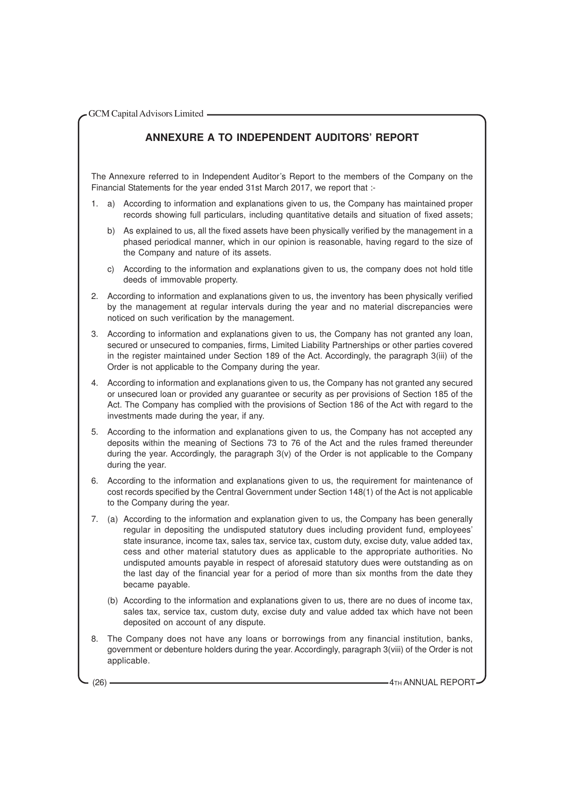### **ANNEXURE A TO INDEPENDENT AUDITORS' REPORT**

The Annexure referred to in Independent Auditor's Report to the members of the Company on the Financial Statements for the year ended 31st March 2017, we report that :-

- 1. a) According to information and explanations given to us, the Company has maintained proper records showing full particulars, including quantitative details and situation of fixed assets;
	- b) As explained to us, all the fixed assets have been physically verified by the management in a phased periodical manner, which in our opinion is reasonable, having regard to the size of the Company and nature of its assets.
	- c) According to the information and explanations given to us, the company does not hold title deeds of immovable property.
- 2. According to information and explanations given to us, the inventory has been physically verified by the management at regular intervals during the year and no material discrepancies were noticed on such verification by the management.
- 3. According to information and explanations given to us, the Company has not granted any loan, secured or unsecured to companies, firms, Limited Liability Partnerships or other parties covered in the register maintained under Section 189 of the Act. Accordingly, the paragraph 3(iii) of the Order is not applicable to the Company during the year.
- 4. According to information and explanations given to us, the Company has not granted any secured or unsecured loan or provided any guarantee or security as per provisions of Section 185 of the Act. The Company has complied with the provisions of Section 186 of the Act with regard to the investments made during the year, if any.
- 5. According to the information and explanations given to us, the Company has not accepted any deposits within the meaning of Sections 73 to 76 of the Act and the rules framed thereunder during the year. Accordingly, the paragraph 3(v) of the Order is not applicable to the Company during the year.
- 6. According to the information and explanations given to us, the requirement for maintenance of cost records specified by the Central Government under Section 148(1) of the Act is not applicable to the Company during the year.
- 7. (a) According to the information and explanation given to us, the Company has been generally regular in depositing the undisputed statutory dues including provident fund, employees' state insurance, income tax, sales tax, service tax, custom duty, excise duty, value added tax, cess and other material statutory dues as applicable to the appropriate authorities. No undisputed amounts payable in respect of aforesaid statutory dues were outstanding as on the last day of the financial year for a period of more than six months from the date they became payable.
	- (b) According to the information and explanations given to us, there are no dues of income tax, sales tax, service tax, custom duty, excise duty and value added tax which have not been deposited on account of any dispute.
- 8. The Company does not have any loans or borrowings from any financial institution, banks, government or debenture holders during the year. Accordingly, paragraph 3(viii) of the Order is not applicable.

(26) **4TH ANNUAL REPORT**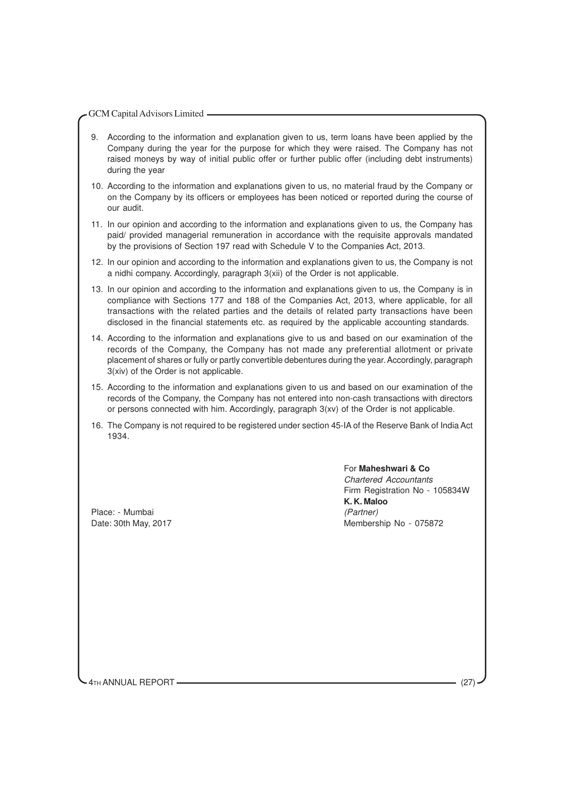- 9. According to the information and explanation given to us, term loans have been applied by the Company during the year for the purpose for which they were raised. The Company has not raised moneys by way of initial public offer or further public offer (including debt instruments) during the year
- 10. According to the information and explanations given to us, no material fraud by the Company or on the Company by its officers or employees has been noticed or reported during the course of our audit.
- 11. In our opinion and according to the information and explanations given to us, the Company has paid/ provided managerial remuneration in accordance with the requisite approvals mandated by the provisions of Section 197 read with Schedule V to the Companies Act, 2013.
- 12. In our opinion and according to the information and explanations given to us, the Company is not a nidhi company. Accordingly, paragraph 3(xii) of the Order is not applicable.
- 13. In our opinion and according to the information and explanations given to us, the Company is in compliance with Sections 177 and 188 of the Companies Act, 2013, where applicable, for all transactions with the related parties and the details of related party transactions have been disclosed in the financial statements etc. as required by the applicable accounting standards.
- 14. According to the information and explanations give to us and based on our examination of the records of the Company, the Company has not made any preferential allotment or private placement of shares or fully or partly convertible debentures during the year. Accordingly, paragraph 3(xiv) of the Order is not applicable.
- 15. According to the information and explanations given to us and based on our examination of the records of the Company, the Company has not entered into non-cash transactions with directors or persons connected with him. Accordingly, paragraph 3(xv) of the Order is not applicable.
- 16. The Company is not required to be registered under section 45-IA of the Reserve Bank of India Act 1934.

Place: - Mumbai (Partner)

For **Maheshwari & Co** Chartered Accountants Firm Registration No - 105834W **K. K. Maloo** Date: 30th May, 2017 Membership No - 075872

4TH ANNUAL REPORT (27)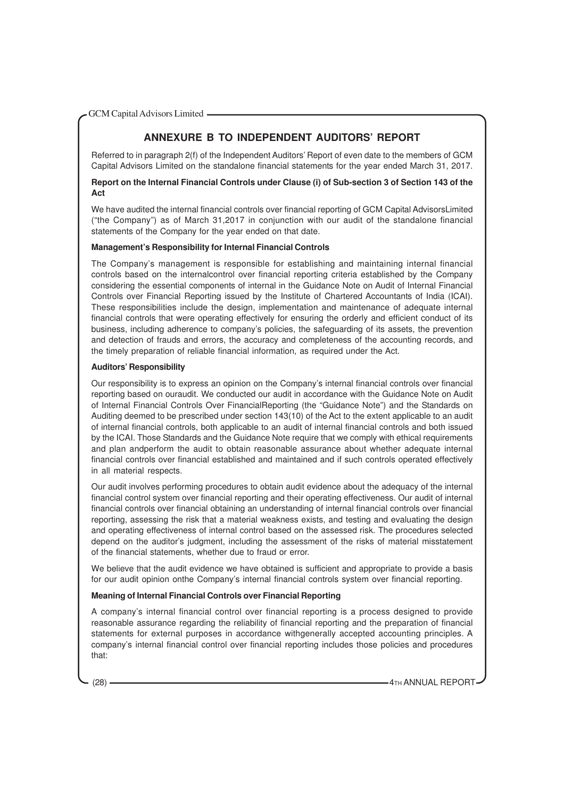## **ANNEXURE B TO INDEPENDENT AUDITORS' REPORT**

Referred to in paragraph 2(f) of the Independent Auditors' Report of even date to the members of GCM Capital Advisors Limited on the standalone financial statements for the year ended March 31, 2017.

#### **Report on the Internal Financial Controls under Clause (i) of Sub-section 3 of Section 143 of the Act**

We have audited the internal financial controls over financial reporting of GCM Capital AdvisorsLimited ("the Company") as of March 31,2017 in conjunction with our audit of the standalone financial statements of the Company for the year ended on that date.

#### **Management's Responsibility for Internal Financial Controls**

The Company's management is responsible for establishing and maintaining internal financial controls based on the internalcontrol over financial reporting criteria established by the Company considering the essential components of internal in the Guidance Note on Audit of Internal Financial Controls over Financial Reporting issued by the Institute of Chartered Accountants of India (ICAI). These responsibilities include the design, implementation and maintenance of adequate internal financial controls that were operating effectively for ensuring the orderly and efficient conduct of its business, including adherence to company's policies, the safeguarding of its assets, the prevention and detection of frauds and errors, the accuracy and completeness of the accounting records, and the timely preparation of reliable financial information, as required under the Act.

#### **Auditors' Responsibility**

Our responsibility is to express an opinion on the Company's internal financial controls over financial reporting based on ouraudit. We conducted our audit in accordance with the Guidance Note on Audit of Internal Financial Controls Over FinancialReporting (the "Guidance Note") and the Standards on Auditing deemed to be prescribed under section 143(10) of the Act to the extent applicable to an audit of internal financial controls, both applicable to an audit of internal financial controls and both issued by the ICAI. Those Standards and the Guidance Note require that we comply with ethical requirements and plan andperform the audit to obtain reasonable assurance about whether adequate internal financial controls over financial established and maintained and if such controls operated effectively in all material respects.

Our audit involves performing procedures to obtain audit evidence about the adequacy of the internal financial control system over financial reporting and their operating effectiveness. Our audit of internal financial controls over financial obtaining an understanding of internal financial controls over financial reporting, assessing the risk that a material weakness exists, and testing and evaluating the design and operating effectiveness of internal control based on the assessed risk. The procedures selected depend on the auditor's judgment, including the assessment of the risks of material misstatement of the financial statements, whether due to fraud or error.

We believe that the audit evidence we have obtained is sufficient and appropriate to provide a basis for our audit opinion onthe Company's internal financial controls system over financial reporting.

#### **Meaning of Internal Financial Controls over Financial Reporting**

A company's internal financial control over financial reporting is a process designed to provide reasonable assurance regarding the reliability of financial reporting and the preparation of financial statements for external purposes in accordance withgenerally accepted accounting principles. A company's internal financial control over financial reporting includes those policies and procedures that: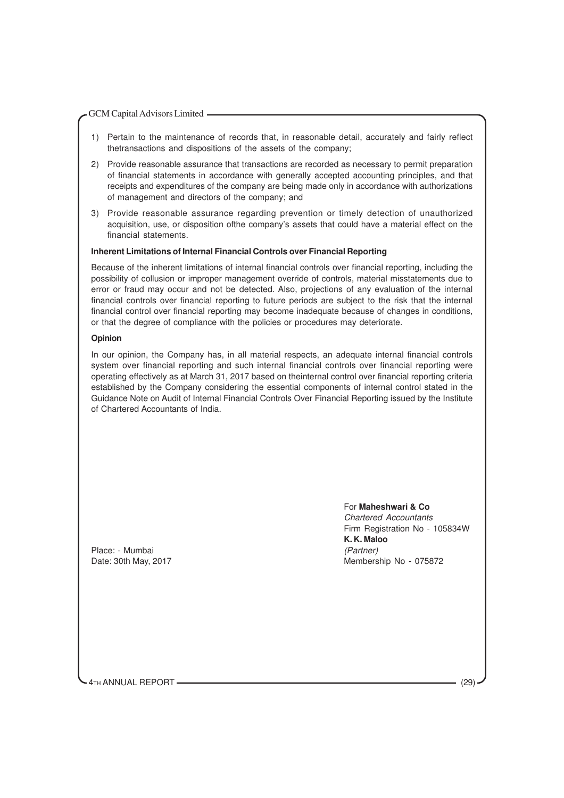- 1) Pertain to the maintenance of records that, in reasonable detail, accurately and fairly reflect thetransactions and dispositions of the assets of the company;
- 2) Provide reasonable assurance that transactions are recorded as necessary to permit preparation of financial statements in accordance with generally accepted accounting principles, and that receipts and expenditures of the company are being made only in accordance with authorizations of management and directors of the company; and
- 3) Provide reasonable assurance regarding prevention or timely detection of unauthorized acquisition, use, or disposition ofthe company's assets that could have a material effect on the financial statements.

#### **Inherent Limitations of Internal Financial Controls over Financial Reporting**

Because of the inherent limitations of internal financial controls over financial reporting, including the possibility of collusion or improper management override of controls, material misstatements due to error or fraud may occur and not be detected. Also, projections of any evaluation of the internal financial controls over financial reporting to future periods are subject to the risk that the internal financial control over financial reporting may become inadequate because of changes in conditions, or that the degree of compliance with the policies or procedures may deteriorate.

#### **Opinion**

In our opinion, the Company has, in all material respects, an adequate internal financial controls system over financial reporting and such internal financial controls over financial reporting were operating effectively as at March 31, 2017 based on theinternal control over financial reporting criteria established by the Company considering the essential components of internal control stated in the Guidance Note on Audit of Internal Financial Controls Over Financial Reporting issued by the Institute of Chartered Accountants of India.

Place: - Mumbai (Partner) Date: 30th May, 2017 Membership No - 075872

For **Maheshwari & Co** Chartered Accountants Firm Registration No - 105834W **K. K. Maloo**

4TH ANNUAL REPORT (29)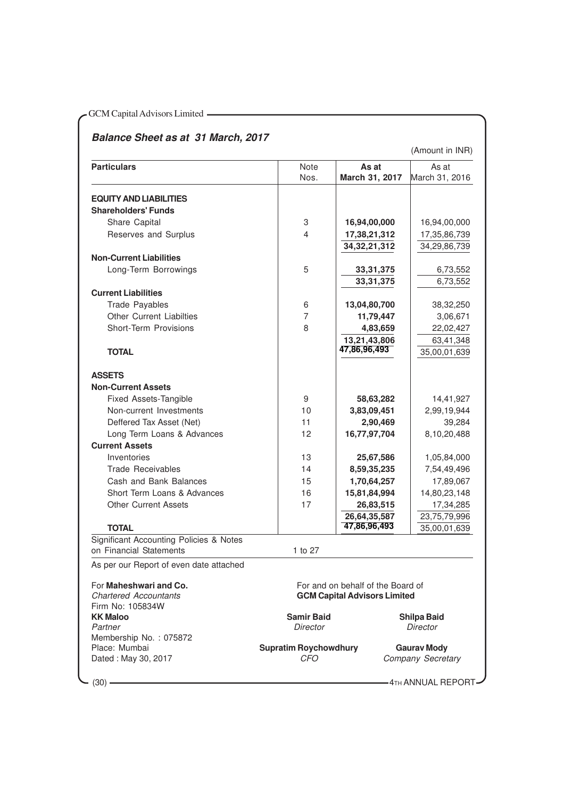## **Balance Sheet as at 31 March, 2017**

(Amount in INR)

| <b>Particulars</b>                                                 | Note                                       | As at                                          | As at                                 |
|--------------------------------------------------------------------|--------------------------------------------|------------------------------------------------|---------------------------------------|
|                                                                    | Nos.                                       | March 31, 2017                                 | March 31, 2016                        |
|                                                                    |                                            |                                                |                                       |
| <b>EQUITY AND LIABILITIES</b><br><b>Shareholders' Funds</b>        |                                            |                                                |                                       |
| Share Capital                                                      | 3                                          | 16,94,00,000                                   | 16,94,00,000                          |
| Reserves and Surplus                                               | $\overline{\mathbf{4}}$                    | 17,38,21,312                                   | 17,35,86,739                          |
|                                                                    |                                            | 34, 32, 21, 312                                | 34,29,86,739                          |
| <b>Non-Current Liabilities</b>                                     |                                            |                                                |                                       |
| Long-Term Borrowings                                               | 5                                          | 33, 31, 375                                    | 6,73,552                              |
|                                                                    |                                            | 33, 31, 375                                    | 6,73,552                              |
| <b>Current Liabilities</b>                                         |                                            |                                                |                                       |
| <b>Trade Payables</b>                                              | 6                                          | 13,04,80,700                                   | 38,32,250                             |
| <b>Other Current Liabilties</b>                                    | $\overline{7}$                             | 11,79,447                                      | 3,06,671                              |
| <b>Short-Term Provisions</b>                                       | 8                                          | 4,83,659                                       | 22,02,427                             |
|                                                                    |                                            | 13,21,43,806                                   | 63,41,348                             |
| <b>TOTAL</b>                                                       |                                            | 47,86,96,493                                   | 35,00,01,639                          |
|                                                                    |                                            |                                                |                                       |
| <b>ASSETS</b>                                                      |                                            |                                                |                                       |
| <b>Non-Current Assets</b>                                          |                                            |                                                |                                       |
| <b>Fixed Assets-Tangible</b>                                       | 9                                          | 58,63,282                                      | 14,41,927                             |
| Non-current Investments                                            | 10                                         | 3,83,09,451                                    | 2,99,19,944                           |
| Deffered Tax Asset (Net)                                           | 11                                         | 2,90,469                                       | 39,284                                |
| Long Term Loans & Advances                                         | 12                                         | 16,77,97,704                                   | 8,10,20,488                           |
| <b>Current Assets</b>                                              |                                            |                                                |                                       |
| Inventories                                                        | 13                                         | 25,67,586                                      | 1,05,84,000                           |
| <b>Trade Receivables</b>                                           | 14                                         | 8,59,35,235                                    | 7,54,49,496                           |
| Cash and Bank Balances                                             | 15                                         | 1,70,64,257                                    | 17,89,067                             |
| Short Term Loans & Advances                                        | 16                                         | 15,81,84,994                                   | 14,80,23,148                          |
| <b>Other Current Assets</b>                                        | 17                                         | 26,83,515                                      | 17,34,285                             |
|                                                                    |                                            | 26,64,35,587                                   | 23,75,79,996                          |
| <b>TOTAL</b>                                                       |                                            | 47,86,96,493                                   | 35,00,01,639                          |
| Significant Accounting Policies & Notes<br>on Financial Statements | 1 to 27                                    |                                                |                                       |
| As per our Report of even date attached                            |                                            |                                                |                                       |
|                                                                    |                                            |                                                |                                       |
| For Maheshwari and Co.                                             |                                            | For and on behalf of the Board of              |                                       |
| <b>Chartered Accountants</b>                                       |                                            | <b>GCM Capital Advisors Limited</b>            |                                       |
| Firm No: 105834W                                                   |                                            |                                                |                                       |
| <b>KK Maloo</b>                                                    | <b>Samir Baid</b><br><b>Director</b>       |                                                | <b>Shilpa Baid</b><br><b>Director</b> |
| Partner<br>Membership No.: 075872                                  |                                            |                                                |                                       |
| Place: Mumbai<br>Dated: May 30, 2017                               | <b>Supratim Roychowdhury</b><br><b>CFO</b> | <b>Gaurav Mody</b><br><b>Company Secretary</b> |                                       |

 $-$  (30)  $4<sub>TH</sub>$  ANNUAL REPORT -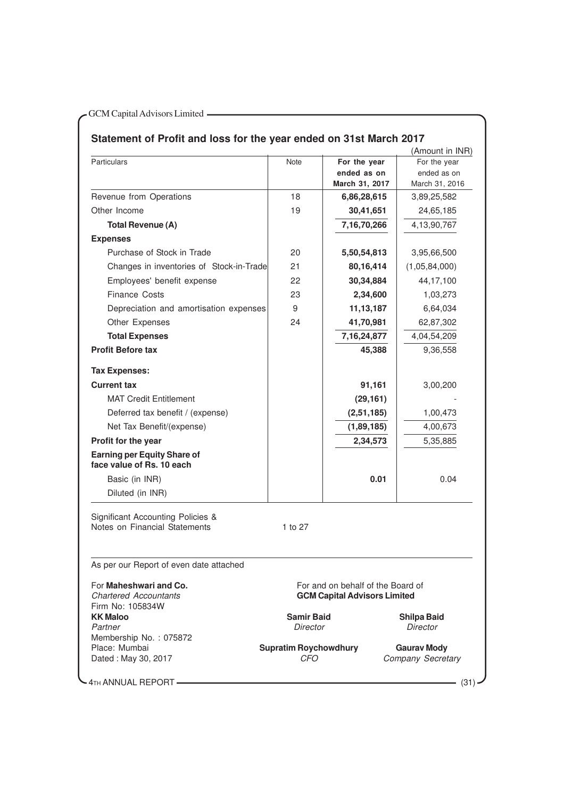## **Statement of Profit and loss for the year ended on 31st March 2017**

|                                                                               |                              |                                     | (Amount in INR)    |
|-------------------------------------------------------------------------------|------------------------------|-------------------------------------|--------------------|
| <b>Particulars</b>                                                            | <b>Note</b>                  | For the year                        | For the year       |
|                                                                               |                              | ended as on                         | ended as on        |
|                                                                               |                              | March 31, 2017                      | March 31, 2016     |
| Revenue from Operations                                                       | 18                           | 6,86,28,615                         | 3,89,25,582        |
| Other Income                                                                  | 19                           | 30,41,651                           | 24,65,185          |
| <b>Total Revenue (A)</b>                                                      |                              | 7,16,70,266                         | 4,13,90,767        |
| <b>Expenses</b>                                                               |                              |                                     |                    |
| Purchase of Stock in Trade                                                    | 20                           | 5,50,54,813                         | 3,95,66,500        |
| Changes in inventories of Stock-in-Trade                                      | 21                           | 80,16,414                           | (1,05,84,000)      |
| Employees' benefit expense                                                    | 22                           | 30,34,884                           | 44,17,100          |
| <b>Finance Costs</b>                                                          | 23                           | 2,34,600                            | 1,03,273           |
| Depreciation and amortisation expenses                                        | 9                            | 11, 13, 187                         | 6,64,034           |
|                                                                               |                              |                                     |                    |
| Other Expenses                                                                | 24                           | 41,70,981                           | 62,87,302          |
| <b>Total Expenses</b>                                                         |                              | 7, 16, 24, 877                      | 4,04,54,209        |
| <b>Profit Before tax</b>                                                      |                              | 45,388                              | 9,36,558           |
| <b>Tax Expenses:</b>                                                          |                              |                                     |                    |
| <b>Current tax</b>                                                            |                              | 91,161                              | 3,00,200           |
| <b>MAT Credit Entitlement</b>                                                 |                              | (29, 161)                           |                    |
|                                                                               |                              |                                     |                    |
| Deferred tax benefit / (expense)                                              |                              | (2,51,185)                          | 1,00,473           |
| Net Tax Benefit/(expense)                                                     |                              | (1,89,185)                          | 4,00,673           |
| Profit for the year                                                           |                              | 2,34,573                            | 5,35,885           |
| <b>Earning per Equity Share of</b><br>face value of Rs. 10 each               |                              |                                     |                    |
| Basic (in INR)                                                                |                              | 0.01                                | 0.04               |
| Diluted (in INR)                                                              |                              |                                     |                    |
| <b>Significant Accounting Policies &amp;</b><br>Notes on Financial Statements | 1 to 27                      |                                     |                    |
| As per our Report of even date attached                                       |                              |                                     |                    |
| For Maheshwari and Co.                                                        |                              | For and on behalf of the Board of   |                    |
| <b>Chartered Accountants</b>                                                  |                              | <b>GCM Capital Advisors Limited</b> |                    |
| Firm No: 105834W                                                              |                              |                                     |                    |
| <b>KK Maloo</b>                                                               | <b>Samir Baid</b>            |                                     | <b>Shilpa Baid</b> |
| Partner<br>Membership No.: 075872                                             | Director                     |                                     | Director           |
| Place: Mumbai                                                                 | <b>Supratim Roychowdhury</b> |                                     | <b>Gaurav Mody</b> |
|                                                                               |                              |                                     |                    |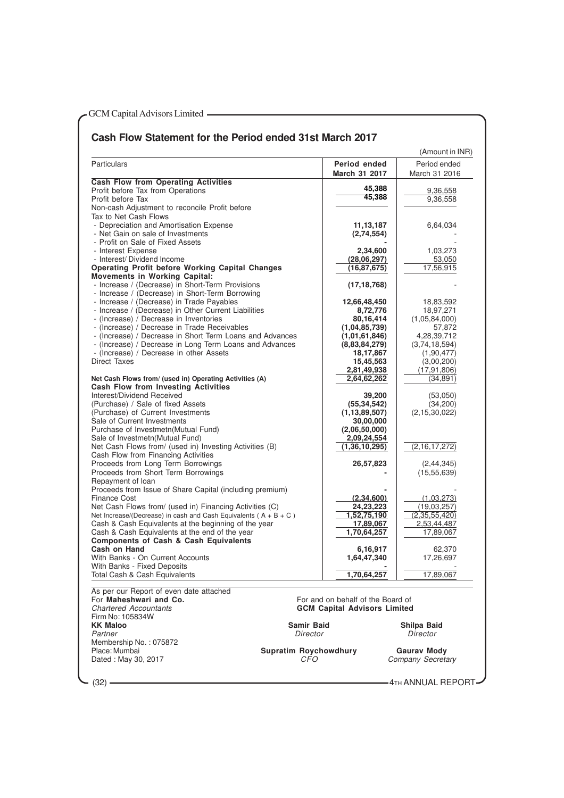### **Cash Flow Statement for the Period ended 31st March 2017**

| Period ended<br><b>Particulars</b><br>Period ended<br>March 31 2017<br>March 31 2016<br><b>Cash Flow from Operating Activities</b><br>45,388<br>Profit before Tax from Operations<br>9,36,558<br>45,388<br>Profit before Tax<br>9,36,558<br>Non-cash Adjustment to reconcile Profit before<br>Tax to Net Cash Flows<br>- Depreciation and Amortisation Expense<br>11, 13, 187<br>6,64,034<br>- Net Gain on sale of Investments<br>(2,74,554)<br>- Profit on Sale of Fixed Assets<br>- Interest Expense<br>2,34,600<br>1,03,273<br>- Interest/ Dividend Income<br>(28,06,297)<br>53,050<br>17,56,915<br><b>Operating Profit before Working Capital Changes</b><br>(16, 87, 675)<br><b>Movements in Working Capital:</b><br>- Increase / (Decrease) in Short-Term Provisions<br>(17, 18, 768)<br>- Increase / (Decrease) in Short-Term Borrowing<br>- Increase / (Decrease) in Trade Payables<br>12,66,48,450<br>18,83,592<br>- Increase / (Decrease) in Other Current Liabilities<br>8,72,776<br>18,97,271<br>- (Increase) / Decrease in Inventories<br>80,16,414<br>(1,05,84,000)<br>- (Increase) / Decrease in Trade Receivables<br>(1,04,85,739)<br>57,872<br>- (Increase) / Decrease in Short Term Loans and Advances<br>4,28,39,712<br>(1,01,61,846)<br>- (Increase) / Decrease in Long Term Loans and Advances<br>(8,83,84,279)<br>(3,74,18,594)<br>- (Increase) / Decrease in other Assets<br>18,17,867<br>(1,90,477)<br><b>Direct Taxes</b><br>15,45,563<br>(3,00,200)<br>2,81,49,938<br>(17, 91, 806)<br>2,64,62,262<br>Net Cash Flows from/ (used in) Operating Activities (A)<br>(34, 891)<br><b>Cash Flow from Investing Activities</b><br>Interest/Dividend Received<br>39,200<br>(53,050)<br>(Purchase) / Sale of fixed Assets<br>(55, 34, 542)<br>(34,200)<br>(Purchase) of Current Investments<br>(2, 15, 30, 022)<br>(1, 13, 89, 507)<br>Sale of Current Investments<br>30,00,000<br>Purchase of Investmetn(Mutual Fund)<br>(2,06,50,000)<br>Sale of Investmetn (Mutual Fund)<br>2,09,24,554<br>Net Cash Flows from/ (used in) Investing Activities (B)<br>(1, 36, 10, 295)<br>(2, 16, 17, 272)<br>Cash Flow from Financing Activities<br>Proceeds from Long Term Borrowings<br>26,57,823<br>(2, 44, 345)<br>Proceeds from Short Term Borrowings<br>(15, 55, 639)<br>Repayment of loan<br>Proceeds from Issue of Share Capital (including premium)<br><b>Finance Cost</b><br>(2,34,600)<br>(1,03,273)<br>Net Cash Flows from/ (used in) Financing Activities (C)<br>24,23,223<br>(19,03,257)<br>Net Increase/(Decrease) in cash and Cash Equivalents ( $A + B + C$ )<br>(2,35,55,420)<br>1,52,75,190<br>2,53,44,487<br>Cash & Cash Equivalents at the beginning of the year<br>17,89,067<br>Cash & Cash Equivalents at the end of the year<br>1,70,64,257<br>17,89,067<br><b>Components of Cash &amp; Cash Equivalents</b><br>Cash on Hand<br>6,16,917<br>62,370<br>With Banks - On Current Accounts<br>1,64,47,340<br>17,26,697<br>With Banks - Fixed Deposits<br>1,70,64,257<br>17,89,067<br>Total Cash & Cash Equivalents<br>As per our Report of even date attached<br>For Maheshwari and Co.<br>For and on behalf of the Board of<br><b>Chartered Accountants</b><br><b>GCM Capital Advisors Limited</b><br>Firm No: 105834W<br><b>KK Maloo</b><br><b>Samir Baid</b><br>Shilpa Baid |         |          | (Amount in INR) |
|----------------------------------------------------------------------------------------------------------------------------------------------------------------------------------------------------------------------------------------------------------------------------------------------------------------------------------------------------------------------------------------------------------------------------------------------------------------------------------------------------------------------------------------------------------------------------------------------------------------------------------------------------------------------------------------------------------------------------------------------------------------------------------------------------------------------------------------------------------------------------------------------------------------------------------------------------------------------------------------------------------------------------------------------------------------------------------------------------------------------------------------------------------------------------------------------------------------------------------------------------------------------------------------------------------------------------------------------------------------------------------------------------------------------------------------------------------------------------------------------------------------------------------------------------------------------------------------------------------------------------------------------------------------------------------------------------------------------------------------------------------------------------------------------------------------------------------------------------------------------------------------------------------------------------------------------------------------------------------------------------------------------------------------------------------------------------------------------------------------------------------------------------------------------------------------------------------------------------------------------------------------------------------------------------------------------------------------------------------------------------------------------------------------------------------------------------------------------------------------------------------------------------------------------------------------------------------------------------------------------------------------------------------------------------------------------------------------------------------------------------------------------------------------------------------------------------------------------------------------------------------------------------------------------------------------------------------------------------------------------------------------------------------------------------------------------------------------------------------------------------------------------------------------------------------------------------------------------------------------------------------------------------------------------------------|---------|----------|-----------------|
|                                                                                                                                                                                                                                                                                                                                                                                                                                                                                                                                                                                                                                                                                                                                                                                                                                                                                                                                                                                                                                                                                                                                                                                                                                                                                                                                                                                                                                                                                                                                                                                                                                                                                                                                                                                                                                                                                                                                                                                                                                                                                                                                                                                                                                                                                                                                                                                                                                                                                                                                                                                                                                                                                                                                                                                                                                                                                                                                                                                                                                                                                                                                                                                                                                                                                                          |         |          |                 |
|                                                                                                                                                                                                                                                                                                                                                                                                                                                                                                                                                                                                                                                                                                                                                                                                                                                                                                                                                                                                                                                                                                                                                                                                                                                                                                                                                                                                                                                                                                                                                                                                                                                                                                                                                                                                                                                                                                                                                                                                                                                                                                                                                                                                                                                                                                                                                                                                                                                                                                                                                                                                                                                                                                                                                                                                                                                                                                                                                                                                                                                                                                                                                                                                                                                                                                          |         |          |                 |
|                                                                                                                                                                                                                                                                                                                                                                                                                                                                                                                                                                                                                                                                                                                                                                                                                                                                                                                                                                                                                                                                                                                                                                                                                                                                                                                                                                                                                                                                                                                                                                                                                                                                                                                                                                                                                                                                                                                                                                                                                                                                                                                                                                                                                                                                                                                                                                                                                                                                                                                                                                                                                                                                                                                                                                                                                                                                                                                                                                                                                                                                                                                                                                                                                                                                                                          |         |          |                 |
|                                                                                                                                                                                                                                                                                                                                                                                                                                                                                                                                                                                                                                                                                                                                                                                                                                                                                                                                                                                                                                                                                                                                                                                                                                                                                                                                                                                                                                                                                                                                                                                                                                                                                                                                                                                                                                                                                                                                                                                                                                                                                                                                                                                                                                                                                                                                                                                                                                                                                                                                                                                                                                                                                                                                                                                                                                                                                                                                                                                                                                                                                                                                                                                                                                                                                                          |         |          |                 |
|                                                                                                                                                                                                                                                                                                                                                                                                                                                                                                                                                                                                                                                                                                                                                                                                                                                                                                                                                                                                                                                                                                                                                                                                                                                                                                                                                                                                                                                                                                                                                                                                                                                                                                                                                                                                                                                                                                                                                                                                                                                                                                                                                                                                                                                                                                                                                                                                                                                                                                                                                                                                                                                                                                                                                                                                                                                                                                                                                                                                                                                                                                                                                                                                                                                                                                          |         |          |                 |
|                                                                                                                                                                                                                                                                                                                                                                                                                                                                                                                                                                                                                                                                                                                                                                                                                                                                                                                                                                                                                                                                                                                                                                                                                                                                                                                                                                                                                                                                                                                                                                                                                                                                                                                                                                                                                                                                                                                                                                                                                                                                                                                                                                                                                                                                                                                                                                                                                                                                                                                                                                                                                                                                                                                                                                                                                                                                                                                                                                                                                                                                                                                                                                                                                                                                                                          |         |          |                 |
|                                                                                                                                                                                                                                                                                                                                                                                                                                                                                                                                                                                                                                                                                                                                                                                                                                                                                                                                                                                                                                                                                                                                                                                                                                                                                                                                                                                                                                                                                                                                                                                                                                                                                                                                                                                                                                                                                                                                                                                                                                                                                                                                                                                                                                                                                                                                                                                                                                                                                                                                                                                                                                                                                                                                                                                                                                                                                                                                                                                                                                                                                                                                                                                                                                                                                                          |         |          |                 |
|                                                                                                                                                                                                                                                                                                                                                                                                                                                                                                                                                                                                                                                                                                                                                                                                                                                                                                                                                                                                                                                                                                                                                                                                                                                                                                                                                                                                                                                                                                                                                                                                                                                                                                                                                                                                                                                                                                                                                                                                                                                                                                                                                                                                                                                                                                                                                                                                                                                                                                                                                                                                                                                                                                                                                                                                                                                                                                                                                                                                                                                                                                                                                                                                                                                                                                          |         |          |                 |
|                                                                                                                                                                                                                                                                                                                                                                                                                                                                                                                                                                                                                                                                                                                                                                                                                                                                                                                                                                                                                                                                                                                                                                                                                                                                                                                                                                                                                                                                                                                                                                                                                                                                                                                                                                                                                                                                                                                                                                                                                                                                                                                                                                                                                                                                                                                                                                                                                                                                                                                                                                                                                                                                                                                                                                                                                                                                                                                                                                                                                                                                                                                                                                                                                                                                                                          |         |          |                 |
|                                                                                                                                                                                                                                                                                                                                                                                                                                                                                                                                                                                                                                                                                                                                                                                                                                                                                                                                                                                                                                                                                                                                                                                                                                                                                                                                                                                                                                                                                                                                                                                                                                                                                                                                                                                                                                                                                                                                                                                                                                                                                                                                                                                                                                                                                                                                                                                                                                                                                                                                                                                                                                                                                                                                                                                                                                                                                                                                                                                                                                                                                                                                                                                                                                                                                                          |         |          |                 |
|                                                                                                                                                                                                                                                                                                                                                                                                                                                                                                                                                                                                                                                                                                                                                                                                                                                                                                                                                                                                                                                                                                                                                                                                                                                                                                                                                                                                                                                                                                                                                                                                                                                                                                                                                                                                                                                                                                                                                                                                                                                                                                                                                                                                                                                                                                                                                                                                                                                                                                                                                                                                                                                                                                                                                                                                                                                                                                                                                                                                                                                                                                                                                                                                                                                                                                          |         |          |                 |
|                                                                                                                                                                                                                                                                                                                                                                                                                                                                                                                                                                                                                                                                                                                                                                                                                                                                                                                                                                                                                                                                                                                                                                                                                                                                                                                                                                                                                                                                                                                                                                                                                                                                                                                                                                                                                                                                                                                                                                                                                                                                                                                                                                                                                                                                                                                                                                                                                                                                                                                                                                                                                                                                                                                                                                                                                                                                                                                                                                                                                                                                                                                                                                                                                                                                                                          |         |          |                 |
|                                                                                                                                                                                                                                                                                                                                                                                                                                                                                                                                                                                                                                                                                                                                                                                                                                                                                                                                                                                                                                                                                                                                                                                                                                                                                                                                                                                                                                                                                                                                                                                                                                                                                                                                                                                                                                                                                                                                                                                                                                                                                                                                                                                                                                                                                                                                                                                                                                                                                                                                                                                                                                                                                                                                                                                                                                                                                                                                                                                                                                                                                                                                                                                                                                                                                                          |         |          |                 |
|                                                                                                                                                                                                                                                                                                                                                                                                                                                                                                                                                                                                                                                                                                                                                                                                                                                                                                                                                                                                                                                                                                                                                                                                                                                                                                                                                                                                                                                                                                                                                                                                                                                                                                                                                                                                                                                                                                                                                                                                                                                                                                                                                                                                                                                                                                                                                                                                                                                                                                                                                                                                                                                                                                                                                                                                                                                                                                                                                                                                                                                                                                                                                                                                                                                                                                          |         |          |                 |
|                                                                                                                                                                                                                                                                                                                                                                                                                                                                                                                                                                                                                                                                                                                                                                                                                                                                                                                                                                                                                                                                                                                                                                                                                                                                                                                                                                                                                                                                                                                                                                                                                                                                                                                                                                                                                                                                                                                                                                                                                                                                                                                                                                                                                                                                                                                                                                                                                                                                                                                                                                                                                                                                                                                                                                                                                                                                                                                                                                                                                                                                                                                                                                                                                                                                                                          |         |          |                 |
|                                                                                                                                                                                                                                                                                                                                                                                                                                                                                                                                                                                                                                                                                                                                                                                                                                                                                                                                                                                                                                                                                                                                                                                                                                                                                                                                                                                                                                                                                                                                                                                                                                                                                                                                                                                                                                                                                                                                                                                                                                                                                                                                                                                                                                                                                                                                                                                                                                                                                                                                                                                                                                                                                                                                                                                                                                                                                                                                                                                                                                                                                                                                                                                                                                                                                                          |         |          |                 |
|                                                                                                                                                                                                                                                                                                                                                                                                                                                                                                                                                                                                                                                                                                                                                                                                                                                                                                                                                                                                                                                                                                                                                                                                                                                                                                                                                                                                                                                                                                                                                                                                                                                                                                                                                                                                                                                                                                                                                                                                                                                                                                                                                                                                                                                                                                                                                                                                                                                                                                                                                                                                                                                                                                                                                                                                                                                                                                                                                                                                                                                                                                                                                                                                                                                                                                          |         |          |                 |
|                                                                                                                                                                                                                                                                                                                                                                                                                                                                                                                                                                                                                                                                                                                                                                                                                                                                                                                                                                                                                                                                                                                                                                                                                                                                                                                                                                                                                                                                                                                                                                                                                                                                                                                                                                                                                                                                                                                                                                                                                                                                                                                                                                                                                                                                                                                                                                                                                                                                                                                                                                                                                                                                                                                                                                                                                                                                                                                                                                                                                                                                                                                                                                                                                                                                                                          |         |          |                 |
|                                                                                                                                                                                                                                                                                                                                                                                                                                                                                                                                                                                                                                                                                                                                                                                                                                                                                                                                                                                                                                                                                                                                                                                                                                                                                                                                                                                                                                                                                                                                                                                                                                                                                                                                                                                                                                                                                                                                                                                                                                                                                                                                                                                                                                                                                                                                                                                                                                                                                                                                                                                                                                                                                                                                                                                                                                                                                                                                                                                                                                                                                                                                                                                                                                                                                                          |         |          |                 |
|                                                                                                                                                                                                                                                                                                                                                                                                                                                                                                                                                                                                                                                                                                                                                                                                                                                                                                                                                                                                                                                                                                                                                                                                                                                                                                                                                                                                                                                                                                                                                                                                                                                                                                                                                                                                                                                                                                                                                                                                                                                                                                                                                                                                                                                                                                                                                                                                                                                                                                                                                                                                                                                                                                                                                                                                                                                                                                                                                                                                                                                                                                                                                                                                                                                                                                          |         |          |                 |
|                                                                                                                                                                                                                                                                                                                                                                                                                                                                                                                                                                                                                                                                                                                                                                                                                                                                                                                                                                                                                                                                                                                                                                                                                                                                                                                                                                                                                                                                                                                                                                                                                                                                                                                                                                                                                                                                                                                                                                                                                                                                                                                                                                                                                                                                                                                                                                                                                                                                                                                                                                                                                                                                                                                                                                                                                                                                                                                                                                                                                                                                                                                                                                                                                                                                                                          |         |          |                 |
|                                                                                                                                                                                                                                                                                                                                                                                                                                                                                                                                                                                                                                                                                                                                                                                                                                                                                                                                                                                                                                                                                                                                                                                                                                                                                                                                                                                                                                                                                                                                                                                                                                                                                                                                                                                                                                                                                                                                                                                                                                                                                                                                                                                                                                                                                                                                                                                                                                                                                                                                                                                                                                                                                                                                                                                                                                                                                                                                                                                                                                                                                                                                                                                                                                                                                                          |         |          |                 |
|                                                                                                                                                                                                                                                                                                                                                                                                                                                                                                                                                                                                                                                                                                                                                                                                                                                                                                                                                                                                                                                                                                                                                                                                                                                                                                                                                                                                                                                                                                                                                                                                                                                                                                                                                                                                                                                                                                                                                                                                                                                                                                                                                                                                                                                                                                                                                                                                                                                                                                                                                                                                                                                                                                                                                                                                                                                                                                                                                                                                                                                                                                                                                                                                                                                                                                          |         |          |                 |
|                                                                                                                                                                                                                                                                                                                                                                                                                                                                                                                                                                                                                                                                                                                                                                                                                                                                                                                                                                                                                                                                                                                                                                                                                                                                                                                                                                                                                                                                                                                                                                                                                                                                                                                                                                                                                                                                                                                                                                                                                                                                                                                                                                                                                                                                                                                                                                                                                                                                                                                                                                                                                                                                                                                                                                                                                                                                                                                                                                                                                                                                                                                                                                                                                                                                                                          |         |          |                 |
|                                                                                                                                                                                                                                                                                                                                                                                                                                                                                                                                                                                                                                                                                                                                                                                                                                                                                                                                                                                                                                                                                                                                                                                                                                                                                                                                                                                                                                                                                                                                                                                                                                                                                                                                                                                                                                                                                                                                                                                                                                                                                                                                                                                                                                                                                                                                                                                                                                                                                                                                                                                                                                                                                                                                                                                                                                                                                                                                                                                                                                                                                                                                                                                                                                                                                                          |         |          |                 |
|                                                                                                                                                                                                                                                                                                                                                                                                                                                                                                                                                                                                                                                                                                                                                                                                                                                                                                                                                                                                                                                                                                                                                                                                                                                                                                                                                                                                                                                                                                                                                                                                                                                                                                                                                                                                                                                                                                                                                                                                                                                                                                                                                                                                                                                                                                                                                                                                                                                                                                                                                                                                                                                                                                                                                                                                                                                                                                                                                                                                                                                                                                                                                                                                                                                                                                          |         |          |                 |
|                                                                                                                                                                                                                                                                                                                                                                                                                                                                                                                                                                                                                                                                                                                                                                                                                                                                                                                                                                                                                                                                                                                                                                                                                                                                                                                                                                                                                                                                                                                                                                                                                                                                                                                                                                                                                                                                                                                                                                                                                                                                                                                                                                                                                                                                                                                                                                                                                                                                                                                                                                                                                                                                                                                                                                                                                                                                                                                                                                                                                                                                                                                                                                                                                                                                                                          |         |          |                 |
|                                                                                                                                                                                                                                                                                                                                                                                                                                                                                                                                                                                                                                                                                                                                                                                                                                                                                                                                                                                                                                                                                                                                                                                                                                                                                                                                                                                                                                                                                                                                                                                                                                                                                                                                                                                                                                                                                                                                                                                                                                                                                                                                                                                                                                                                                                                                                                                                                                                                                                                                                                                                                                                                                                                                                                                                                                                                                                                                                                                                                                                                                                                                                                                                                                                                                                          |         |          |                 |
|                                                                                                                                                                                                                                                                                                                                                                                                                                                                                                                                                                                                                                                                                                                                                                                                                                                                                                                                                                                                                                                                                                                                                                                                                                                                                                                                                                                                                                                                                                                                                                                                                                                                                                                                                                                                                                                                                                                                                                                                                                                                                                                                                                                                                                                                                                                                                                                                                                                                                                                                                                                                                                                                                                                                                                                                                                                                                                                                                                                                                                                                                                                                                                                                                                                                                                          |         |          |                 |
|                                                                                                                                                                                                                                                                                                                                                                                                                                                                                                                                                                                                                                                                                                                                                                                                                                                                                                                                                                                                                                                                                                                                                                                                                                                                                                                                                                                                                                                                                                                                                                                                                                                                                                                                                                                                                                                                                                                                                                                                                                                                                                                                                                                                                                                                                                                                                                                                                                                                                                                                                                                                                                                                                                                                                                                                                                                                                                                                                                                                                                                                                                                                                                                                                                                                                                          |         |          |                 |
|                                                                                                                                                                                                                                                                                                                                                                                                                                                                                                                                                                                                                                                                                                                                                                                                                                                                                                                                                                                                                                                                                                                                                                                                                                                                                                                                                                                                                                                                                                                                                                                                                                                                                                                                                                                                                                                                                                                                                                                                                                                                                                                                                                                                                                                                                                                                                                                                                                                                                                                                                                                                                                                                                                                                                                                                                                                                                                                                                                                                                                                                                                                                                                                                                                                                                                          |         |          |                 |
|                                                                                                                                                                                                                                                                                                                                                                                                                                                                                                                                                                                                                                                                                                                                                                                                                                                                                                                                                                                                                                                                                                                                                                                                                                                                                                                                                                                                                                                                                                                                                                                                                                                                                                                                                                                                                                                                                                                                                                                                                                                                                                                                                                                                                                                                                                                                                                                                                                                                                                                                                                                                                                                                                                                                                                                                                                                                                                                                                                                                                                                                                                                                                                                                                                                                                                          |         |          |                 |
|                                                                                                                                                                                                                                                                                                                                                                                                                                                                                                                                                                                                                                                                                                                                                                                                                                                                                                                                                                                                                                                                                                                                                                                                                                                                                                                                                                                                                                                                                                                                                                                                                                                                                                                                                                                                                                                                                                                                                                                                                                                                                                                                                                                                                                                                                                                                                                                                                                                                                                                                                                                                                                                                                                                                                                                                                                                                                                                                                                                                                                                                                                                                                                                                                                                                                                          |         |          |                 |
|                                                                                                                                                                                                                                                                                                                                                                                                                                                                                                                                                                                                                                                                                                                                                                                                                                                                                                                                                                                                                                                                                                                                                                                                                                                                                                                                                                                                                                                                                                                                                                                                                                                                                                                                                                                                                                                                                                                                                                                                                                                                                                                                                                                                                                                                                                                                                                                                                                                                                                                                                                                                                                                                                                                                                                                                                                                                                                                                                                                                                                                                                                                                                                                                                                                                                                          |         |          |                 |
|                                                                                                                                                                                                                                                                                                                                                                                                                                                                                                                                                                                                                                                                                                                                                                                                                                                                                                                                                                                                                                                                                                                                                                                                                                                                                                                                                                                                                                                                                                                                                                                                                                                                                                                                                                                                                                                                                                                                                                                                                                                                                                                                                                                                                                                                                                                                                                                                                                                                                                                                                                                                                                                                                                                                                                                                                                                                                                                                                                                                                                                                                                                                                                                                                                                                                                          |         |          |                 |
|                                                                                                                                                                                                                                                                                                                                                                                                                                                                                                                                                                                                                                                                                                                                                                                                                                                                                                                                                                                                                                                                                                                                                                                                                                                                                                                                                                                                                                                                                                                                                                                                                                                                                                                                                                                                                                                                                                                                                                                                                                                                                                                                                                                                                                                                                                                                                                                                                                                                                                                                                                                                                                                                                                                                                                                                                                                                                                                                                                                                                                                                                                                                                                                                                                                                                                          |         |          |                 |
|                                                                                                                                                                                                                                                                                                                                                                                                                                                                                                                                                                                                                                                                                                                                                                                                                                                                                                                                                                                                                                                                                                                                                                                                                                                                                                                                                                                                                                                                                                                                                                                                                                                                                                                                                                                                                                                                                                                                                                                                                                                                                                                                                                                                                                                                                                                                                                                                                                                                                                                                                                                                                                                                                                                                                                                                                                                                                                                                                                                                                                                                                                                                                                                                                                                                                                          |         |          |                 |
|                                                                                                                                                                                                                                                                                                                                                                                                                                                                                                                                                                                                                                                                                                                                                                                                                                                                                                                                                                                                                                                                                                                                                                                                                                                                                                                                                                                                                                                                                                                                                                                                                                                                                                                                                                                                                                                                                                                                                                                                                                                                                                                                                                                                                                                                                                                                                                                                                                                                                                                                                                                                                                                                                                                                                                                                                                                                                                                                                                                                                                                                                                                                                                                                                                                                                                          |         |          |                 |
|                                                                                                                                                                                                                                                                                                                                                                                                                                                                                                                                                                                                                                                                                                                                                                                                                                                                                                                                                                                                                                                                                                                                                                                                                                                                                                                                                                                                                                                                                                                                                                                                                                                                                                                                                                                                                                                                                                                                                                                                                                                                                                                                                                                                                                                                                                                                                                                                                                                                                                                                                                                                                                                                                                                                                                                                                                                                                                                                                                                                                                                                                                                                                                                                                                                                                                          |         |          |                 |
|                                                                                                                                                                                                                                                                                                                                                                                                                                                                                                                                                                                                                                                                                                                                                                                                                                                                                                                                                                                                                                                                                                                                                                                                                                                                                                                                                                                                                                                                                                                                                                                                                                                                                                                                                                                                                                                                                                                                                                                                                                                                                                                                                                                                                                                                                                                                                                                                                                                                                                                                                                                                                                                                                                                                                                                                                                                                                                                                                                                                                                                                                                                                                                                                                                                                                                          |         |          |                 |
|                                                                                                                                                                                                                                                                                                                                                                                                                                                                                                                                                                                                                                                                                                                                                                                                                                                                                                                                                                                                                                                                                                                                                                                                                                                                                                                                                                                                                                                                                                                                                                                                                                                                                                                                                                                                                                                                                                                                                                                                                                                                                                                                                                                                                                                                                                                                                                                                                                                                                                                                                                                                                                                                                                                                                                                                                                                                                                                                                                                                                                                                                                                                                                                                                                                                                                          |         |          |                 |
|                                                                                                                                                                                                                                                                                                                                                                                                                                                                                                                                                                                                                                                                                                                                                                                                                                                                                                                                                                                                                                                                                                                                                                                                                                                                                                                                                                                                                                                                                                                                                                                                                                                                                                                                                                                                                                                                                                                                                                                                                                                                                                                                                                                                                                                                                                                                                                                                                                                                                                                                                                                                                                                                                                                                                                                                                                                                                                                                                                                                                                                                                                                                                                                                                                                                                                          |         |          |                 |
|                                                                                                                                                                                                                                                                                                                                                                                                                                                                                                                                                                                                                                                                                                                                                                                                                                                                                                                                                                                                                                                                                                                                                                                                                                                                                                                                                                                                                                                                                                                                                                                                                                                                                                                                                                                                                                                                                                                                                                                                                                                                                                                                                                                                                                                                                                                                                                                                                                                                                                                                                                                                                                                                                                                                                                                                                                                                                                                                                                                                                                                                                                                                                                                                                                                                                                          |         |          |                 |
|                                                                                                                                                                                                                                                                                                                                                                                                                                                                                                                                                                                                                                                                                                                                                                                                                                                                                                                                                                                                                                                                                                                                                                                                                                                                                                                                                                                                                                                                                                                                                                                                                                                                                                                                                                                                                                                                                                                                                                                                                                                                                                                                                                                                                                                                                                                                                                                                                                                                                                                                                                                                                                                                                                                                                                                                                                                                                                                                                                                                                                                                                                                                                                                                                                                                                                          |         |          |                 |
|                                                                                                                                                                                                                                                                                                                                                                                                                                                                                                                                                                                                                                                                                                                                                                                                                                                                                                                                                                                                                                                                                                                                                                                                                                                                                                                                                                                                                                                                                                                                                                                                                                                                                                                                                                                                                                                                                                                                                                                                                                                                                                                                                                                                                                                                                                                                                                                                                                                                                                                                                                                                                                                                                                                                                                                                                                                                                                                                                                                                                                                                                                                                                                                                                                                                                                          |         |          |                 |
|                                                                                                                                                                                                                                                                                                                                                                                                                                                                                                                                                                                                                                                                                                                                                                                                                                                                                                                                                                                                                                                                                                                                                                                                                                                                                                                                                                                                                                                                                                                                                                                                                                                                                                                                                                                                                                                                                                                                                                                                                                                                                                                                                                                                                                                                                                                                                                                                                                                                                                                                                                                                                                                                                                                                                                                                                                                                                                                                                                                                                                                                                                                                                                                                                                                                                                          |         |          |                 |
|                                                                                                                                                                                                                                                                                                                                                                                                                                                                                                                                                                                                                                                                                                                                                                                                                                                                                                                                                                                                                                                                                                                                                                                                                                                                                                                                                                                                                                                                                                                                                                                                                                                                                                                                                                                                                                                                                                                                                                                                                                                                                                                                                                                                                                                                                                                                                                                                                                                                                                                                                                                                                                                                                                                                                                                                                                                                                                                                                                                                                                                                                                                                                                                                                                                                                                          |         |          |                 |
|                                                                                                                                                                                                                                                                                                                                                                                                                                                                                                                                                                                                                                                                                                                                                                                                                                                                                                                                                                                                                                                                                                                                                                                                                                                                                                                                                                                                                                                                                                                                                                                                                                                                                                                                                                                                                                                                                                                                                                                                                                                                                                                                                                                                                                                                                                                                                                                                                                                                                                                                                                                                                                                                                                                                                                                                                                                                                                                                                                                                                                                                                                                                                                                                                                                                                                          |         |          |                 |
|                                                                                                                                                                                                                                                                                                                                                                                                                                                                                                                                                                                                                                                                                                                                                                                                                                                                                                                                                                                                                                                                                                                                                                                                                                                                                                                                                                                                                                                                                                                                                                                                                                                                                                                                                                                                                                                                                                                                                                                                                                                                                                                                                                                                                                                                                                                                                                                                                                                                                                                                                                                                                                                                                                                                                                                                                                                                                                                                                                                                                                                                                                                                                                                                                                                                                                          |         |          |                 |
|                                                                                                                                                                                                                                                                                                                                                                                                                                                                                                                                                                                                                                                                                                                                                                                                                                                                                                                                                                                                                                                                                                                                                                                                                                                                                                                                                                                                                                                                                                                                                                                                                                                                                                                                                                                                                                                                                                                                                                                                                                                                                                                                                                                                                                                                                                                                                                                                                                                                                                                                                                                                                                                                                                                                                                                                                                                                                                                                                                                                                                                                                                                                                                                                                                                                                                          |         |          |                 |
|                                                                                                                                                                                                                                                                                                                                                                                                                                                                                                                                                                                                                                                                                                                                                                                                                                                                                                                                                                                                                                                                                                                                                                                                                                                                                                                                                                                                                                                                                                                                                                                                                                                                                                                                                                                                                                                                                                                                                                                                                                                                                                                                                                                                                                                                                                                                                                                                                                                                                                                                                                                                                                                                                                                                                                                                                                                                                                                                                                                                                                                                                                                                                                                                                                                                                                          |         |          |                 |
|                                                                                                                                                                                                                                                                                                                                                                                                                                                                                                                                                                                                                                                                                                                                                                                                                                                                                                                                                                                                                                                                                                                                                                                                                                                                                                                                                                                                                                                                                                                                                                                                                                                                                                                                                                                                                                                                                                                                                                                                                                                                                                                                                                                                                                                                                                                                                                                                                                                                                                                                                                                                                                                                                                                                                                                                                                                                                                                                                                                                                                                                                                                                                                                                                                                                                                          |         |          |                 |
|                                                                                                                                                                                                                                                                                                                                                                                                                                                                                                                                                                                                                                                                                                                                                                                                                                                                                                                                                                                                                                                                                                                                                                                                                                                                                                                                                                                                                                                                                                                                                                                                                                                                                                                                                                                                                                                                                                                                                                                                                                                                                                                                                                                                                                                                                                                                                                                                                                                                                                                                                                                                                                                                                                                                                                                                                                                                                                                                                                                                                                                                                                                                                                                                                                                                                                          |         |          |                 |
|                                                                                                                                                                                                                                                                                                                                                                                                                                                                                                                                                                                                                                                                                                                                                                                                                                                                                                                                                                                                                                                                                                                                                                                                                                                                                                                                                                                                                                                                                                                                                                                                                                                                                                                                                                                                                                                                                                                                                                                                                                                                                                                                                                                                                                                                                                                                                                                                                                                                                                                                                                                                                                                                                                                                                                                                                                                                                                                                                                                                                                                                                                                                                                                                                                                                                                          | Partner | Director | Director        |

Membership No. : 075872

Place: Mumbai **Supratim Roychowdhury Gaurav Mody** Dated : May 30, 2017 CFO Company Secretary

(32) 4TH ANNUAL REPORT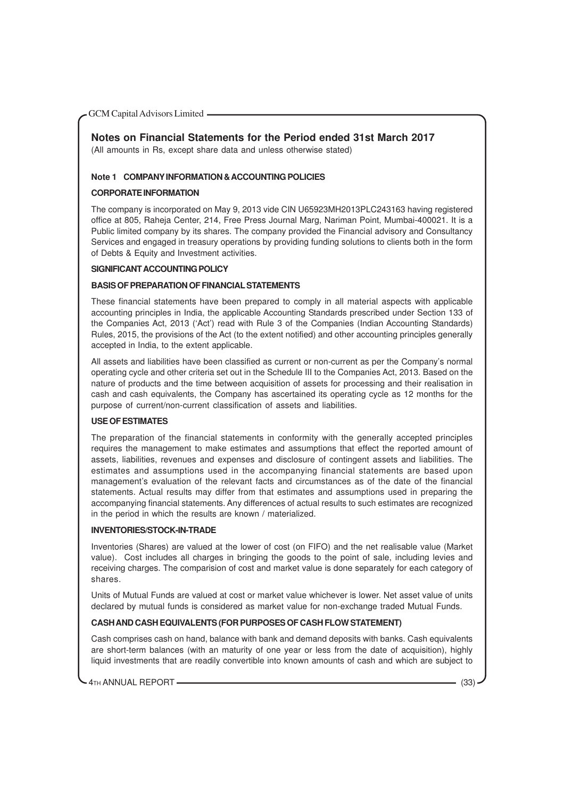#### **Notes on Financial Statements for the Period ended 31st March 2017**

(All amounts in Rs, except share data and unless otherwise stated)

#### **Note 1 COMPANY INFORMATION & ACCOUNTING POLICIES**

#### **CORPORATE INFORMATION**

The company is incorporated on May 9, 2013 vide CIN U65923MH2013PLC243163 having registered office at 805, Raheja Center, 214, Free Press Journal Marg, Nariman Point, Mumbai-400021. It is a Public limited company by its shares. The company provided the Financial advisory and Consultancy Services and engaged in treasury operations by providing funding solutions to clients both in the form of Debts & Equity and Investment activities.

#### **SIGNIFICANT ACCOUNTING POLICY**

#### **BASIS OF PREPARATION OF FINANCIAL STATEMENTS**

These financial statements have been prepared to comply in all material aspects with applicable accounting principles in India, the applicable Accounting Standards prescribed under Section 133 of the Companies Act, 2013 ('Act') read with Rule 3 of the Companies (Indian Accounting Standards) Rules, 2015, the provisions of the Act (to the extent notified) and other accounting principles generally accepted in India, to the extent applicable.

All assets and liabilities have been classified as current or non-current as per the Company's normal operating cycle and other criteria set out in the Schedule III to the Companies Act, 2013. Based on the nature of products and the time between acquisition of assets for processing and their realisation in cash and cash equivalents, the Company has ascertained its operating cycle as 12 months for the purpose of current/non-current classification of assets and liabilities.

#### **USE OF ESTIMATES**

The preparation of the financial statements in conformity with the generally accepted principles requires the management to make estimates and assumptions that effect the reported amount of assets, liabilities, revenues and expenses and disclosure of contingent assets and liabilities. The estimates and assumptions used in the accompanying financial statements are based upon management's evaluation of the relevant facts and circumstances as of the date of the financial statements. Actual results may differ from that estimates and assumptions used in preparing the accompanying financial statements. Any differences of actual results to such estimates are recognized in the period in which the results are known / materialized.

#### **INVENTORIES/STOCK-IN-TRADE**

Inventories (Shares) are valued at the lower of cost (on FIFO) and the net realisable value (Market value). Cost includes all charges in bringing the goods to the point of sale, including levies and receiving charges. The comparision of cost and market value is done separately for each category of shares.

Units of Mutual Funds are valued at cost or market value whichever is lower. Net asset value of units declared by mutual funds is considered as market value for non-exchange traded Mutual Funds.

#### **CASH AND CASH EQUIVALENTS (FOR PURPOSES OF CASH FLOW STATEMENT)**

Cash comprises cash on hand, balance with bank and demand deposits with banks. Cash equivalents are short-term balances (with an maturity of one year or less from the date of acquisition), highly liquid investments that are readily convertible into known amounts of cash and which are subject to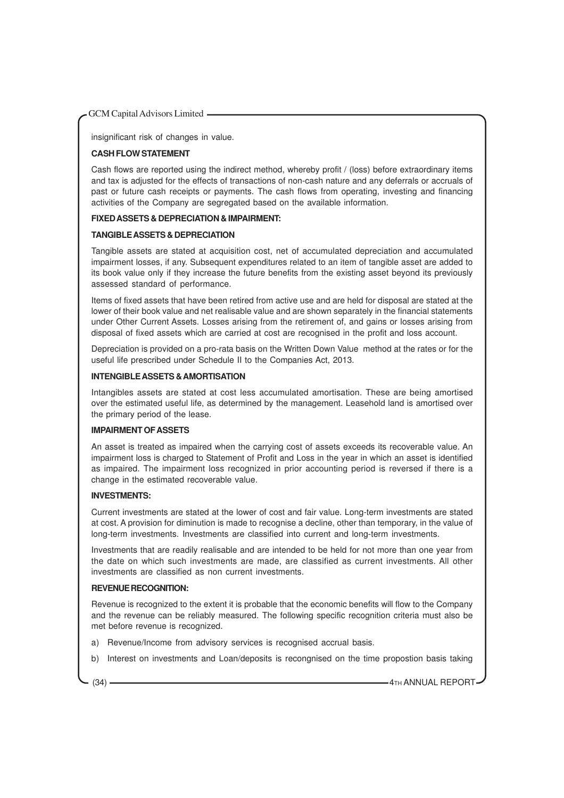insignificant risk of changes in value.

#### **CASH FLOW STATEMENT**

Cash flows are reported using the indirect method, whereby profit / (loss) before extraordinary items and tax is adjusted for the effects of transactions of non-cash nature and any deferrals or accruals of past or future cash receipts or payments. The cash flows from operating, investing and financing activities of the Company are segregated based on the available information.

#### **FIXED ASSETS & DEPRECIATION & IMPAIRMENT:**

#### **TANGIBLE ASSETS & DEPRECIATION**

Tangible assets are stated at acquisition cost, net of accumulated depreciation and accumulated impairment losses, if any. Subsequent expenditures related to an item of tangible asset are added to its book value only if they increase the future benefits from the existing asset beyond its previously assessed standard of performance.

Items of fixed assets that have been retired from active use and are held for disposal are stated at the lower of their book value and net realisable value and are shown separately in the financial statements under Other Current Assets. Losses arising from the retirement of, and gains or losses arising from disposal of fixed assets which are carried at cost are recognised in the profit and loss account.

Depreciation is provided on a pro-rata basis on the Written Down Value method at the rates or for the useful life prescribed under Schedule II to the Companies Act, 2013.

#### **INTENGIBLE ASSETS & AMORTISATION**

Intangibles assets are stated at cost less accumulated amortisation. These are being amortised over the estimated useful life, as determined by the management. Leasehold land is amortised over the primary period of the lease.

#### **IMPAIRMENT OF ASSETS**

An asset is treated as impaired when the carrying cost of assets exceeds its recoverable value. An impairment loss is charged to Statement of Profit and Loss in the year in which an asset is identified as impaired. The impairment loss recognized in prior accounting period is reversed if there is a change in the estimated recoverable value.

#### **INVESTMENTS:**

Current investments are stated at the lower of cost and fair value. Long-term investments are stated at cost. A provision for diminution is made to recognise a decline, other than temporary, in the value of long-term investments. Investments are classified into current and long-term investments.

Investments that are readily realisable and are intended to be held for not more than one year from the date on which such investments are made, are classified as current investments. All other investments are classified as non current investments.

#### **REVENUE RECOGNITION:**

Revenue is recognized to the extent it is probable that the economic benefits will flow to the Company and the revenue can be reliably measured. The following specific recognition criteria must also be met before revenue is recognized.

- a) Revenue/Income from advisory services is recognised accrual basis.
- b) Interest on investments and Loan/deposits is recongnised on the time propostion basis taking

(34)  $\longrightarrow$  4TH ANNUAL REPORT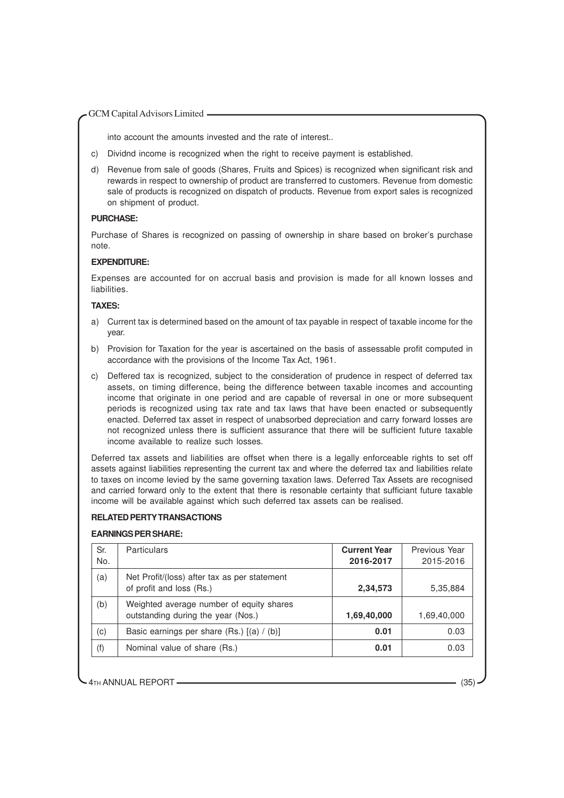into account the amounts invested and the rate of interest..

- c) Dividnd income is recognized when the right to receive payment is established.
- d) Revenue from sale of goods (Shares, Fruits and Spices) is recognized when significant risk and rewards in respect to ownership of product are transferred to customers. Revenue from domestic sale of products is recognized on dispatch of products. Revenue from export sales is recognized on shipment of product.

#### **PURCHASE:**

Purchase of Shares is recognized on passing of ownership in share based on broker's purchase note.

#### **EXPENDITURE:**

Expenses are accounted for on accrual basis and provision is made for all known losses and liabilities.

#### **TAXES:**

- a) Current tax is determined based on the amount of tax payable in respect of taxable income for the year.
- b) Provision for Taxation for the year is ascertained on the basis of assessable profit computed in accordance with the provisions of the Income Tax Act, 1961.
- c) Deffered tax is recognized, subject to the consideration of prudence in respect of deferred tax assets, on timing difference, being the difference between taxable incomes and accounting income that originate in one period and are capable of reversal in one or more subsequent periods is recognized using tax rate and tax laws that have been enacted or subsequently enacted. Deferred tax asset in respect of unabsorbed depreciation and carry forward losses are not recognized unless there is sufficient assurance that there will be sufficient future taxable income available to realize such losses.

Deferred tax assets and liabilities are offset when there is a legally enforceable rights to set off assets against liabilities representing the current tax and where the deferred tax and liabilities relate to taxes on income levied by the same governing taxation laws. Deferred Tax Assets are recognised and carried forward only to the extent that there is resonable certainty that sufficiant future taxable income will be available against which such deferred tax assets can be realised.

#### **RELATED PERTY TRANSACTIONS**

#### **EARNINGS PER SHARE:**

| Sr.<br>No. | <b>Particulars</b>                                                             | <b>Current Year</b><br>2016-2017 | Previous Year<br>2015-2016 |
|------------|--------------------------------------------------------------------------------|----------------------------------|----------------------------|
| (a)        | Net Profit/(loss) after tax as per statement<br>of profit and loss (Rs.)       | 2,34,573                         | 5,35,884                   |
| (b)        | Weighted average number of equity shares<br>outstanding during the year (Nos.) | 1,69,40,000                      | 1,69,40,000                |
| (c)        | Basic earnings per share (Rs.) [(a) / (b)]                                     | 0.01                             | 0.03                       |
| (f)        | Nominal value of share (Rs.)                                                   | 0.01                             | 0.03                       |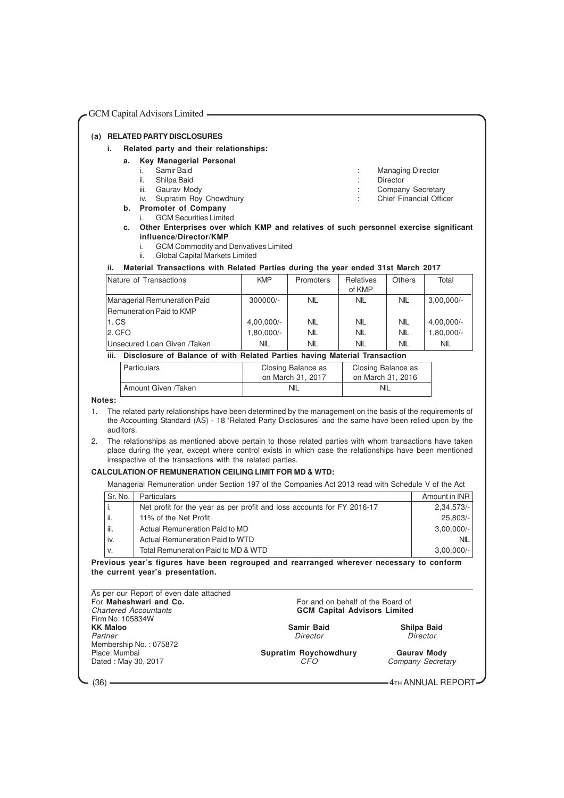| GCM Capital Advisors Limited - |           |                                                                                                                                                                                                                                                                                                                                                       |            |                    |                                     |                                |                                                                         |
|--------------------------------|-----------|-------------------------------------------------------------------------------------------------------------------------------------------------------------------------------------------------------------------------------------------------------------------------------------------------------------------------------------------------------|------------|--------------------|-------------------------------------|--------------------------------|-------------------------------------------------------------------------|
|                                |           | (a) RELATED PARTY DISCLOSURES                                                                                                                                                                                                                                                                                                                         |            |                    |                                     |                                |                                                                         |
| i.                             |           | Related party and their relationships:                                                                                                                                                                                                                                                                                                                |            |                    |                                     |                                |                                                                         |
|                                |           | <b>Key Managerial Personal</b>                                                                                                                                                                                                                                                                                                                        |            |                    |                                     |                                |                                                                         |
|                                | a.        | Samir Baid<br>i.                                                                                                                                                                                                                                                                                                                                      |            |                    |                                     | <b>Managing Director</b>       |                                                                         |
|                                |           | ii.<br>Shilpa Baid                                                                                                                                                                                                                                                                                                                                    |            |                    |                                     | Director                       |                                                                         |
|                                |           | Gaurav Mody<br>iii.                                                                                                                                                                                                                                                                                                                                   |            |                    |                                     | Company Secretary              |                                                                         |
|                                |           | Supratim Roy Chowdhury<br>iv.                                                                                                                                                                                                                                                                                                                         |            |                    |                                     | <b>Chief Financial Officer</b> |                                                                         |
|                                |           | b. Promoter of Company                                                                                                                                                                                                                                                                                                                                |            |                    |                                     |                                |                                                                         |
|                                |           | <b>GCM Securities Limited</b><br>i.                                                                                                                                                                                                                                                                                                                   |            |                    |                                     |                                |                                                                         |
|                                | c.        | Other Enterprises over which KMP and relatives of such personnel exercise significant                                                                                                                                                                                                                                                                 |            |                    |                                     |                                |                                                                         |
|                                |           | influence/Director/KMP                                                                                                                                                                                                                                                                                                                                |            |                    |                                     |                                |                                                                         |
|                                |           | <b>GCM Commodity and Derivatives Limited</b><br>i.<br>ii.                                                                                                                                                                                                                                                                                             |            |                    |                                     |                                |                                                                         |
|                                |           | Global Capital Markets Limited                                                                                                                                                                                                                                                                                                                        |            |                    |                                     |                                |                                                                         |
| ii.                            |           | Material Transactions with Related Parties during the year ended 31st March 2017                                                                                                                                                                                                                                                                      |            |                    |                                     |                                |                                                                         |
|                                |           | Nature of Transactions                                                                                                                                                                                                                                                                                                                                | <b>KMP</b> | Promoters          | Relatives                           | <b>Others</b>                  | Total                                                                   |
|                                |           |                                                                                                                                                                                                                                                                                                                                                       |            |                    | of KMP                              |                                |                                                                         |
|                                |           | Managerial Remuneration Paid                                                                                                                                                                                                                                                                                                                          | 300000/-   | <b>NIL</b>         | NIL                                 | <b>NIL</b>                     | $3,00,000/-$                                                            |
|                                |           | <b>Remuneration Paid to KMP</b>                                                                                                                                                                                                                                                                                                                       |            |                    |                                     |                                |                                                                         |
|                                | 1. CS     |                                                                                                                                                                                                                                                                                                                                                       | 4,00,000/- | <b>NIL</b>         | NIL                                 | NIL                            | 4,00,000/-                                                              |
|                                | 2. CFO    |                                                                                                                                                                                                                                                                                                                                                       | 1,80,000/- | <b>NIL</b>         | NIL                                 | <b>NIL</b>                     | 1,80,000/-                                                              |
|                                |           | Unsecured Loan Given /Taken                                                                                                                                                                                                                                                                                                                           | <b>NIL</b> | <b>NIL</b>         | <b>NIL</b>                          | <b>NIL</b>                     | <b>NIL</b>                                                              |
| iii.                           |           | Disclosure of Balance of with Related Parties having Material Transaction                                                                                                                                                                                                                                                                             |            |                    |                                     |                                |                                                                         |
|                                |           | <b>Particulars</b>                                                                                                                                                                                                                                                                                                                                    |            | Closing Balance as |                                     | Closing Balance as             |                                                                         |
|                                |           |                                                                                                                                                                                                                                                                                                                                                       |            |                    |                                     |                                |                                                                         |
|                                |           |                                                                                                                                                                                                                                                                                                                                                       |            | on March 31, 2017  |                                     | on March 31, 2016              |                                                                         |
| Notes:<br>1.                   |           | Amount Given /Taken<br>The related party relationships have been determined by the management on the basis of the requirements of<br>the Accounting Standard (AS) - 18 'Related Party Disclosures' and the same have been relied upon by the                                                                                                          |            | <b>NIL</b>         |                                     | <b>NIL</b>                     |                                                                         |
| 2.                             | auditors. | The relationships as mentioned above pertain to those related parties with whom transactions have taken<br>place during the year, except where control exists in which case the relationships have been mentioned<br>irrespective of the transactions with the related parties.<br><b>CALCULATION OF REMUNERATION CEILING LIMIT FOR MD &amp; WTD:</b> |            |                    |                                     |                                |                                                                         |
|                                |           | Managerial Remuneration under Section 197 of the Companies Act 2013 read with Schedule V of the Act                                                                                                                                                                                                                                                   |            |                    |                                     |                                |                                                                         |
|                                | Sr. No.   | Particulars                                                                                                                                                                                                                                                                                                                                           |            |                    |                                     |                                |                                                                         |
| i.                             |           | Net profit for the year as per profit and loss accounts for FY 2016-17                                                                                                                                                                                                                                                                                |            |                    |                                     |                                |                                                                         |
| ii.                            |           | 11% of the Net Profit                                                                                                                                                                                                                                                                                                                                 |            |                    |                                     |                                |                                                                         |
| iii.                           |           | Actual Remuneration Paid to MD                                                                                                                                                                                                                                                                                                                        |            |                    |                                     |                                |                                                                         |
| iv.                            |           | <b>Actual Remuneration Paid to WTD</b>                                                                                                                                                                                                                                                                                                                |            |                    |                                     |                                |                                                                         |
| ν.                             |           | Total Remuneration Paid to MD & WTD                                                                                                                                                                                                                                                                                                                   |            |                    |                                     |                                | Amount in INR<br>$2,34,573/-$<br>25,803/-<br>$3,00,000/-$<br><b>NIL</b> |
|                                |           |                                                                                                                                                                                                                                                                                                                                                       |            |                    |                                     |                                |                                                                         |
|                                |           | Previous year's figures have been regrouped and rearranged wherever necessary to conform<br>the current year's presentation.<br>As per our Report of even date attached<br>For Maheshwari and Co.                                                                                                                                                     |            |                    | For and on behalf of the Board of   |                                | $3,00,000/-$                                                            |
|                                |           | <b>Chartered Accountants</b><br>Firm No: 105834W                                                                                                                                                                                                                                                                                                      |            |                    | <b>GCM Capital Advisors Limited</b> |                                |                                                                         |
| <b>KK Maloo</b>                |           |                                                                                                                                                                                                                                                                                                                                                       |            | <b>Samir Baid</b>  |                                     |                                | Shilpa Baid                                                             |
| Partner                        |           | Membership No.: 075872                                                                                                                                                                                                                                                                                                                                |            | Director           |                                     |                                | Director                                                                |

 $\sim$  (36)  $\sim$   $4$ TH ANNUAL REPORT –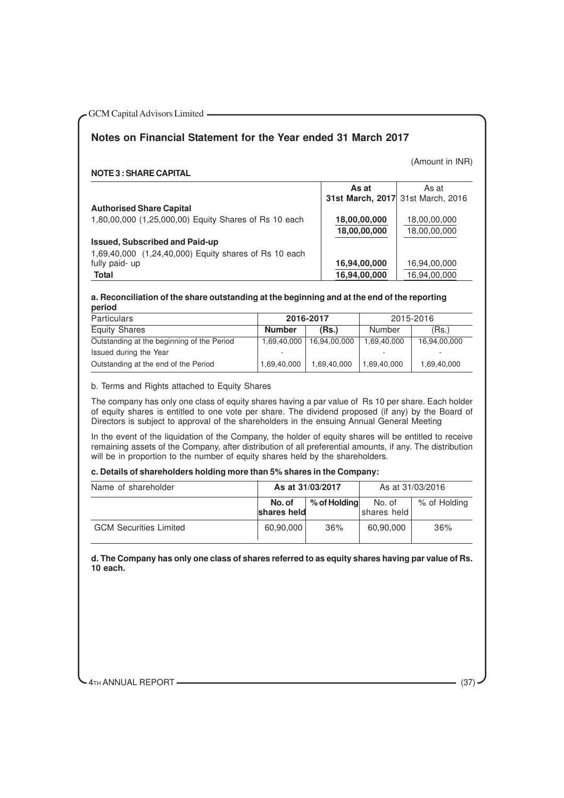### **Notes on Financial Statement for the Year ended 31 March 2017**

(Amount in INR)

#### **NOTE 3 : SHARE CAPITAL**

|                                                       | As at<br>31st March, 2017 31st March, 2016 | As at        |
|-------------------------------------------------------|--------------------------------------------|--------------|
| <b>Authorised Share Capital</b>                       |                                            |              |
| 1,80,00,000 (1,25,000,00) Equity Shares of Rs 10 each | 18,00,00,000                               | 18,00,00,000 |
|                                                       | 18,00,00,000                               | 18,00,00,000 |
| <b>Issued, Subscribed and Paid-up</b>                 |                                            |              |
| 1,69,40,000 (1,24,40,000) Equity shares of Rs 10 each |                                            |              |
| fully paid- up                                        | 16,94,00,000                               | 16,94,00,000 |
| <b>Total</b>                                          | 16,94,00,000                               | 16,94,00,000 |

#### **a. Reconciliation of the share outstanding at the beginning and at the end of the reporting period**

| <b>Particulars</b>                         |               | 2016-2017    |             | 2015-2016    |
|--------------------------------------------|---------------|--------------|-------------|--------------|
| <b>Equity Shares</b>                       | <b>Number</b> | (Rs)         | Number      | (Rs.)        |
| Outstanding at the beginning of the Period | 1,69,40,000   | 16,94,00,000 | 1,69,40,000 | 16,94,00,000 |
| Issued during the Year                     |               |              |             |              |
| Outstanding at the end of the Period       | 1,69,40,000   | 1,69,40,000  | 1,69,40,000 | 1,69,40,000  |

b. Terms and Rights attached to Equity Shares

The company has only one class of equity shares having a par value of Rs 10 per share. Each holder of equity shares is entitled to one vote per share. The dividend proposed (if any) by the Board of Directors is subject to approval of the shareholders in the ensuing Annual General Meeting

In the event of the liquidation of the Company, the holder of equity shares will be entitled to receive remaining assets of the Company, after distribution of all preferential amounts, if any. The distribution will be in proportion to the number of equity shares held by the shareholders.

#### **c. Details of shareholders holding more than 5% shares in the Company:**

| Name of shareholder           |                       | As at 31/03/2017 |                        | As at 31/03/2016 |
|-------------------------------|-----------------------|------------------|------------------------|------------------|
|                               | No. of<br>shares held | % of Holding     | No. of<br> shares held | % of Holding     |
| <b>GCM Securities Limited</b> | 60,90,000             | 36%              | 60,90,000              | 36%              |

**d. The Company has only one class of shares referred to as equity shares having par value of Rs. 10 each.**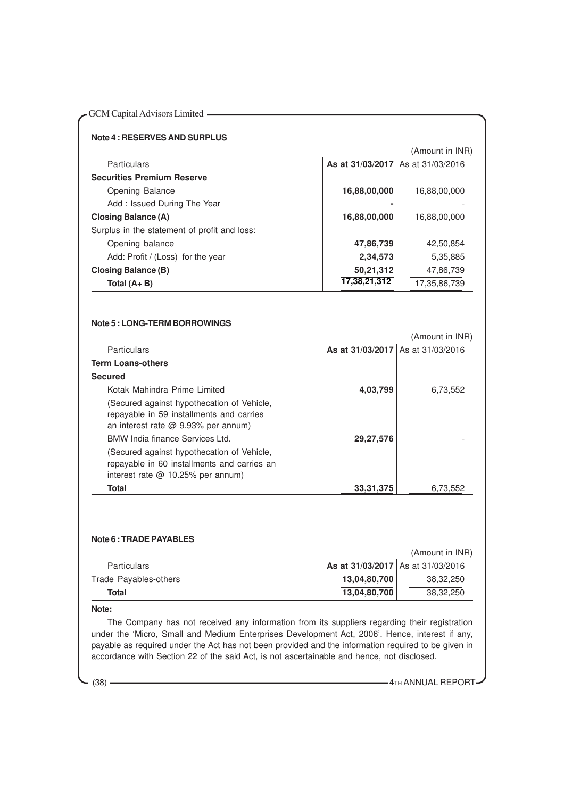|                                              |              | (Amount in INR)                     |
|----------------------------------------------|--------------|-------------------------------------|
| <b>Particulars</b>                           |              | As at 31/03/2017   As at 31/03/2016 |
| <b>Securities Premium Reserve</b>            |              |                                     |
| Opening Balance                              | 16,88,00,000 | 16,88,00,000                        |
| Add: Issued During The Year                  |              |                                     |
| Closing Balance (A)                          | 16,88,00,000 | 16,88,00,000                        |
| Surplus in the statement of profit and loss: |              |                                     |
| Opening balance                              | 47,86,739    | 42,50,854                           |
| Add: Profit / (Loss) for the year            | 2,34,573     | 5,35,885                            |
| <b>Closing Balance (B)</b>                   | 50,21,312    | 47,86,739                           |
| Total $(A + B)$                              | 17,38,21,312 | 17,35,86,739                        |

#### **Note 5 : LONG-TERM BORROWINGS**

|                                                                                                                                                                         |                                   | (Amount in INR) |
|-------------------------------------------------------------------------------------------------------------------------------------------------------------------------|-----------------------------------|-----------------|
| <b>Particulars</b>                                                                                                                                                      | As at 31/03/2017 As at 31/03/2016 |                 |
| <b>Term Loans-others</b>                                                                                                                                                |                                   |                 |
| <b>Secured</b>                                                                                                                                                          |                                   |                 |
| Kotak Mahindra Prime Limited                                                                                                                                            | 4,03,799                          | 6,73,552        |
| (Secured against hypothecation of Vehicle,<br>repayable in 59 installments and carries<br>an interest rate $\omega$ 9.93% per annum)<br>BMW India finance Services Ltd. | 29,27,576                         |                 |
| (Secured against hypothecation of Vehicle,<br>repayable in 60 installments and carries an<br>interest rate $@$ 10.25% per annum)                                        |                                   |                 |
| Total                                                                                                                                                                   | 33, 31, 375                       | 6,73,552        |

#### **Note 6 : TRADE PAYABLES**

(Amount in INR)

| <b>Particulars</b>    | As at 31/03/2017 As at 31/03/2016 |           |
|-----------------------|-----------------------------------|-----------|
| Trade Payables-others | 13,04,80,700                      | 38,32,250 |
| Total                 | 13,04,80,700                      | 38,32,250 |

#### **Note:**

The Company has not received any information from its suppliers regarding their registration under the 'Micro, Small and Medium Enterprises Development Act, 2006'. Hence, interest if any, payable as required under the Act has not been provided and the information required to be given in accordance with Section 22 of the said Act, is not ascertainable and hence, not disclosed.

(38) **4TH ANNUAL REPORT**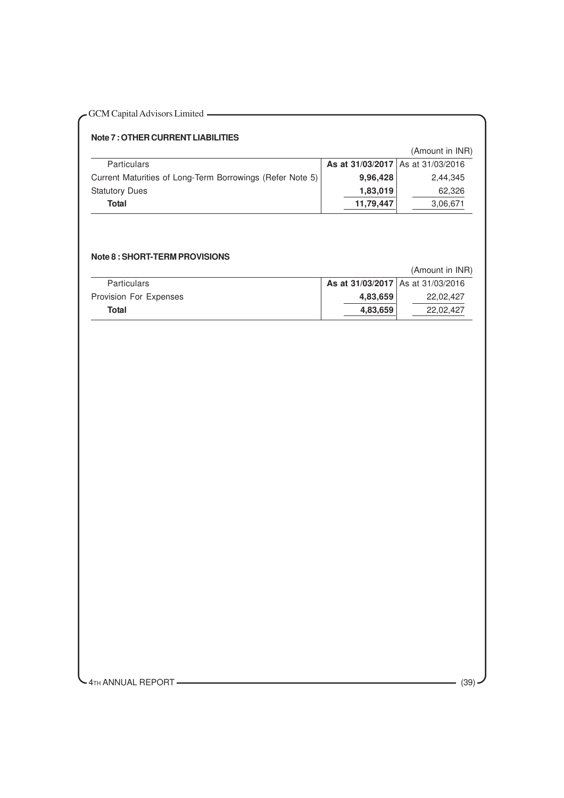| - GCM Capital Advisors Limited |  |
|--------------------------------|--|
|--------------------------------|--|

#### **Note 7 : OTHER CURRENT LIABILITIES**

|                                                           |                                   | (Amount in INR) |
|-----------------------------------------------------------|-----------------------------------|-----------------|
| <b>Particulars</b>                                        | As at 31/03/2017 As at 31/03/2016 |                 |
| Current Maturities of Long-Term Borrowings (Refer Note 5) | 9,96,428                          | 2.44.345        |
| <b>Statutory Dues</b>                                     | 1,83,019                          | 62.326          |
| Total                                                     | 11,79,447                         | 3,06,671        |

#### **Note 8 : SHORT-TERM PROVISIONS**

|                        |                                   | (Amount in INR) |
|------------------------|-----------------------------------|-----------------|
| <b>Particulars</b>     | As at 31/03/2017 As at 31/03/2016 |                 |
| Provision For Expenses | 4,83,659                          | 22.02.427       |
| Total                  | 4,83,659                          | 22.02.427       |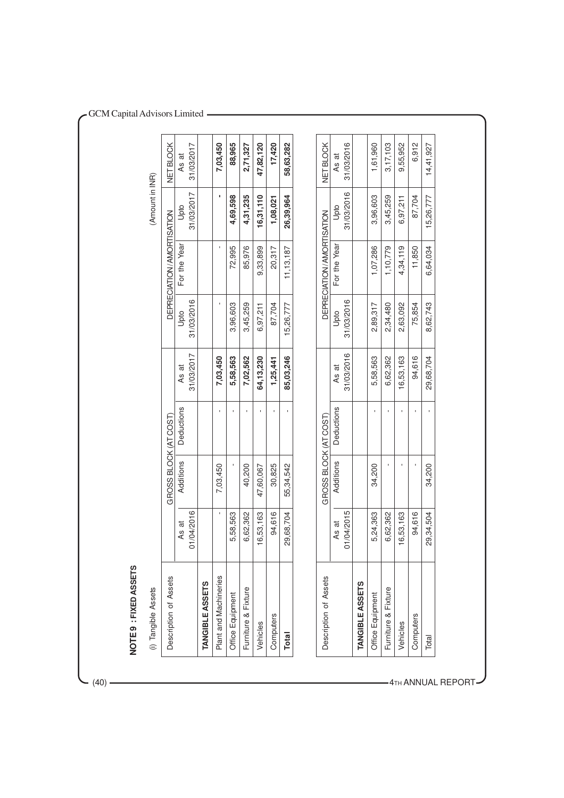| (i) Tangible Assets    |                |                       |              |            |            |                           | (Amount in INR) |            |
|------------------------|----------------|-----------------------|--------------|------------|------------|---------------------------|-----------------|------------|
| Description of Assets  |                | GROSS BLOCK (AT COST) |              |            |            | DEPRECIATION/AMORTISATION |                 | NET BLOCK  |
|                        | As at          | Additions             | Deductions   | As at      | Upto       | For the Year              | Upto            | As at      |
|                        | 1/04/2016<br>5 |                       |              | 31/03/2017 | 31/03/2016 |                           | 31/03/2017      | 31/03/2017 |
| <b>TANGIBLE ASSETS</b> |                |                       |              |            |            |                           |                 |            |
| Plant and Machineries  |                | 7,03,450              |              | 7,03,450   |            |                           |                 | 7,03,450   |
| Office Equipment       | 5,58,563       |                       |              | 5,58,563   | 3,96,603   | 72,995                    | 4,69,598        | 88,965     |
| Furniture & Fixture    | 6,62,362       | 40,200                |              | 7,02,562   | 3,45,259   | 85,976                    | 4,31,235        | 2,71,327   |
| Vehicles               | 6,53,163       | 47,60,067             |              | 64,13,230  | 6,97,211   | 9,33,899                  | 16,31,110       | 47,82,120  |
| Computers              | 94,616         | 30,825                | t,           | 1,25,441   | 87,704     | 20,317                    | 1,08,021        | 17,420     |
| <b>Total</b>           | 29,68,704      | 55,34,542             | $\mathbf{r}$ | 85,03,246  | 15,26,777  | 11, 13, 187               | 26,39,964       | 58,63,282  |
| Description of Assets  |                | GROSS BLOCK (AT COST) |              |            |            | DEPRECIATION/AMORTISATION |                 | NET BLOCK  |
|                        | As at          | Additions             | Deductions   | As at      | Upto       | For the Year              | Upto            | As at      |
|                        | 1/04/2015<br>5 |                       |              | 31/03/2016 | 31/03/2016 |                           | 31/03/2016      | 31/03/2016 |
| <b>TANGIBLE ASSETS</b> |                |                       |              |            |            |                           |                 |            |
| Office Equipment       | 5,24,363       | 34,200                | I.           | 5,58,563   | 2,89,317   | 1,07,286                  | 3,96,603        | 1,61,960   |
| Furniture & Fixture    | 6,62,362       |                       |              | 6,62,362   | 2,34,480   | 1,10,779                  | 3,45,259        | 3,17,103   |
| Vehicles               | 6,53,163       |                       |              | 16,53,163  | 2,63,092   | 4,34,119                  | 6,97,211        | 9,55,952   |
| Computers              | 94,616         |                       |              | 94,616     | 75,854     | 11,850                    | 87,704          | 6,912      |
| Total                  | 29,34,504      | 34,200                |              | 29,68,704  | 8,62,743   | 6,64,034                  | 15,26,777       | 14,41,927  |

 $-$  (40)  $-$ 

4TH ANNUAL REPOR T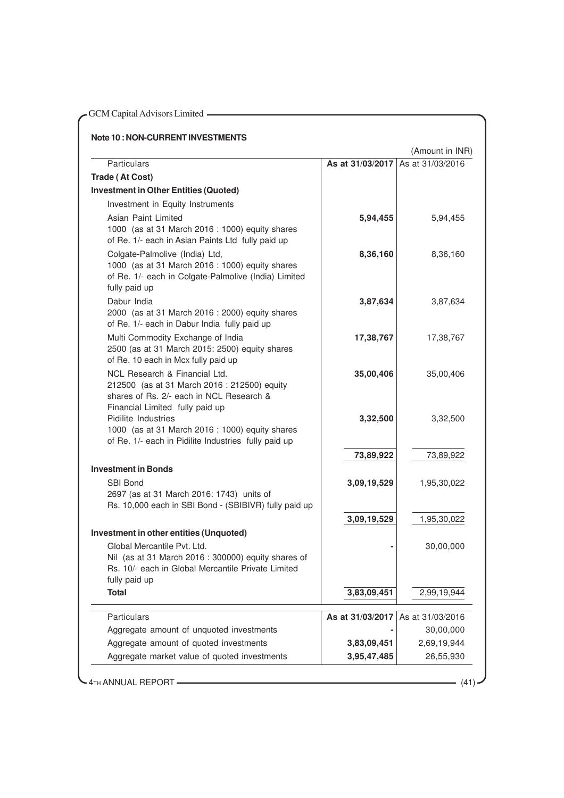| <b>Note 10: NON-CURRENT INVESTMENTS</b>                                                                                                                      |                  |                  |
|--------------------------------------------------------------------------------------------------------------------------------------------------------------|------------------|------------------|
|                                                                                                                                                              |                  | (Amount in INR)  |
| <b>Particulars</b>                                                                                                                                           | As at 31/03/2017 | As at 31/03/2016 |
| Trade (At Cost)<br><b>Investment in Other Entities (Quoted)</b>                                                                                              |                  |                  |
| Investment in Equity Instruments                                                                                                                             |                  |                  |
| Asian Paint Limited                                                                                                                                          |                  |                  |
| 1000 (as at 31 March 2016 : 1000) equity shares<br>of Re. 1/- each in Asian Paints Ltd fully paid up                                                         | 5,94,455         | 5,94,455         |
| Colgate-Palmolive (India) Ltd,<br>1000 (as at 31 March 2016 : 1000) equity shares<br>of Re. 1/- each in Colgate-Palmolive (India) Limited<br>fully paid up   | 8,36,160         | 8,36,160         |
| Dabur India<br>2000 (as at 31 March 2016 : 2000) equity shares<br>of Re. 1/- each in Dabur India fully paid up                                               | 3,87,634         | 3,87,634         |
| Multi Commodity Exchange of India<br>2500 (as at 31 March 2015: 2500) equity shares<br>of Re. 10 each in Mcx fully paid up                                   | 17,38,767        | 17,38,767        |
| NCL Research & Financial Ltd.<br>212500 (as at 31 March 2016 : 212500) equity<br>shares of Rs. 2/- each in NCL Research &<br>Financial Limited fully paid up | 35,00,406        | 35,00,406        |
| Pidilite Industries<br>1000 (as at 31 March 2016 : 1000) equity shares<br>of Re. 1/- each in Pidilite Industries fully paid up                               | 3,32,500         | 3,32,500         |
|                                                                                                                                                              | 73,89,922        | 73,89,922        |
| <b>Investment in Bonds</b>                                                                                                                                   |                  |                  |
| SBI Bond<br>2697 (as at 31 March 2016: 1743) units of<br>Rs. 10,000 each in SBI Bond - (SBIBIVR) fully paid up                                               | 3,09,19,529      | 1,95,30,022      |
|                                                                                                                                                              | 3,09,19,529      | 1,95,30,022      |
| Investment in other entities (Unquoted)                                                                                                                      |                  |                  |
| Global Mercantile Pvt. Ltd.<br>Nil (as at 31 March 2016 : 300000) equity shares of<br>Rs. 10/- each in Global Mercantile Private Limited<br>fully paid up    |                  | 30,00,000        |
| <b>Total</b>                                                                                                                                                 | 3,83,09,451      | 2,99,19,944      |
| Particulars                                                                                                                                                  | As at 31/03/2017 | As at 31/03/2016 |
| Aggregate amount of unquoted investments                                                                                                                     |                  | 30,00,000        |
| Aggregate amount of quoted investments                                                                                                                       | 3,83,09,451      | 2,69,19,944      |
| Aggregate market value of quoted investments                                                                                                                 | 3,95,47,485      | 26,55,930        |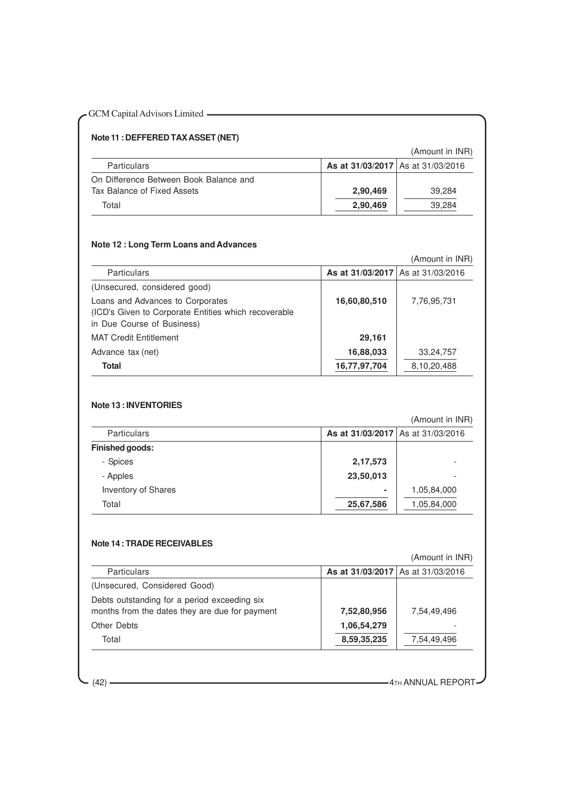#### **Note 11 : DEFFERED TAX ASSET (NET)**

(Amount in INR)

| <b>Particulars</b>                     | <b>As at 31/03/2017</b> As at 31/03/2016 |        |
|----------------------------------------|------------------------------------------|--------|
| On Difference Between Book Balance and |                                          |        |
| Tax Balance of Fixed Assets            | 2.90.469                                 | 39.284 |
| Total                                  | 2,90,469                                 | 39,284 |

#### **Note 12 : Long Term Loans and Advances**

|                                                                                                                        |                                   | (Amount in INR) |
|------------------------------------------------------------------------------------------------------------------------|-----------------------------------|-----------------|
| Particulars                                                                                                            | As at 31/03/2017 As at 31/03/2016 |                 |
| (Unsecured, considered good)                                                                                           |                                   |                 |
| Loans and Advances to Corporates<br>(ICD's Given to Corporate Entities which recoverable<br>in Due Course of Business) | 16,60,80,510                      | 7,76,95,731     |
| <b>MAT Credit Entitlement</b>                                                                                          | 29,161                            |                 |
| Advance tax (net)                                                                                                      | 16,88,033                         | 33,24,757       |
| Total                                                                                                                  | 16,77,97,704                      | 8,10,20,488     |

#### **Note 13 : INVENTORIES**

|                            | (Amount in INR) |                                   |
|----------------------------|-----------------|-----------------------------------|
| Particulars                |                 | As at 31/03/2017 As at 31/03/2016 |
| Finished goods:            |                 |                                   |
| - Spices                   | 2,17,573        |                                   |
| - Apples                   | 23,50,013       |                                   |
| <b>Inventory of Shares</b> | $\blacksquare$  | 1,05,84,000                       |
| Total                      | 25,67,586       | 1,05,84,000                       |

#### **Note 14 : TRADE RECEIVABLES**

|                                                                                                |                                   | (Amount in INR) |
|------------------------------------------------------------------------------------------------|-----------------------------------|-----------------|
| <b>Particulars</b>                                                                             | As at 31/03/2017 As at 31/03/2016 |                 |
| (Unsecured, Considered Good)                                                                   |                                   |                 |
| Debts outstanding for a period exceeding six<br>months from the dates they are due for payment | 7,52,80,956                       | 7,54,49,496     |
| Other Debts                                                                                    | 1,06,54,279                       |                 |
| Total                                                                                          | 8,59,35,235                       | 7,54,49,496     |

(42) **4TH ANNUAL REPORT**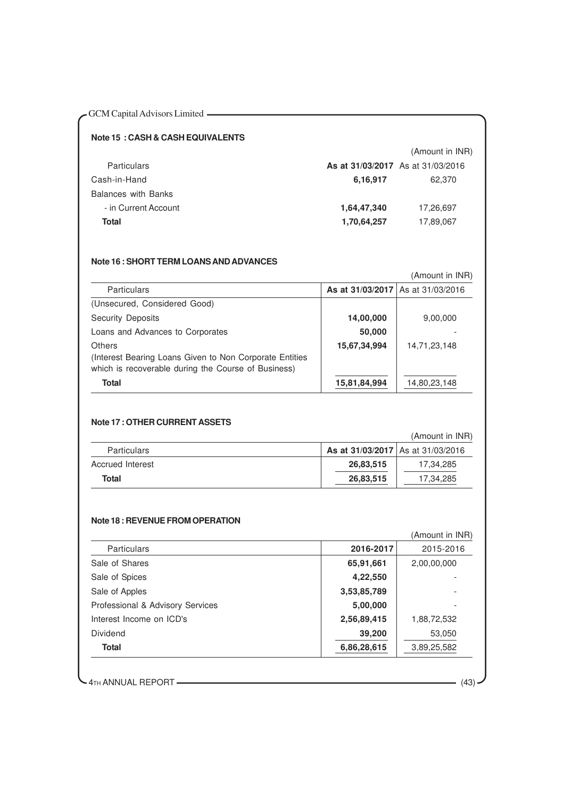#### **Note 15 : CASH & CASH EQUIVALENTS**

|             | (Amount in INR)                   |
|-------------|-----------------------------------|
|             |                                   |
| 6,16,917    | 62.370                            |
|             |                                   |
| 1,64,47,340 | 17,26,697                         |
| 1,70,64,257 | 17,89,067                         |
|             | As at 31/03/2017 As at 31/03/2016 |

#### **Note 16 : SHORT TERM LOANS AND ADVANCES**

|                                                                                                                |              | (Amount in INR)                   |
|----------------------------------------------------------------------------------------------------------------|--------------|-----------------------------------|
| <b>Particulars</b>                                                                                             |              | As at 31/03/2017 As at 31/03/2016 |
| (Unsecured, Considered Good)                                                                                   |              |                                   |
| <b>Security Deposits</b>                                                                                       | 14,00,000    | 9,00,000                          |
| Loans and Advances to Corporates                                                                               | 50,000       |                                   |
| Others                                                                                                         | 15,67,34,994 | 14,71,23,148                      |
| (Interest Bearing Loans Given to Non Corporate Entities<br>which is recoverable during the Course of Business) |              |                                   |
| <b>Total</b>                                                                                                   |              |                                   |
|                                                                                                                | 15,81,84,994 | 14,80,23,148                      |

#### **Note 17 : OTHER CURRENT ASSETS**

### (Amount in INR)

| <b>Particulars</b> | As at 31/03/2017 As at 31/03/2016 |           |
|--------------------|-----------------------------------|-----------|
| Accrued Interest   | 26,83,515                         | 17.34.285 |
| Total              | 26,83,515                         | 17,34,285 |

#### **Note 18 : REVENUE FROM OPERATION**

#### (Amount in INR)

| <b>Particulars</b>               | 2016-2017   | 2015-2016   |
|----------------------------------|-------------|-------------|
| Sale of Shares                   | 65,91,661   | 2,00,00,000 |
| Sale of Spices                   | 4,22,550    |             |
| Sale of Apples                   | 3,53,85,789 |             |
| Professional & Advisory Services | 5,00,000    | ٠           |
| Interest Income on ICD's         | 2,56,89,415 | 1,88,72,532 |
| Dividend                         | 39,200      | 53,050      |
| Total                            | 6,86,28,615 | 3,89,25,582 |

4TH ANNUAL REPORT (43)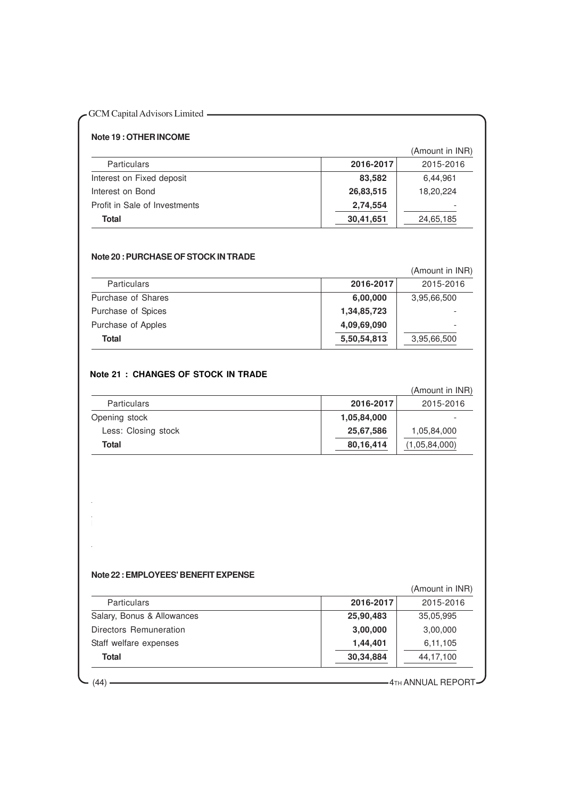## GCM Capital Advisors Limited ————————————————————

#### **Note 19 : OTHER INCOME**

(Amount in INR)

| <b>Particulars</b>            | 2016-2017 | 2015-2016 |
|-------------------------------|-----------|-----------|
| Interest on Fixed deposit     | 83.582    | 6,44,961  |
| Interest on Bond              | 26.83,515 | 18,20,224 |
| Profit in Sale of Investments | 2,74,554  |           |
| Total                         | 30,41,651 | 24,65,185 |

#### **Note 20 : PURCHASE OF STOCK IN TRADE**

(Amount in INR)

| <b>Particulars</b> | 2016-2017   | 2015-2016                |
|--------------------|-------------|--------------------------|
| Purchase of Shares | 6,00,000    | 3,95,66,500              |
| Purchase of Spices | 1,34,85,723 |                          |
| Purchase of Apples | 4,09,69,090 | $\overline{\phantom{a}}$ |
| Total              | 5,50,54,813 | 3,95,66,500              |

#### **Note 21 : CHANGES OF STOCK IN TRADE**

|                     |             | (Amount in INR) |
|---------------------|-------------|-----------------|
| <b>Particulars</b>  | 2016-2017   | 2015-2016       |
| Opening stock       | 1,05,84,000 |                 |
| Less: Closing stock | 25,67,586   | 1,05,84,000     |
| Total               | 80,16,414   | (1,05,84,000)   |

#### **Note 22 : EMPLOYEES' BENEFIT EXPENSE**

|                            |           | (Amount in INR) |
|----------------------------|-----------|-----------------|
| Particulars                | 2016-2017 | 2015-2016       |
| Salary, Bonus & Allowances | 25,90,483 | 35,05,995       |
| Directors Remuneration     | 3,00,000  | 3,00,000        |
| Staff welfare expenses     | 1,44,401  | 6,11,105        |
| Total                      | 30,34,884 | 44,17,100       |

Exchange & Depository Fees **3,00,481** 3,04,580

 $(44)$   $\overline{\phantom{241\,441}}$   $\overline{\phantom{241\,441}}$   $\overline{\phantom{241\,441}}$   $\overline{\phantom{241\,441}}$   $\overline{\phantom{241\,441}}$   $\overline{\phantom{241\,441}}$   $\overline{\phantom{241\,441}}$   $\overline{\phantom{241\,441}}$   $\overline{\phantom{241\,441}}$   $\overline{\phantom{241\,441}}$   $\overline{\phantom{241\,441}}$   $\overline{\$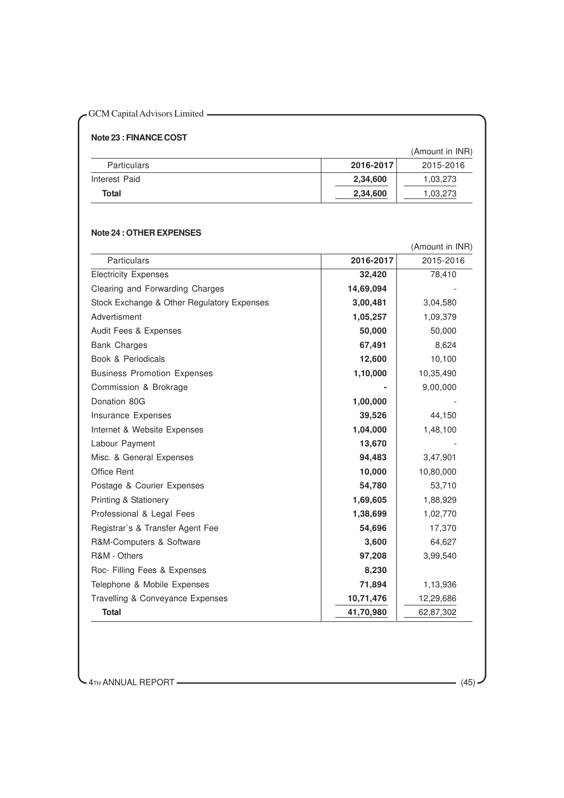### **Note 23 : FINANCE COST**

(Amount in INR)

| <b>Particulars</b> | 2016-2017 | 2015-2016 |
|--------------------|-----------|-----------|
| Interest Paid      | 2,34,600  | 1,03,273  |
| Total              | 2,34,600  | 1.03.273  |

#### **Note 24 : OTHER EXPENSES**

|                                            |           | (Amount in INR) |
|--------------------------------------------|-----------|-----------------|
| <b>Particulars</b>                         | 2016-2017 | 2015-2016       |
| <b>Electricity Expenses</b>                | 32,420    | 78,410          |
| Clearing and Forwarding Charges            | 14,69,094 |                 |
| Stock Exchange & Other Regulatory Expenses | 3,00,481  | 3,04,580        |
| Advertisment                               | 1,05,257  | 1,09,379        |
| Audit Fees & Expenses                      | 50,000    | 50,000          |
| <b>Bank Charges</b>                        | 67,491    | 8,624           |
| Book & Periodicals                         | 12,600    | 10,100          |
| <b>Business Promotion Expenses</b>         | 1,10,000  | 10,35,490       |
| Commission & Brokrage                      |           | 9,00,000        |
| Donation 80G                               | 1,00,000  |                 |
| Insurance Expenses                         | 39,526    | 44,150          |
| Internet & Website Expenses                | 1,04,000  | 1,48,100        |
| Labour Payment                             | 13,670    |                 |
| Misc. & General Expenses                   | 94,483    | 3,47,901        |
| <b>Office Rent</b>                         | 10,000    | 10,80,000       |
| Postage & Courier Expenses                 | 54,780    | 53,710          |
| <b>Printing &amp; Stationery</b>           | 1,69,605  | 1,88,929        |
| Professional & Legal Fees                  | 1,38,699  | 1,02,770        |
| Registrar's & Transfer Agent Fee           | 54,696    | 17,370          |
| R&M-Computers & Software                   | 3,600     | 64,627          |
| R&M - Others                               | 97,208    | 3,99,540        |
| Roc- Filling Fees & Expenses               | 8,230     |                 |
| Telephone & Mobile Expenses                | 71,894    | 1,13,936        |
| Travelling & Conveyance Expenses           | 10,71,476 | 12,29,686       |
| <b>Total</b>                               | 41,70,980 | 62,87,302       |

 $\sim$  4<sub>TH</sub> ANNUAL REPORT  $\overline{\phantom{a}}$  (45)  $\cdot$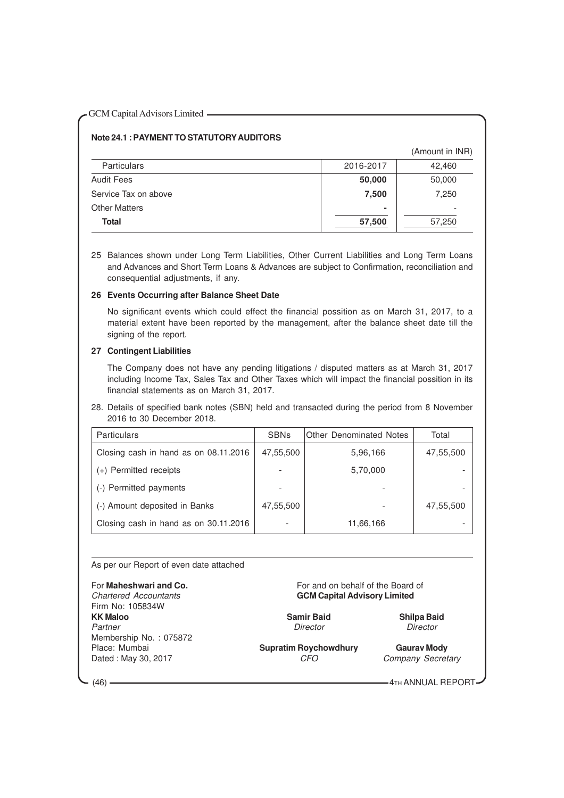#### **Note 24.1 : PAYMENT TO STATUTORY AUDITORS**

(Amount in INR)

| <b>Particulars</b>   | 2016-2017      | 42,460 |
|----------------------|----------------|--------|
| <b>Audit Fees</b>    | 50,000         | 50,000 |
| Service Tax on above | 7,500          | 7,250  |
| <b>Other Matters</b> | $\blacksquare$ |        |
| Total                | 57,500         | 57,250 |

25 Balances shown under Long Term Liabilities, Other Current Liabilities and Long Term Loans and Advances and Short Term Loans & Advances are subject to Confirmation, reconciliation and consequential adjustments, if any.

#### **26 Events Occurring after Balance Sheet Date**

No significant events which could effect the financial possition as on March 31, 2017, to a material extent have been reported by the management, after the balance sheet date till the signing of the report.

#### **27 Contingent Liabilities**

The Company does not have any pending litigations / disputed matters as at March 31, 2017 including Income Tax, Sales Tax and Other Taxes which will impact the financial possition in its financial statements as on March 31, 2017.

28. Details of specified bank notes (SBN) held and transacted during the period from 8 November 2016 to 30 December 2018.

| <b>Particulars</b>                    | <b>SBNs</b> | <b>Other Denominated Notes</b> | Total     |
|---------------------------------------|-------------|--------------------------------|-----------|
| Closing cash in hand as on 08.11.2016 | 47,55,500   | 5,96,166                       | 47,55,500 |
| (+) Permitted receipts                |             | 5,70,000                       |           |
| (-) Permitted payments                |             |                                |           |
| (-) Amount deposited in Banks         | 47,55,500   |                                | 47,55,500 |
| Closing cash in hand as on 30.11.2016 |             | 11,66,166                      |           |

#### As per our Report of even date attached

Firm No: 105834W<br>**KK Maloo** Partner Director Director Director Director Director Director Membership No.: 075872<br>Place: Mumbai Dated : May 30, 2017 CFO Company Secretary

For **Maheshwari and Co.** For and on behalf of the Board of Chartered Accountants **Formation Construction** GCM Capital Advisory Limited **GCM Capital Advisory Limited** 

**Kamir Baid Shilpa Baid** 

**Supratim Roychowdhury Gaurav Mody**<br>CFO Company Secret

(46) **4TH ANNUAL REPORT**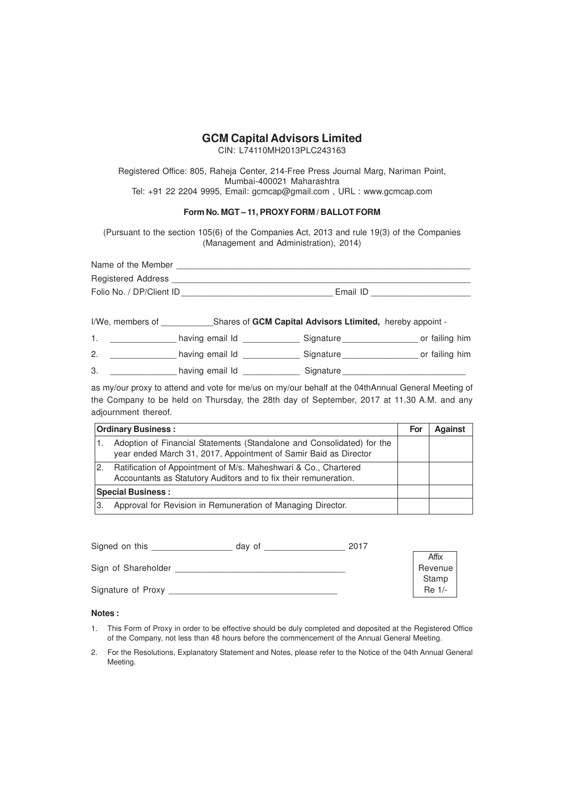CIN: L74110MH2013PLC243163

Registered Office: 805, Raheja Center, 214-Free Press Journal Marg, Nariman Point, Mumbai-400021 Maharashtra Tel: +91 22 2204 9995, Email: gcmcap@gmail.com , URL : www.gcmcap.com

#### **Form No. MGT – 11, PROXY FORM / BALLOT FORM**

(Pursuant to the section 105(6) of the Companies Act, 2013 and rule 19(3) of the Companies (Management and Administration), 2014)

| Name of the Member       |          |
|--------------------------|----------|
| Registered Address       |          |
| Folio No. / DP/Client ID | Email ID |

I/We, members of **GRI CAPT CAPTED Shares of GCM Capital Advisors Ltimited,** hereby appoint -

1. \_\_\_\_\_\_\_\_\_\_\_\_\_\_\_\_ having email Id \_\_\_\_\_\_\_\_\_\_\_\_\_\_\_\_ Signature \_\_\_\_\_\_\_\_\_\_\_\_\_\_\_\_\_\_ or failing him

2. \_\_\_\_\_\_\_\_\_\_\_\_\_\_\_\_ having email Id \_\_\_\_\_\_\_\_\_\_\_\_\_\_\_ Signature \_\_\_\_\_\_\_\_\_\_\_\_\_\_\_\_\_\_ or failing him 3. \_\_\_\_\_\_\_\_\_\_\_\_\_\_\_\_\_\_\_\_\_ having email Id \_\_\_\_\_\_\_\_\_\_\_\_\_\_\_\_\_ Signature

as my/our proxy to attend and vote for me/us on my/our behalf at the 04thAnnual General Meeting of the Company to be held on Thursday, the 28th day of September, 2017 at 11.30 A.M. and any adjournment thereof.

| <b>Ordinary Business:</b> |                                                                                                                                            |  | <b>Against</b> |
|---------------------------|--------------------------------------------------------------------------------------------------------------------------------------------|--|----------------|
|                           | Adoption of Financial Statements (Standalone and Consolidated) for the<br>year ended March 31, 2017, Appointment of Samir Baid as Director |  |                |
| 2.                        | Ratification of Appointment of M/s. Maheshwari & Co., Chartered<br>Accountants as Statutory Auditors and to fix their remuneration.        |  |                |
| <b>Special Business:</b>  |                                                                                                                                            |  |                |
| З.                        | Approval for Revision in Remuneration of Managing Director.                                                                                |  |                |

| Signed on this      | day of | 2017 |          |
|---------------------|--------|------|----------|
|                     |        |      | Affix    |
| Sign of Shareholder |        |      | Revenue  |
|                     |        |      | Stamp    |
| Signature of Proxy  |        |      | $Re 1/-$ |

#### **Notes :**

- 1. This Form of Proxy in order to be effective should be duly completed and deposited at the Registered Office of the Company, not less than 48 hours before the commencement of the Annual General Meeting.
- 2. For the Resolutions, Explanatory Statement and Notes, please refer to the Notice of the 04th Annual General Meeting.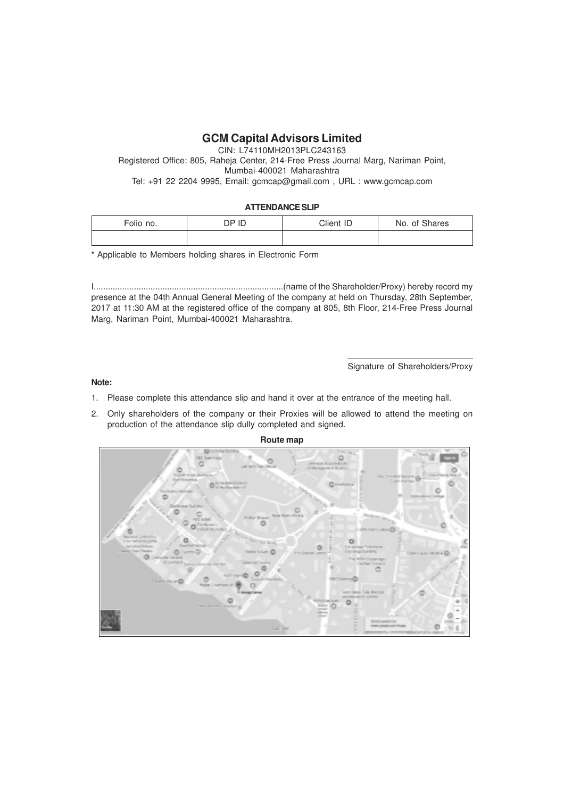CIN: L74110MH2013PLC243163 Registered Office: 805, Raheja Center, 214-Free Press Journal Marg, Nariman Point, Mumbai-400021 Maharashtra Tel: +91 22 2204 9995, Email: gcmcap@gmail.com , URL : www.gcmcap.com

#### **ATTENDANCE SLIP**

| Folio no. | DP ID | Client ID | No. of Shares |
|-----------|-------|-----------|---------------|
|           |       |           |               |

\* Applicable to Members holding shares in Electronic Form

I................................................................................(name of the Shareholder/Proxy) hereby record my presence at the 04th Annual General Meeting of the company at held on Thursday, 28th September, 2017 at 11:30 AM at the registered office of the company at 805, 8th Floor, 214-Free Press Journal Marg, Nariman Point, Mumbai-400021 Maharashtra.

Signature of Shareholders/Proxy

#### **Note:**

- 1. Please complete this attendance slip and hand it over at the entrance of the meeting hall.
- 2. Only shareholders of the company or their Proxies will be allowed to attend the meeting on production of the attendance slip dully completed and signed.